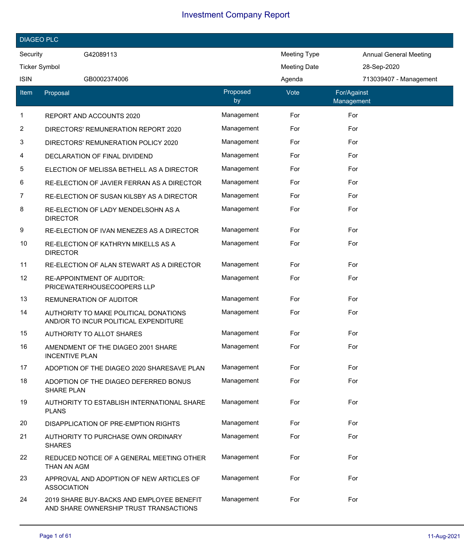|             | <b>DIAGEO PLC</b>                                                                   |                |                     |                               |  |
|-------------|-------------------------------------------------------------------------------------|----------------|---------------------|-------------------------------|--|
| Security    | G42089113                                                                           |                | <b>Meeting Type</b> | <b>Annual General Meeting</b> |  |
|             | <b>Ticker Symbol</b>                                                                |                | <b>Meeting Date</b> | 28-Sep-2020                   |  |
| <b>ISIN</b> | GB0002374006                                                                        |                | Agenda              | 713039407 - Management        |  |
| ltem        | Proposal                                                                            | Proposed<br>by | Vote                | For/Against<br>Management     |  |
| 1           | REPORT AND ACCOUNTS 2020                                                            | Management     | For                 | For                           |  |
| 2           | DIRECTORS' REMUNERATION REPORT 2020                                                 | Management     | For                 | For                           |  |
| 3           | DIRECTORS' REMUNERATION POLICY 2020                                                 | Management     | For                 | For                           |  |
| 4           | DECLARATION OF FINAL DIVIDEND                                                       | Management     | For                 | For                           |  |
| 5           | ELECTION OF MELISSA BETHELL AS A DIRECTOR                                           | Management     | For                 | For                           |  |
| 6           | RE-ELECTION OF JAVIER FERRAN AS A DIRECTOR                                          | Management     | For                 | For                           |  |
| 7           | RE-ELECTION OF SUSAN KILSBY AS A DIRECTOR                                           | Management     | For                 | For                           |  |
| 8           | RE-ELECTION OF LADY MENDELSOHN AS A<br><b>DIRECTOR</b>                              | Management     | For                 | For                           |  |
| 9           | RE-ELECTION OF IVAN MENEZES AS A DIRECTOR                                           | Management     | For                 | For                           |  |
| 10          | RE-ELECTION OF KATHRYN MIKELLS AS A<br><b>DIRECTOR</b>                              | Management     | For                 | For                           |  |
| 11          | RE-ELECTION OF ALAN STEWART AS A DIRECTOR                                           | Management     | For                 | For                           |  |
| 12          | <b>RE-APPOINTMENT OF AUDITOR:</b><br>PRICEWATERHOUSECOOPERS LLP                     | Management     | For                 | For                           |  |
| 13          | REMUNERATION OF AUDITOR                                                             | Management     | For                 | For                           |  |
| 14          | AUTHORITY TO MAKE POLITICAL DONATIONS<br>AND/OR TO INCUR POLITICAL EXPENDITURE      | Management     | For                 | For                           |  |
| 15          | AUTHORITY TO ALLOT SHARES                                                           | Management     | For                 | For                           |  |
| 16          | AMENDMENT OF THE DIAGEO 2001 SHARE<br><b>INCENTIVE PLAN</b>                         | Management     | For                 | For                           |  |
| 17          | ADOPTION OF THE DIAGEO 2020 SHARESAVE PLAN                                          | Management     | For                 | For                           |  |
| 18          | ADOPTION OF THE DIAGEO DEFERRED BONUS<br><b>SHARE PLAN</b>                          | Management     | For                 | For                           |  |
| 19          | AUTHORITY TO ESTABLISH INTERNATIONAL SHARE<br><b>PLANS</b>                          | Management     | For                 | For                           |  |
| 20          | DISAPPLICATION OF PRE-EMPTION RIGHTS                                                | Management     | For                 | For                           |  |
| 21          | AUTHORITY TO PURCHASE OWN ORDINARY<br><b>SHARES</b>                                 | Management     | For                 | For                           |  |
| 22          | REDUCED NOTICE OF A GENERAL MEETING OTHER<br>THAN AN AGM                            | Management     | For                 | For                           |  |
| 23          | APPROVAL AND ADOPTION OF NEW ARTICLES OF<br><b>ASSOCIATION</b>                      | Management     | For                 | For                           |  |
| 24          | 2019 SHARE BUY-BACKS AND EMPLOYEE BENEFIT<br>AND SHARE OWNERSHIP TRUST TRANSACTIONS | Management     | For                 | For                           |  |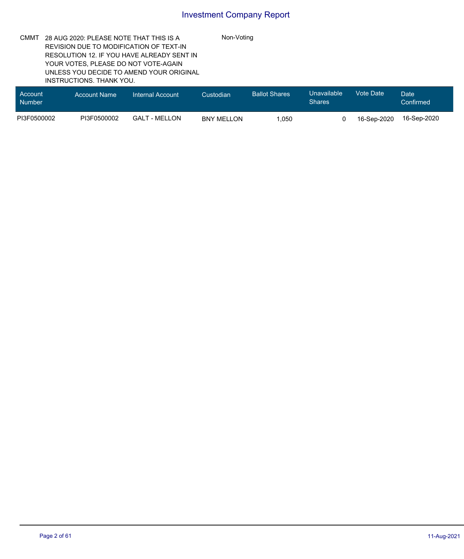Non-Voting

CMMT 28 AUG 2020: PLEASE NOTE THAT THIS IS A REVISION DUE TO MODIFICATION OF TEXT-IN RESOLUTION 12. IF YOU HAVE ALREADY SENT IN YOUR VOTES, PLEASE DO NOT VOTE-AGAIN UNLESS YOU DECIDE TO AMEND YOUR ORIGINAL INSTRUCTIONS. THANK YOU.

| <b>Account</b><br><b>Number</b> | <b>Account Name</b> | Internal Account | Custodian         | <b>Ballot Shares</b> | Unavailable<br><b>Shares</b> | Vote Date   | Date<br>Confirmed |
|---------------------------------|---------------------|------------------|-------------------|----------------------|------------------------------|-------------|-------------------|
| PI3F0500002                     | PI3F0500002         | GALT - MELLON    | <b>BNY MELLON</b> | .050                 |                              | 16-Sep-2020 | 16-Sep-2020       |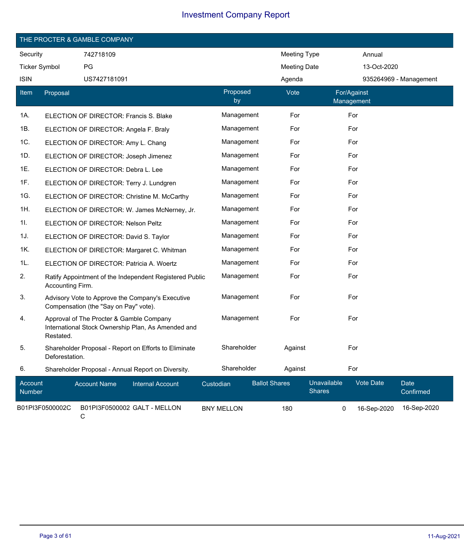|                      | THE PROCTER & GAMBLE COMPANY |                                          |                                                         |                   |                |                      |                              |             |                          |
|----------------------|------------------------------|------------------------------------------|---------------------------------------------------------|-------------------|----------------|----------------------|------------------------------|-------------|--------------------------|
| Security             |                              | 742718109                                |                                                         |                   |                | Meeting Type         |                              | Annual      |                          |
| <b>Ticker Symbol</b> |                              | PG                                       |                                                         |                   |                | <b>Meeting Date</b>  |                              | 13-Oct-2020 |                          |
| <b>ISIN</b>          |                              | US7427181091                             |                                                         |                   |                | Agenda               |                              |             | 935264969 - Management   |
| Item                 | Proposal                     |                                          |                                                         |                   | Proposed<br>by | Vote                 | For/Against<br>Management    |             |                          |
| 1A.                  |                              | ELECTION OF DIRECTOR: Francis S. Blake   |                                                         |                   | Management     | For                  | For                          |             |                          |
| 1B.                  |                              | ELECTION OF DIRECTOR: Angela F. Braly    |                                                         |                   | Management     | For                  | For                          |             |                          |
| 1C.                  |                              | ELECTION OF DIRECTOR: Amy L. Chang       |                                                         |                   | Management     | For                  | For                          |             |                          |
| 1D.                  |                              | ELECTION OF DIRECTOR: Joseph Jimenez     |                                                         |                   | Management     | For                  | For                          |             |                          |
| 1E.                  |                              | ELECTION OF DIRECTOR: Debra L. Lee       |                                                         |                   | Management     | For                  | For                          |             |                          |
| 1F.                  |                              | ELECTION OF DIRECTOR: Terry J. Lundgren  |                                                         |                   | Management     | For                  | For                          |             |                          |
| 1G.                  |                              |                                          | ELECTION OF DIRECTOR: Christine M. McCarthy             |                   | Management     | For                  | For                          |             |                          |
| 1H.                  |                              |                                          | ELECTION OF DIRECTOR: W. James McNerney, Jr.            |                   | Management     | For                  | For                          |             |                          |
| 11.                  |                              | ELECTION OF DIRECTOR: Nelson Peltz       |                                                         |                   | Management     | For                  | For                          |             |                          |
| 1J.                  |                              | ELECTION OF DIRECTOR: David S. Taylor    |                                                         |                   | Management     | For                  | For                          |             |                          |
| 1K.                  |                              |                                          | ELECTION OF DIRECTOR: Margaret C. Whitman               |                   | Management     | For                  | For                          |             |                          |
| 1L.                  |                              | ELECTION OF DIRECTOR: Patricia A. Woertz |                                                         |                   | Management     | For                  | For                          |             |                          |
| 2.                   | Accounting Firm.             |                                          | Ratify Appointment of the Independent Registered Public |                   | Management     | For                  | For                          |             |                          |
| 3.                   |                              | Compensation (the "Say on Pay" vote).    | Advisory Vote to Approve the Company's Executive        |                   | Management     | For                  | For                          |             |                          |
| 4.                   | Restated.                    | Approval of The Procter & Gamble Company | International Stock Ownership Plan, As Amended and      |                   | Management     | For                  | For                          |             |                          |
| 5.                   | Deforestation.               |                                          | Shareholder Proposal - Report on Efforts to Eliminate   |                   | Shareholder    | Against              | For                          |             |                          |
| 6.                   |                              |                                          | Shareholder Proposal - Annual Report on Diversity.      |                   | Shareholder    | Against              | For                          |             |                          |
| Account<br>Number    |                              | <b>Account Name</b>                      | <b>Internal Account</b>                                 | Custodian         |                | <b>Ballot Shares</b> | Unavailable<br><b>Shares</b> | Vote Date   | <b>Date</b><br>Confirmed |
|                      | B01PI3F0500002C              | C                                        | B01PI3F0500002 GALT - MELLON                            | <b>BNY MELLON</b> |                | 180                  | 0                            | 16-Sep-2020 | 16-Sep-2020              |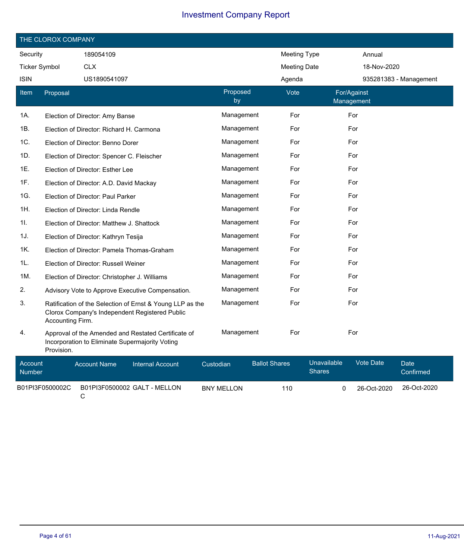|                          | THE CLOROX COMPANY |                                                 |                                                                                                             |           |                   |                      |                     |                              |                           |                        |
|--------------------------|--------------------|-------------------------------------------------|-------------------------------------------------------------------------------------------------------------|-----------|-------------------|----------------------|---------------------|------------------------------|---------------------------|------------------------|
| Security                 |                    | 189054109                                       |                                                                                                             |           |                   |                      | Meeting Type        |                              | Annual                    |                        |
| <b>Ticker Symbol</b>     |                    | <b>CLX</b>                                      |                                                                                                             |           |                   |                      | <b>Meeting Date</b> |                              | 18-Nov-2020               |                        |
| <b>ISIN</b>              |                    | US1890541097                                    |                                                                                                             |           |                   |                      | Agenda              |                              |                           | 935281383 - Management |
| Item                     | Proposal           |                                                 |                                                                                                             |           | Proposed<br>by    |                      | Vote                |                              | For/Against<br>Management |                        |
| 1A.                      |                    | Election of Director: Amy Banse                 |                                                                                                             |           | Management        |                      | For                 |                              | For                       |                        |
| 1B.                      |                    | Election of Director: Richard H. Carmona        |                                                                                                             |           | Management        |                      | For                 |                              | For                       |                        |
| 1C.                      |                    | Election of Director: Benno Dorer               |                                                                                                             |           | Management        |                      | For                 |                              | For                       |                        |
| 1D.                      |                    | Election of Director: Spencer C. Fleischer      |                                                                                                             |           | Management        |                      | For                 |                              | For                       |                        |
| 1E.                      |                    | Election of Director: Esther Lee                |                                                                                                             |           | Management        |                      | For                 |                              | For                       |                        |
| 1F.                      |                    | Election of Director: A.D. David Mackay         |                                                                                                             |           | Management        |                      | For                 |                              | For                       |                        |
| 1G.                      |                    | Election of Director: Paul Parker               |                                                                                                             |           | Management        |                      | For                 |                              | For                       |                        |
| 1H.                      |                    | Election of Director: Linda Rendle              |                                                                                                             |           | Management        |                      | For                 |                              | For                       |                        |
| 11.                      |                    | Election of Director: Matthew J. Shattock       |                                                                                                             |           | Management        |                      | For                 |                              | For                       |                        |
| 1J.                      |                    | Election of Director: Kathryn Tesija            |                                                                                                             |           | Management        |                      | For                 |                              | For                       |                        |
| 1K.                      |                    | Election of Director: Pamela Thomas-Graham      |                                                                                                             |           | Management        |                      | For                 |                              | For                       |                        |
| 1L.                      |                    | Election of Director: Russell Weiner            |                                                                                                             |           | Management        |                      | For                 |                              | For                       |                        |
| 1M.                      |                    | Election of Director: Christopher J. Williams   |                                                                                                             |           | Management        |                      | For                 |                              | For                       |                        |
| 2.                       |                    |                                                 | Advisory Vote to Approve Executive Compensation.                                                            |           | Management        |                      | For                 |                              | For                       |                        |
| 3.                       | Accounting Firm.   |                                                 | Ratification of the Selection of Ernst & Young LLP as the<br>Clorox Company's Independent Registered Public |           | Management        |                      | For                 |                              | For                       |                        |
| 4.                       | Provision.         | Incorporation to Eliminate Supermajority Voting | Approval of the Amended and Restated Certificate of                                                         |           | Management        |                      | For                 |                              | For                       |                        |
| Account<br><b>Number</b> |                    | <b>Account Name</b>                             | <b>Internal Account</b>                                                                                     | Custodian |                   | <b>Ballot Shares</b> |                     | Unavailable<br><b>Shares</b> | <b>Vote Date</b>          | Date<br>Confirmed      |
|                          | B01PI3F0500002C    | С                                               | B01PI3F0500002 GALT - MELLON                                                                                |           | <b>BNY MELLON</b> |                      | 110                 | 0                            | 26-Oct-2020               | 26-Oct-2020            |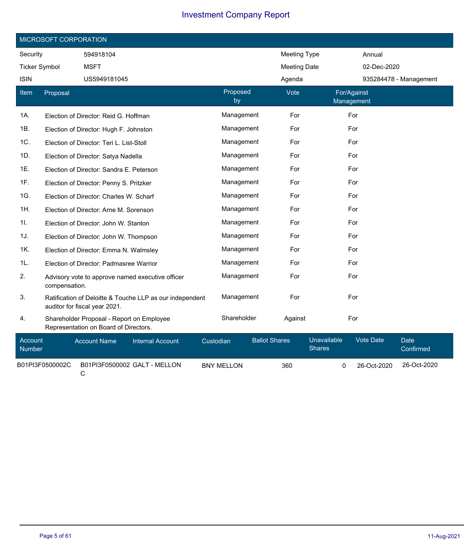|                      | MICROSOFT CORPORATION |                                                                                    |                                                          |           |                   |                      |                     |                              |                           |             |                          |
|----------------------|-----------------------|------------------------------------------------------------------------------------|----------------------------------------------------------|-----------|-------------------|----------------------|---------------------|------------------------------|---------------------------|-------------|--------------------------|
| Security             |                       | 594918104                                                                          |                                                          |           |                   |                      | <b>Meeting Type</b> |                              |                           | Annual      |                          |
| <b>Ticker Symbol</b> |                       | <b>MSFT</b>                                                                        |                                                          |           |                   |                      | <b>Meeting Date</b> |                              |                           | 02-Dec-2020 |                          |
| <b>ISIN</b>          |                       | US5949181045                                                                       |                                                          |           |                   |                      | Agenda              |                              |                           |             | 935284478 - Management   |
| Item                 | Proposal              |                                                                                    |                                                          |           | Proposed<br>by    |                      | Vote                |                              | For/Against<br>Management |             |                          |
| 1A.                  |                       | Election of Director: Reid G. Hoffman                                              |                                                          |           | Management        |                      | For                 |                              | For                       |             |                          |
| 1B.                  |                       | Election of Director: Hugh F. Johnston                                             |                                                          |           | Management        |                      | For                 |                              | For                       |             |                          |
| 1C.                  |                       | Election of Director: Teri L. List-Stoll                                           |                                                          |           | Management        |                      | For                 |                              | For                       |             |                          |
| 1D.                  |                       | Election of Director: Satya Nadella                                                |                                                          |           | Management        |                      | For                 |                              | For                       |             |                          |
| 1E.                  |                       | Election of Director: Sandra E. Peterson                                           |                                                          |           | Management        |                      | For                 |                              | For                       |             |                          |
| 1F.                  |                       | Election of Director: Penny S. Pritzker                                            |                                                          |           | Management        |                      | For                 |                              | For                       |             |                          |
| 1G.                  |                       | Election of Director: Charles W. Scharf                                            |                                                          |           | Management        |                      | For                 |                              | For                       |             |                          |
| 1H.                  |                       | Election of Director: Arne M. Sorenson                                             |                                                          |           | Management        |                      | For                 |                              | For                       |             |                          |
| 1I.                  |                       | Election of Director: John W. Stanton                                              |                                                          |           | Management        |                      | For                 |                              | For                       |             |                          |
| 1J.                  |                       | Election of Director: John W. Thompson                                             |                                                          |           | Management        |                      | For                 |                              | For                       |             |                          |
| 1K.                  |                       | Election of Director: Emma N. Walmsley                                             |                                                          |           | Management        |                      | For                 |                              | For                       |             |                          |
| 1L.                  |                       | Election of Director: Padmasree Warrior                                            |                                                          |           | Management        |                      | For                 |                              | For                       |             |                          |
| 2.                   | compensation.         |                                                                                    | Advisory vote to approve named executive officer         |           | Management        |                      | For                 |                              | For                       |             |                          |
| 3.                   |                       | auditor for fiscal year 2021.                                                      | Ratification of Deloitte & Touche LLP as our independent |           | Management        |                      | For                 |                              | For                       |             |                          |
| 4.                   |                       | Shareholder Proposal - Report on Employee<br>Representation on Board of Directors. |                                                          |           | Shareholder       |                      | Against             |                              | For                       |             |                          |
| Account<br>Number    |                       | <b>Account Name</b>                                                                | <b>Internal Account</b>                                  | Custodian |                   | <b>Ballot Shares</b> |                     | Unavailable<br><b>Shares</b> |                           | Vote Date   | <b>Date</b><br>Confirmed |
|                      | B01PI3F0500002C       | C                                                                                  | B01PI3F0500002 GALT - MELLON                             |           | <b>BNY MELLON</b> |                      | 360                 | $\mathbf 0$                  |                           | 26-Oct-2020 | 26-Oct-2020              |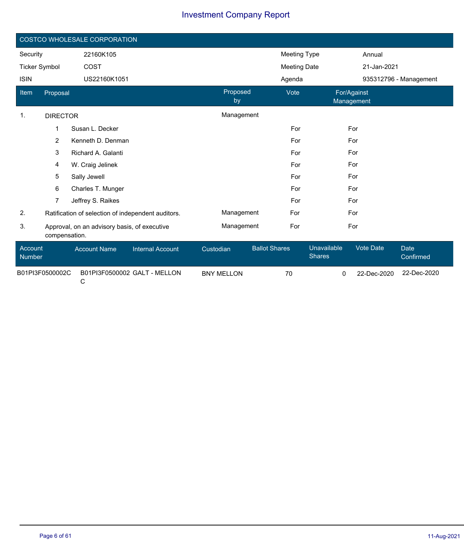|                      | COSTCO WHOLESALE CORPORATION |                                              |                                                    |                   |                      |                              |                  |                          |  |  |
|----------------------|------------------------------|----------------------------------------------|----------------------------------------------------|-------------------|----------------------|------------------------------|------------------|--------------------------|--|--|
| Security             |                              | 22160K105                                    |                                                    |                   | <b>Meeting Type</b>  |                              | Annual           |                          |  |  |
| <b>Ticker Symbol</b> |                              | COST                                         |                                                    |                   | <b>Meeting Date</b>  |                              | 21-Jan-2021      |                          |  |  |
| <b>ISIN</b>          |                              | US22160K1051                                 |                                                    |                   | Agenda               |                              |                  | 935312796 - Management   |  |  |
| Item                 | Proposal                     |                                              |                                                    | Proposed<br>by    | Vote                 | For/Against<br>Management    |                  |                          |  |  |
| $\mathbf{1}$ .       | <b>DIRECTOR</b>              |                                              |                                                    | Management        |                      |                              |                  |                          |  |  |
|                      | 1                            | Susan L. Decker                              |                                                    |                   | For                  | For                          |                  |                          |  |  |
|                      | 2                            | Kenneth D. Denman                            |                                                    |                   | For                  | For                          |                  |                          |  |  |
|                      | 3                            | Richard A. Galanti                           |                                                    |                   | For                  | For                          |                  |                          |  |  |
|                      | 4                            | W. Craig Jelinek                             |                                                    |                   | For                  | For                          |                  |                          |  |  |
|                      | 5                            | Sally Jewell                                 |                                                    |                   | For                  | For                          |                  |                          |  |  |
|                      | 6                            | Charles T. Munger                            |                                                    |                   | For                  | For                          |                  |                          |  |  |
|                      | 7.                           | Jeffrey S. Raikes                            |                                                    |                   | For                  | For                          |                  |                          |  |  |
| 2.                   |                              |                                              | Ratification of selection of independent auditors. | Management        | For                  | For                          |                  |                          |  |  |
| 3.                   | compensation.                | Approval, on an advisory basis, of executive |                                                    | Management        | For                  | For                          |                  |                          |  |  |
| Account<br>Number    |                              | <b>Account Name</b>                          | <b>Internal Account</b>                            | Custodian         | <b>Ballot Shares</b> | Unavailable<br><b>Shares</b> | <b>Vote Date</b> | <b>Date</b><br>Confirmed |  |  |
| B01PI3F0500002C      |                              |                                              | B01PI3F0500002 GALT - MELLON                       | <b>BNY MELLON</b> | 70                   | 0                            | 22-Dec-2020      | 22-Dec-2020              |  |  |

C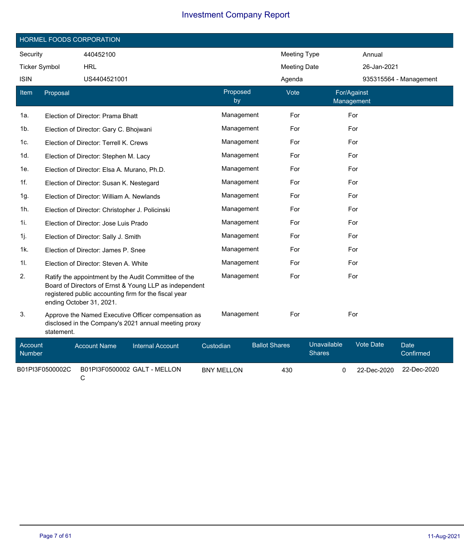|                          | HORMEL FOODS CORPORATION |                                                 |                                                                                                                                                                         |           |                   |                      |                     |                              |                  |                        |
|--------------------------|--------------------------|-------------------------------------------------|-------------------------------------------------------------------------------------------------------------------------------------------------------------------------|-----------|-------------------|----------------------|---------------------|------------------------------|------------------|------------------------|
| Security                 |                          | 440452100                                       |                                                                                                                                                                         |           |                   |                      | <b>Meeting Type</b> |                              | Annual           |                        |
| <b>Ticker Symbol</b>     |                          | <b>HRL</b>                                      |                                                                                                                                                                         |           |                   |                      | <b>Meeting Date</b> |                              | 26-Jan-2021      |                        |
| <b>ISIN</b>              |                          | US4404521001                                    |                                                                                                                                                                         |           |                   |                      | Agenda              |                              |                  | 935315564 - Management |
| Item                     | Proposal                 |                                                 |                                                                                                                                                                         |           | Proposed<br>by    |                      | Vote                | For/Against<br>Management    |                  |                        |
| 1а.                      |                          | Election of Director: Prama Bhatt               |                                                                                                                                                                         |           | Management        |                      | For                 |                              | For              |                        |
| 1b.                      |                          | Election of Director: Gary C. Bhojwani          |                                                                                                                                                                         |           | Management        |                      | For                 |                              | For              |                        |
| 1c.                      |                          | Election of Director: Terrell K. Crews          |                                                                                                                                                                         |           | Management        |                      | For                 |                              | For              |                        |
| 1d.                      |                          | Election of Director: Stephen M. Lacy           |                                                                                                                                                                         |           | Management        |                      | For                 |                              | For              |                        |
| 1e.                      |                          | Election of Director: Elsa A. Murano, Ph.D.     |                                                                                                                                                                         |           | Management        |                      | For                 |                              | For              |                        |
| 1f.                      |                          | Election of Director: Susan K. Nestegard        |                                                                                                                                                                         |           | Management        |                      | For                 |                              | For              |                        |
| 1g.                      |                          | Election of Director: William A. Newlands       |                                                                                                                                                                         |           | Management        |                      | For                 |                              | For              |                        |
| 1h.                      |                          | Election of Director: Christopher J. Policinski |                                                                                                                                                                         |           | Management        |                      | For                 |                              | For              |                        |
| 1i.                      |                          | Election of Director: Jose Luis Prado           |                                                                                                                                                                         |           | Management        |                      | For                 |                              | For              |                        |
| 1j.                      |                          | Election of Director: Sally J. Smith            |                                                                                                                                                                         |           | Management        |                      | For                 |                              | For              |                        |
| 1k.                      |                          | Election of Director: James P. Snee             |                                                                                                                                                                         |           | Management        |                      | For                 |                              | For              |                        |
| 11.                      |                          | Election of Director: Steven A. White           |                                                                                                                                                                         |           | Management        |                      | For                 |                              | For              |                        |
| 2.                       |                          | ending October 31, 2021.                        | Ratify the appointment by the Audit Committee of the<br>Board of Directors of Ernst & Young LLP as independent<br>registered public accounting firm for the fiscal year |           | Management        |                      | For                 |                              | For              |                        |
| 3.                       | statement.               |                                                 | Approve the Named Executive Officer compensation as<br>disclosed in the Company's 2021 annual meeting proxy                                                             |           | Management        |                      | For                 |                              | For              |                        |
| Account<br><b>Number</b> |                          | <b>Account Name</b>                             | <b>Internal Account</b>                                                                                                                                                 | Custodian |                   | <b>Ballot Shares</b> |                     | Unavailable<br><b>Shares</b> | <b>Vote Date</b> | Date<br>Confirmed      |
|                          | B01PI3F0500002C          |                                                 | B01PI3F0500002 GALT - MELLON                                                                                                                                            |           | <b>BNY MELLON</b> |                      | 430                 | 0                            | 22-Dec-2020      | 22-Dec-2020            |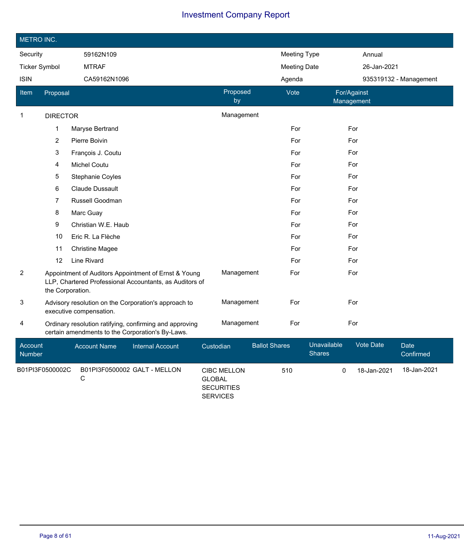|                      | METRO INC.       |                         |                                                                                                                 |           |                    |                      |                     |                              |                           |             |                          |
|----------------------|------------------|-------------------------|-----------------------------------------------------------------------------------------------------------------|-----------|--------------------|----------------------|---------------------|------------------------------|---------------------------|-------------|--------------------------|
| Security             |                  | 59162N109               |                                                                                                                 |           |                    |                      | <b>Meeting Type</b> |                              | Annual                    |             |                          |
| <b>Ticker Symbol</b> |                  | <b>MTRAF</b>            |                                                                                                                 |           |                    |                      | <b>Meeting Date</b> |                              |                           | 26-Jan-2021 |                          |
| <b>ISIN</b>          |                  | CA59162N1096            |                                                                                                                 |           |                    |                      | Agenda              |                              |                           |             | 935319132 - Management   |
| Item                 | Proposal         |                         |                                                                                                                 |           | Proposed<br>by     |                      | Vote                |                              | For/Against<br>Management |             |                          |
| $\mathbf{1}$         | <b>DIRECTOR</b>  |                         |                                                                                                                 |           | Management         |                      |                     |                              |                           |             |                          |
|                      | 1                | Maryse Bertrand         |                                                                                                                 |           |                    |                      | For                 |                              | For                       |             |                          |
|                      | $\overline{2}$   | Pierre Boivin           |                                                                                                                 |           |                    |                      | For                 |                              | For                       |             |                          |
|                      | 3                | François J. Coutu       |                                                                                                                 |           |                    |                      | For                 |                              | For                       |             |                          |
|                      | 4                | <b>Michel Coutu</b>     |                                                                                                                 |           |                    |                      | For                 |                              | For                       |             |                          |
|                      | 5                | Stephanie Coyles        |                                                                                                                 |           |                    |                      | For                 |                              | For                       |             |                          |
|                      | 6                | <b>Claude Dussault</b>  |                                                                                                                 |           |                    |                      | For                 |                              | For                       |             |                          |
|                      | 7                | Russell Goodman         |                                                                                                                 |           |                    |                      | For                 |                              | For                       |             |                          |
|                      | 8                | Marc Guay               |                                                                                                                 |           |                    |                      | For                 |                              | For                       |             |                          |
|                      | 9                | Christian W.E. Haub     |                                                                                                                 |           |                    |                      | For                 |                              | For                       |             |                          |
|                      | 10               | Eric R. La Flèche       |                                                                                                                 |           |                    |                      | For                 |                              | For                       |             |                          |
|                      | 11               | <b>Christine Magee</b>  |                                                                                                                 |           |                    |                      | For                 |                              | For                       |             |                          |
|                      | 12               | Line Rivard             |                                                                                                                 |           |                    |                      | For                 |                              | For                       |             |                          |
| $\overline{c}$       | the Corporation. |                         | Appointment of Auditors Appointment of Ernst & Young<br>LLP, Chartered Professional Accountants, as Auditors of |           | Management         |                      | For                 |                              | For                       |             |                          |
| 3                    |                  | executive compensation. | Advisory resolution on the Corporation's approach to                                                            |           | Management         |                      | For                 |                              | For                       |             |                          |
| 4                    |                  |                         | Ordinary resolution ratifying, confirming and approving<br>certain amendments to the Corporation's By-Laws.     |           | Management         |                      | For                 |                              | For                       |             |                          |
| Account<br>Number    |                  | <b>Account Name</b>     | <b>Internal Account</b>                                                                                         | Custodian |                    | <b>Ballot Shares</b> |                     | Unavailable<br><b>Shares</b> | Vote Date                 |             | <b>Date</b><br>Confirmed |
| B01PI3F0500002C      |                  |                         | B01PI3F0500002 GALT - MELLON                                                                                    |           | <b>CIBC MELLON</b> |                      | 510                 | 0                            |                           | 18-Jan-2021 | 18-Jan-2021              |

C GLOBAL SECURITIES SERVICES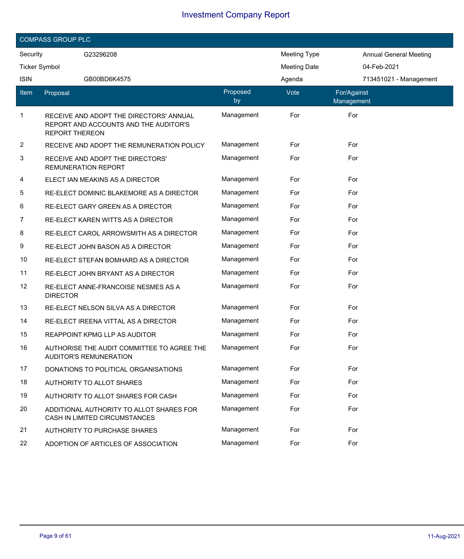|             | <b>COMPASS GROUP PLC</b>                                                                                  |                |                     |                           |                               |  |  |  |  |
|-------------|-----------------------------------------------------------------------------------------------------------|----------------|---------------------|---------------------------|-------------------------------|--|--|--|--|
| Security    | G23296208                                                                                                 |                | <b>Meeting Type</b> |                           | <b>Annual General Meeting</b> |  |  |  |  |
|             | <b>Ticker Symbol</b>                                                                                      |                | <b>Meeting Date</b> | 04-Feb-2021               |                               |  |  |  |  |
| <b>ISIN</b> | GB00BD6K4575                                                                                              |                | Agenda              |                           | 713451021 - Management        |  |  |  |  |
| ltem        | Proposal                                                                                                  | Proposed<br>by | Vote                | For/Against<br>Management |                               |  |  |  |  |
| $\mathbf 1$ | RECEIVE AND ADOPT THE DIRECTORS' ANNUAL<br>REPORT AND ACCOUNTS AND THE AUDITOR'S<br><b>REPORT THEREON</b> | Management     | For                 | For                       |                               |  |  |  |  |
| 2           | RECEIVE AND ADOPT THE REMUNERATION POLICY                                                                 | Management     | For                 | For                       |                               |  |  |  |  |
| 3           | RECEIVE AND ADOPT THE DIRECTORS'<br><b>REMUNERATION REPORT</b>                                            | Management     | For                 | For                       |                               |  |  |  |  |
| 4           | ELECT IAN MEAKINS AS A DIRECTOR                                                                           | Management     | For                 | For                       |                               |  |  |  |  |
| 5           | RE-ELECT DOMINIC BLAKEMORE AS A DIRECTOR                                                                  | Management     | For                 | For                       |                               |  |  |  |  |
| 6           | RE-ELECT GARY GREEN AS A DIRECTOR                                                                         | Management     | For                 | For                       |                               |  |  |  |  |
| 7           | RE-ELECT KAREN WITTS AS A DIRECTOR                                                                        | Management     | For                 | For                       |                               |  |  |  |  |
| 8           | RE-ELECT CAROL ARROWSMITH AS A DIRECTOR                                                                   | Management     | For                 | For                       |                               |  |  |  |  |
| 9           | RE-ELECT JOHN BASON AS A DIRECTOR                                                                         | Management     | For                 | For                       |                               |  |  |  |  |
| 10          | RE-ELECT STEFAN BOMHARD AS A DIRECTOR                                                                     | Management     | For                 | For                       |                               |  |  |  |  |
| 11          | RE-ELECT JOHN BRYANT AS A DIRECTOR                                                                        | Management     | For                 | For                       |                               |  |  |  |  |
| 12          | RE-ELECT ANNE-FRANCOISE NESMES AS A<br><b>DIRECTOR</b>                                                    | Management     | For                 | For                       |                               |  |  |  |  |
| 13          | RE-ELECT NELSON SILVA AS A DIRECTOR                                                                       | Management     | For                 | For                       |                               |  |  |  |  |
| 14          | RE-ELECT IREENA VITTAL AS A DIRECTOR                                                                      | Management     | For                 | For                       |                               |  |  |  |  |
| 15          | REAPPOINT KPMG LLP AS AUDITOR                                                                             | Management     | For                 | For                       |                               |  |  |  |  |
| 16          | AUTHORISE THE AUDIT COMMITTEE TO AGREE THE<br><b>AUDITOR'S REMUNERATION</b>                               | Management     | For                 | For                       |                               |  |  |  |  |
| 17          | DONATIONS TO POLITICAL ORGANISATIONS                                                                      | Management     | For                 | For                       |                               |  |  |  |  |
| 18          | AUTHORITY TO ALLOT SHARES                                                                                 | Management     | For                 | For                       |                               |  |  |  |  |
| 19          | AUTHORITY TO ALLOT SHARES FOR CASH                                                                        | Management     | For                 | For                       |                               |  |  |  |  |
| 20          | ADDITIONAL AUTHORITY TO ALLOT SHARES FOR<br>CASH IN LIMITED CIRCUMSTANCES                                 | Management     | For                 | For                       |                               |  |  |  |  |
| 21          | AUTHORITY TO PURCHASE SHARES                                                                              | Management     | For                 | For                       |                               |  |  |  |  |
| 22          | ADOPTION OF ARTICLES OF ASSOCIATION                                                                       | Management     | For                 | For                       |                               |  |  |  |  |

I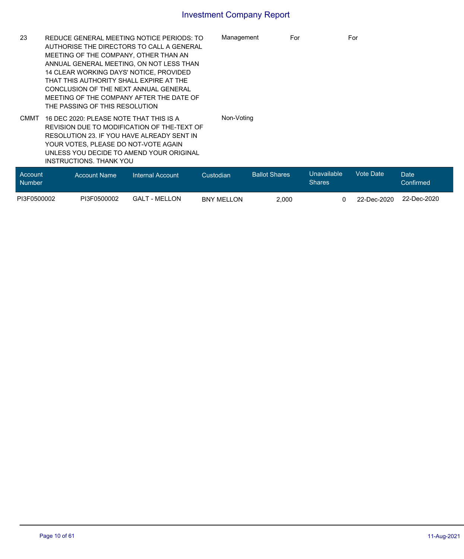| 23                       | REDUCE GENERAL MEETING NOTICE PERIODS: TO<br>AUTHORISE THE DIRECTORS TO CALL A GENERAL<br>MEETING OF THE COMPANY, OTHER THAN AN<br>ANNUAL GENERAL MEETING, ON NOT LESS THAN<br>14 CLEAR WORKING DAYS' NOTICE, PROVIDED<br>THAT THIS AUTHORITY SHALL EXPIRE AT THE<br>CONCLUSION OF THE NEXT ANNUAL GENERAL<br>MEETING OF THE COMPANY AFTER THE DATE OF |                         |                   | Management<br>For    |                              | For         |                   |
|--------------------------|--------------------------------------------------------------------------------------------------------------------------------------------------------------------------------------------------------------------------------------------------------------------------------------------------------------------------------------------------------|-------------------------|-------------------|----------------------|------------------------------|-------------|-------------------|
| <b>CMMT</b>              | THE PASSING OF THIS RESOLUTION<br>16 DEC 2020: PLEASE NOTE THAT THIS IS A<br>REVISION DUE TO MODIFICATION OF THE-TEXT OF<br>RESOLUTION 23. IF YOU HAVE ALREADY SENT IN<br>YOUR VOTES, PLEASE DO NOT-VOTE AGAIN<br>UNLESS YOU DECIDE TO AMEND YOUR ORIGINAL<br><b>INSTRUCTIONS, THANK YOU</b>                                                           |                         | Non-Voting        |                      |                              |             |                   |
| Account<br><b>Number</b> | <b>Account Name</b>                                                                                                                                                                                                                                                                                                                                    | <b>Internal Account</b> | Custodian         | <b>Ballot Shares</b> | Unavailable<br><b>Shares</b> | Vote Date   | Date<br>Confirmed |
| PI3F0500002              | PI3F0500002                                                                                                                                                                                                                                                                                                                                            | <b>GALT - MELLON</b>    | <b>BNY MELLON</b> | 2.000                | 0                            | 22-Dec-2020 | 22-Dec-2020       |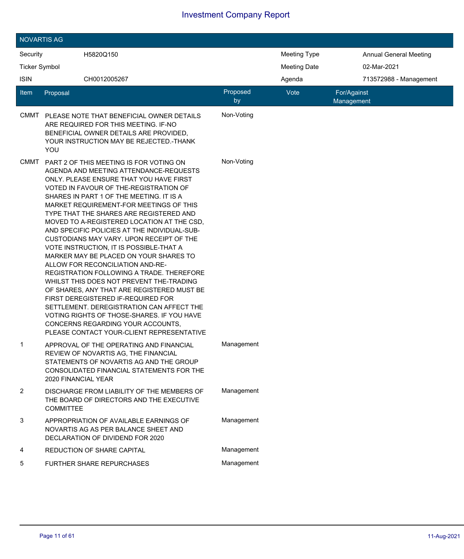|                                 | <b>NOVARTIS AG</b>                                                                                                                                                                                                                                                                                                                                                                                                                                                                                                                                                                                                                                                                                                                                                                                                                                                                       |                                                                                                                                                                         |                |                     |                               |  |  |  |  |  |
|---------------------------------|------------------------------------------------------------------------------------------------------------------------------------------------------------------------------------------------------------------------------------------------------------------------------------------------------------------------------------------------------------------------------------------------------------------------------------------------------------------------------------------------------------------------------------------------------------------------------------------------------------------------------------------------------------------------------------------------------------------------------------------------------------------------------------------------------------------------------------------------------------------------------------------|-------------------------------------------------------------------------------------------------------------------------------------------------------------------------|----------------|---------------------|-------------------------------|--|--|--|--|--|
| Security                        |                                                                                                                                                                                                                                                                                                                                                                                                                                                                                                                                                                                                                                                                                                                                                                                                                                                                                          | H5820Q150                                                                                                                                                               |                | <b>Meeting Type</b> | <b>Annual General Meeting</b> |  |  |  |  |  |
| <b>Ticker Symbol</b>            |                                                                                                                                                                                                                                                                                                                                                                                                                                                                                                                                                                                                                                                                                                                                                                                                                                                                                          |                                                                                                                                                                         |                | <b>Meeting Date</b> | 02-Mar-2021                   |  |  |  |  |  |
| <b>ISIN</b>                     |                                                                                                                                                                                                                                                                                                                                                                                                                                                                                                                                                                                                                                                                                                                                                                                                                                                                                          | CH0012005267                                                                                                                                                            |                | Agenda              | 713572988 - Management        |  |  |  |  |  |
| Item                            | Proposal                                                                                                                                                                                                                                                                                                                                                                                                                                                                                                                                                                                                                                                                                                                                                                                                                                                                                 |                                                                                                                                                                         | Proposed<br>by | Vote                | For/Against<br>Management     |  |  |  |  |  |
| <b>CMMT</b>                     | YOU                                                                                                                                                                                                                                                                                                                                                                                                                                                                                                                                                                                                                                                                                                                                                                                                                                                                                      | PLEASE NOTE THAT BENEFICIAL OWNER DETAILS<br>ARE REQUIRED FOR THIS MEETING. IF-NO<br>BENEFICIAL OWNER DETAILS ARE PROVIDED,<br>YOUR INSTRUCTION MAY BE REJECTED.-THANK  | Non-Voting     |                     |                               |  |  |  |  |  |
| <b>CMMT</b>                     | PART 2 OF THIS MEETING IS FOR VOTING ON<br>AGENDA AND MEETING ATTENDANCE-REQUESTS<br>ONLY, PLEASE ENSURE THAT YOU HAVE FIRST<br>VOTED IN FAVOUR OF THE-REGISTRATION OF<br>SHARES IN PART 1 OF THE MEETING. IT IS A<br>MARKET REQUIREMENT-FOR MEETINGS OF THIS<br>TYPE THAT THE SHARES ARE REGISTERED AND<br>MOVED TO A-REGISTERED LOCATION AT THE CSD,<br>AND SPECIFIC POLICIES AT THE INDIVIDUAL-SUB-<br>CUSTODIANS MAY VARY. UPON RECEIPT OF THE<br>VOTE INSTRUCTION, IT IS POSSIBLE-THAT A<br>MARKER MAY BE PLACED ON YOUR SHARES TO<br>ALLOW FOR RECONCILIATION AND-RE-<br>REGISTRATION FOLLOWING A TRADE. THEREFORE<br>WHILST THIS DOES NOT PREVENT THE-TRADING<br>OF SHARES, ANY THAT ARE REGISTERED MUST BE<br>FIRST DEREGISTERED IF-REQUIRED FOR<br>SETTLEMENT. DEREGISTRATION CAN AFFECT THE<br>VOTING RIGHTS OF THOSE-SHARES. IF YOU HAVE<br>CONCERNS REGARDING YOUR ACCOUNTS, |                                                                                                                                                                         | Non-Voting     |                     |                               |  |  |  |  |  |
| 1                               | 2020 FINANCIAL YEAR                                                                                                                                                                                                                                                                                                                                                                                                                                                                                                                                                                                                                                                                                                                                                                                                                                                                      | APPROVAL OF THE OPERATING AND FINANCIAL<br>REVIEW OF NOVARTIS AG, THE FINANCIAL<br>STATEMENTS OF NOVARTIS AG AND THE GROUP<br>CONSOLIDATED FINANCIAL STATEMENTS FOR THE | Management     |                     |                               |  |  |  |  |  |
| 2                               | <b>COMMITTEE</b>                                                                                                                                                                                                                                                                                                                                                                                                                                                                                                                                                                                                                                                                                                                                                                                                                                                                         | DISCHARGE FROM LIABILITY OF THE MEMBERS OF<br>THE BOARD OF DIRECTORS AND THE EXECUTIVE                                                                                  | Management     |                     |                               |  |  |  |  |  |
| 3                               |                                                                                                                                                                                                                                                                                                                                                                                                                                                                                                                                                                                                                                                                                                                                                                                                                                                                                          | APPROPRIATION OF AVAILABLE EARNINGS OF<br>NOVARTIS AG AS PER BALANCE SHEET AND<br>DECLARATION OF DIVIDEND FOR 2020                                                      | Management     |                     |                               |  |  |  |  |  |
| 4<br>REDUCTION OF SHARE CAPITAL |                                                                                                                                                                                                                                                                                                                                                                                                                                                                                                                                                                                                                                                                                                                                                                                                                                                                                          |                                                                                                                                                                         | Management     |                     |                               |  |  |  |  |  |
| 5                               |                                                                                                                                                                                                                                                                                                                                                                                                                                                                                                                                                                                                                                                                                                                                                                                                                                                                                          | <b>FURTHER SHARE REPURCHASES</b>                                                                                                                                        | Management     |                     |                               |  |  |  |  |  |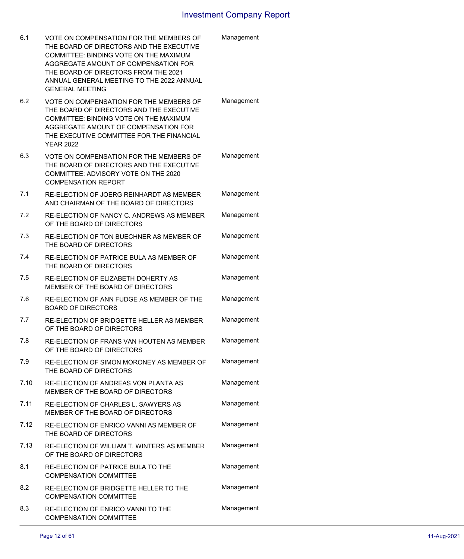| 6.1  | VOTE ON COMPENSATION FOR THE MEMBERS OF<br>THE BOARD OF DIRECTORS AND THE EXECUTIVE<br>COMMITTEE: BINDING VOTE ON THE MAXIMUM<br>AGGREGATE AMOUNT OF COMPENSATION FOR<br>THE BOARD OF DIRECTORS FROM THE 2021<br>ANNUAL GENERAL MEETING TO THE 2022 ANNUAL<br><b>GENERAL MEETING</b> | Management |
|------|--------------------------------------------------------------------------------------------------------------------------------------------------------------------------------------------------------------------------------------------------------------------------------------|------------|
| 6.2  | VOTE ON COMPENSATION FOR THE MEMBERS OF<br>THE BOARD OF DIRECTORS AND THE EXECUTIVE<br>COMMITTEE: BINDING VOTE ON THE MAXIMUM<br>AGGREGATE AMOUNT OF COMPENSATION FOR<br>THE EXECUTIVE COMMITTEE FOR THE FINANCIAL<br><b>YEAR 2022</b>                                               | Management |
| 6.3  | VOTE ON COMPENSATION FOR THE MEMBERS OF<br>THE BOARD OF DIRECTORS AND THE EXECUTIVE<br>COMMITTEE: ADVISORY VOTE ON THE 2020<br><b>COMPENSATION REPORT</b>                                                                                                                            | Management |
| 7.1  | RE-ELECTION OF JOERG REINHARDT AS MEMBER<br>AND CHAIRMAN OF THE BOARD OF DIRECTORS                                                                                                                                                                                                   | Management |
| 7.2  | RE-ELECTION OF NANCY C. ANDREWS AS MEMBER<br>OF THE BOARD OF DIRECTORS                                                                                                                                                                                                               | Management |
| 7.3  | RE-ELECTION OF TON BUECHNER AS MEMBER OF<br>THE BOARD OF DIRECTORS                                                                                                                                                                                                                   | Management |
| 7.4  | RE-ELECTION OF PATRICE BULA AS MEMBER OF<br>THE BOARD OF DIRECTORS                                                                                                                                                                                                                   | Management |
| 7.5  | RE-ELECTION OF ELIZABETH DOHERTY AS<br>MEMBER OF THE BOARD OF DIRECTORS                                                                                                                                                                                                              | Management |
| 7.6  | RE-ELECTION OF ANN FUDGE AS MEMBER OF THE<br><b>BOARD OF DIRECTORS</b>                                                                                                                                                                                                               | Management |
| 7.7  | RE-ELECTION OF BRIDGETTE HELLER AS MEMBER<br>OF THE BOARD OF DIRECTORS                                                                                                                                                                                                               | Management |
| 7.8  | RE-ELECTION OF FRANS VAN HOUTEN AS MEMBER<br>OF THE BOARD OF DIRECTORS                                                                                                                                                                                                               | Management |
| 7.9  | RE-ELECTION OF SIMON MORONEY AS MEMBER OF<br>THE BOARD OF DIRECTORS                                                                                                                                                                                                                  | Management |
| 7.10 | RE-ELECTION OF ANDREAS VON PLANTA AS<br>MEMBER OF THE BOARD OF DIRECTORS                                                                                                                                                                                                             | Management |
| 7.11 | RE-ELECTION OF CHARLES L. SAWYERS AS<br>MEMBER OF THE BOARD OF DIRECTORS                                                                                                                                                                                                             | Management |
| 7.12 | RE-ELECTION OF ENRICO VANNI AS MEMBER OF<br>THE BOARD OF DIRECTORS                                                                                                                                                                                                                   | Management |
| 7.13 | RE-ELECTION OF WILLIAM T. WINTERS AS MEMBER<br>OF THE BOARD OF DIRECTORS                                                                                                                                                                                                             | Management |
| 8.1  | RE-ELECTION OF PATRICE BULA TO THE<br><b>COMPENSATION COMMITTEE</b>                                                                                                                                                                                                                  | Management |
| 8.2  | RE-ELECTION OF BRIDGETTE HELLER TO THE<br><b>COMPENSATION COMMITTEE</b>                                                                                                                                                                                                              | Management |
| 8.3  | RE-ELECTION OF ENRICO VANNI TO THE<br><b>COMPENSATION COMMITTEE</b>                                                                                                                                                                                                                  | Management |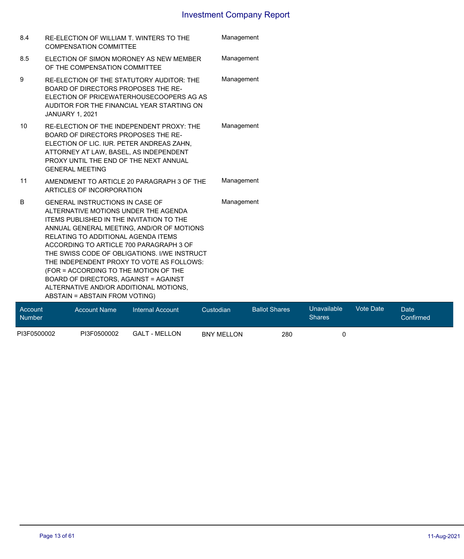| 8.4 | RE-ELECTION OF WILLIAM T. WINTERS TO THE<br><b>COMPENSATION COMMITTEE</b>                                                                                                                                                                                                                                                                                                                                                                                                                                                   | Management                                                         |
|-----|-----------------------------------------------------------------------------------------------------------------------------------------------------------------------------------------------------------------------------------------------------------------------------------------------------------------------------------------------------------------------------------------------------------------------------------------------------------------------------------------------------------------------------|--------------------------------------------------------------------|
| 8.5 | ELECTION OF SIMON MORONEY AS NEW MEMBER<br>OF THE COMPENSATION COMMITTEE                                                                                                                                                                                                                                                                                                                                                                                                                                                    | Management                                                         |
| 9   | RE-ELECTION OF THE STATUTORY AUDITOR: THE<br>BOARD OF DIRECTORS PROPOSES THE RE-<br>ELECTION OF PRICEWATERHOUSECOOPERS AG AS<br>AUDITOR FOR THE FINANCIAL YEAR STARTING ON<br><b>JANUARY 1, 2021</b>                                                                                                                                                                                                                                                                                                                        | Management                                                         |
| 10  | RE-ELECTION OF THE INDEPENDENT PROXY: THE<br>BOARD OF DIRECTORS PROPOSES THE RE-<br>ELECTION OF LIC. IUR. PETER ANDREAS ZAHN,<br>ATTORNEY AT LAW, BASEL, AS INDEPENDENT<br>PROXY UNTIL THE END OF THE NEXT ANNUAL<br><b>GENERAL MEETING</b>                                                                                                                                                                                                                                                                                 | Management                                                         |
| 11  | AMENDMENT TO ARTICLE 20 PARAGRAPH 3 OF THE<br>ARTICLES OF INCORPORATION                                                                                                                                                                                                                                                                                                                                                                                                                                                     | Management                                                         |
| B   | GENERAL INSTRUCTIONS IN CASE OF<br>ALTERNATIVE MOTIONS UNDER THE AGENDA<br><b>ITEMS PUBLISHED IN THE INVITATION TO THE</b><br>ANNUAL GENERAL MEETING, AND/OR OF MOTIONS<br>RELATING TO ADDITIONAL AGENDA ITEMS<br>ACCORDING TO ARTICLE 700 PARAGRAPH 3 OF<br>THE SWISS CODE OF OBLIGATIONS. I/WE INSTRUCT<br>THE INDEPENDENT PROXY TO VOTE AS FOLLOWS:<br>(FOR = ACCORDING TO THE MOTION OF THE<br>BOARD OF DIRECTORS, AGAINST = AGAINST<br>ALTERNATIVE AND/OR ADDITIONAL MOTIONS,<br><b>ABSTAIN = ABSTAIN FROM VOTING)</b> | Management                                                         |
|     |                                                                                                                                                                                                                                                                                                                                                                                                                                                                                                                             | <b>STATE OF STREET AND REAL</b><br>$\mathcal{M}$ and $\mathcal{M}$ |

| Account<br>Number | Account Name | Internal Account     | Custodian         | <b>Ballot Shares</b> | Unavailable<br><b>Shares</b> | Vote Date | <b>Date</b><br>Confirmed |
|-------------------|--------------|----------------------|-------------------|----------------------|------------------------------|-----------|--------------------------|
| PI3F0500002       | PI3F0500002  | <b>GALT - MELLON</b> | <b>BNY MELLON</b> | 280                  |                              |           |                          |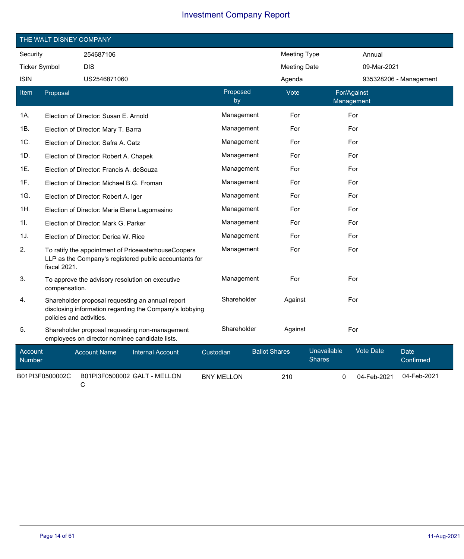|                          | THE WALT DISNEY COMPANY  |                                                |                                                                                                               |           |                   |                      |                     |                              |                           |             |                          |
|--------------------------|--------------------------|------------------------------------------------|---------------------------------------------------------------------------------------------------------------|-----------|-------------------|----------------------|---------------------|------------------------------|---------------------------|-------------|--------------------------|
| Security                 |                          | 254687106                                      |                                                                                                               |           |                   |                      | <b>Meeting Type</b> |                              |                           | Annual      |                          |
| <b>Ticker Symbol</b>     |                          | <b>DIS</b>                                     |                                                                                                               |           |                   |                      | <b>Meeting Date</b> |                              |                           | 09-Mar-2021 |                          |
| <b>ISIN</b>              |                          | US2546871060                                   |                                                                                                               |           |                   |                      | Agenda              |                              |                           |             | 935328206 - Management   |
| <b>Item</b>              | Proposal                 |                                                |                                                                                                               |           | Proposed<br>by    |                      | Vote                |                              | For/Against<br>Management |             |                          |
| 1A.                      |                          | Election of Director: Susan E. Arnold          |                                                                                                               |           | Management        |                      | For                 |                              | For                       |             |                          |
| 1B.                      |                          | Election of Director: Mary T. Barra            |                                                                                                               |           | Management        |                      | For                 |                              | For                       |             |                          |
| 1C.                      |                          | Election of Director: Safra A. Catz            |                                                                                                               |           | Management        |                      | For                 |                              | For                       |             |                          |
| 1D.                      |                          | Election of Director: Robert A. Chapek         |                                                                                                               |           | Management        |                      | For                 |                              | For                       |             |                          |
| 1E.                      |                          | Election of Director: Francis A. deSouza       |                                                                                                               |           | Management        |                      | For                 |                              | For                       |             |                          |
| 1F.                      |                          | Election of Director: Michael B.G. Froman      |                                                                                                               |           | Management        |                      | For                 |                              | For                       |             |                          |
| 1G.                      |                          | Election of Director: Robert A. Iger           |                                                                                                               |           | Management        |                      | For                 |                              | For                       |             |                          |
| 1H.                      |                          | Election of Director: Maria Elena Lagomasino   |                                                                                                               |           | Management        |                      | For                 |                              | For                       |             |                          |
| 11.                      |                          | Election of Director: Mark G. Parker           |                                                                                                               |           | Management        |                      | For                 |                              | For                       |             |                          |
| 1J.                      |                          | Election of Director: Derica W. Rice           |                                                                                                               |           | Management        |                      | For                 |                              | For                       |             |                          |
| 2.                       | fiscal 2021.             |                                                | To ratify the appointment of PricewaterhouseCoopers<br>LLP as the Company's registered public accountants for |           | Management        |                      | For                 |                              | For                       |             |                          |
| 3.                       | compensation.            |                                                | To approve the advisory resolution on executive                                                               |           | Management        |                      | For                 |                              | For                       |             |                          |
| 4.                       | policies and activities. |                                                | Shareholder proposal requesting an annual report<br>disclosing information regarding the Company's lobbying   |           | Shareholder       |                      | Against             |                              | For                       |             |                          |
| 5.                       |                          | employees on director nominee candidate lists. | Shareholder proposal requesting non-management                                                                |           | Shareholder       |                      | Against             |                              | For                       |             |                          |
| Account<br><b>Number</b> |                          | <b>Account Name</b>                            | <b>Internal Account</b>                                                                                       | Custodian |                   | <b>Ballot Shares</b> |                     | Unavailable<br><b>Shares</b> |                           | Vote Date   | <b>Date</b><br>Confirmed |
|                          | B01PI3F0500002C          | C                                              | B01PI3F0500002 GALT - MELLON                                                                                  |           | <b>BNY MELLON</b> |                      | 210                 | 0                            |                           | 04-Feb-2021 | 04-Feb-2021              |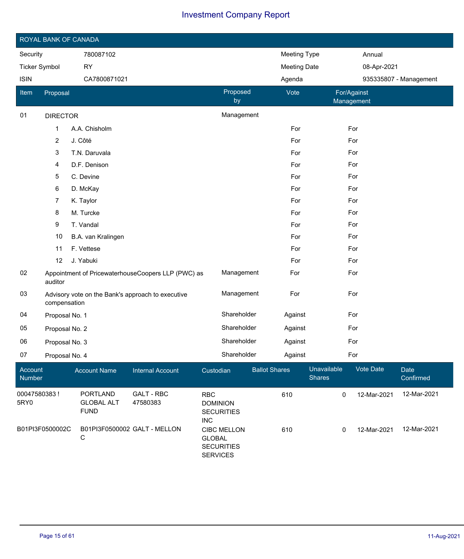|                      | ROYAL BANK OF CANADA |                                                     |                                                    |                                             |                                         |                      |                     |                              |                           |             |                        |
|----------------------|----------------------|-----------------------------------------------------|----------------------------------------------------|---------------------------------------------|-----------------------------------------|----------------------|---------------------|------------------------------|---------------------------|-------------|------------------------|
| Security             |                      | 780087102                                           |                                                    |                                             |                                         |                      | Meeting Type        |                              |                           | Annual      |                        |
| <b>Ticker Symbol</b> |                      | <b>RY</b>                                           |                                                    |                                             |                                         |                      | <b>Meeting Date</b> |                              |                           | 08-Apr-2021 |                        |
| <b>ISIN</b>          |                      | CA7800871021                                        |                                                    |                                             |                                         |                      | Agenda              |                              |                           |             | 935335807 - Management |
| Item                 | Proposal             |                                                     |                                                    |                                             | Proposed<br>by                          |                      | Vote                |                              | For/Against<br>Management |             |                        |
| 01                   | <b>DIRECTOR</b>      |                                                     |                                                    |                                             | Management                              |                      |                     |                              |                           |             |                        |
|                      | 1                    | A.A. Chisholm                                       |                                                    |                                             |                                         |                      | For                 |                              | For                       |             |                        |
|                      | $\overline{c}$       | J. Côté                                             |                                                    |                                             |                                         |                      | For                 |                              | For                       |             |                        |
|                      | 3                    | T.N. Daruvala                                       |                                                    |                                             |                                         |                      | For                 |                              | For                       |             |                        |
|                      | 4                    | D.F. Denison                                        |                                                    |                                             |                                         |                      | For                 |                              | For                       |             |                        |
|                      | 5                    | C. Devine                                           |                                                    |                                             |                                         |                      | For                 |                              | For                       |             |                        |
|                      | 6                    | D. McKay                                            |                                                    |                                             |                                         |                      | For                 |                              | For                       |             |                        |
|                      | $\overline{7}$       | K. Taylor                                           |                                                    |                                             |                                         |                      | For                 |                              | For                       |             |                        |
|                      | 8                    | M. Turcke                                           |                                                    |                                             |                                         |                      | For                 |                              | For                       |             |                        |
|                      | 9                    | T. Vandal                                           |                                                    |                                             |                                         |                      | For                 |                              | For                       |             |                        |
|                      | 10                   | B.A. van Kralingen                                  |                                                    |                                             |                                         |                      | For                 |                              | For                       |             |                        |
|                      | 11                   | F. Vettese                                          |                                                    |                                             |                                         |                      | For                 |                              | For                       |             |                        |
|                      | 12                   | J. Yabuki                                           |                                                    |                                             |                                         |                      | For                 |                              | For                       |             |                        |
| 02                   | auditor              |                                                     | Appointment of PricewaterhouseCoopers LLP (PWC) as |                                             | Management                              |                      | For                 |                              | For                       |             |                        |
| 03                   | compensation         |                                                     | Advisory vote on the Bank's approach to executive  |                                             | Management                              |                      | For                 |                              | For                       |             |                        |
| 04                   | Proposal No. 1       |                                                     |                                                    |                                             | Shareholder                             |                      | Against             |                              | For                       |             |                        |
| 05                   | Proposal No. 2       |                                                     |                                                    |                                             | Shareholder                             |                      | Against             |                              | For                       |             |                        |
| 06                   | Proposal No. 3       |                                                     |                                                    |                                             | Shareholder                             |                      | Against             |                              | For                       |             |                        |
| 07                   | Proposal No. 4       |                                                     |                                                    |                                             | Shareholder                             |                      | Against             |                              | For                       |             |                        |
| Account<br>Number    |                      | <b>Account Name</b>                                 | <b>Internal Account</b>                            | Custodian                                   |                                         | <b>Ballot Shares</b> |                     | Unavailable<br><b>Shares</b> |                           | Vote Date   | Date<br>Confirmed      |
| 00047580383!<br>5RY0 |                      | <b>PORTLAND</b><br><b>GLOBAL ALT</b><br><b>FUND</b> | <b>GALT - RBC</b><br>47580383                      | <b>RBC</b><br><b>DOMINION</b><br><b>INC</b> | <b>SECURITIES</b>                       |                      | 610                 | 0                            |                           | 12-Mar-2021 | 12-Mar-2021            |
|                      | B01PI3F0500002C      | B01PI3F0500002 GALT - MELLON<br>С                   |                                                    | <b>GLOBAL</b><br><b>SERVICES</b>            | <b>CIBC MELLON</b><br><b>SECURITIES</b> |                      | 610                 | 0                            |                           | 12-Mar-2021 | 12-Mar-2021            |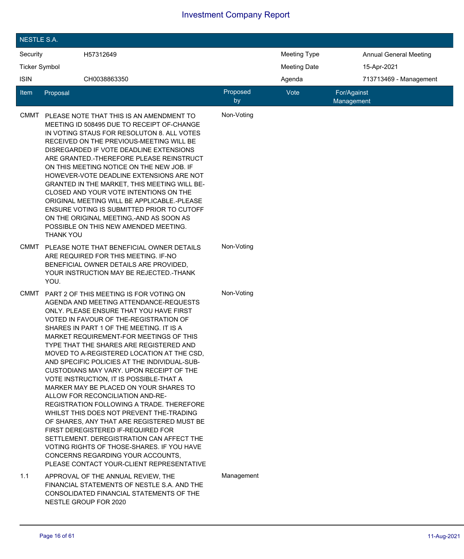| <b>NESTLE S.A.</b>   |                  |                                                                                                                                                                                                                                                                                                                                                                                                                                                                                                                                                                                                                                                                                                                                                                                                                                                                                                                                       |                |                     |                               |
|----------------------|------------------|---------------------------------------------------------------------------------------------------------------------------------------------------------------------------------------------------------------------------------------------------------------------------------------------------------------------------------------------------------------------------------------------------------------------------------------------------------------------------------------------------------------------------------------------------------------------------------------------------------------------------------------------------------------------------------------------------------------------------------------------------------------------------------------------------------------------------------------------------------------------------------------------------------------------------------------|----------------|---------------------|-------------------------------|
| Security             |                  | H57312649                                                                                                                                                                                                                                                                                                                                                                                                                                                                                                                                                                                                                                                                                                                                                                                                                                                                                                                             |                | <b>Meeting Type</b> | <b>Annual General Meeting</b> |
| <b>Ticker Symbol</b> |                  |                                                                                                                                                                                                                                                                                                                                                                                                                                                                                                                                                                                                                                                                                                                                                                                                                                                                                                                                       |                | <b>Meeting Date</b> | 15-Apr-2021                   |
| <b>ISIN</b>          |                  | CH0038863350                                                                                                                                                                                                                                                                                                                                                                                                                                                                                                                                                                                                                                                                                                                                                                                                                                                                                                                          |                | Agenda              | 713713469 - Management        |
| ltem                 | Proposal         |                                                                                                                                                                                                                                                                                                                                                                                                                                                                                                                                                                                                                                                                                                                                                                                                                                                                                                                                       | Proposed<br>by | Vote                | For/Against<br>Management     |
| <b>CMMT</b>          | <b>THANK YOU</b> | PLEASE NOTE THAT THIS IS AN AMENDMENT TO<br>MEETING ID 508495 DUE TO RECEIPT OF-CHANGE<br>IN VOTING STAUS FOR RESOLUTON 8. ALL VOTES<br>RECEIVED ON THE PREVIOUS-MEETING WILL BE<br>DISREGARDED IF VOTE DEADLINE EXTENSIONS<br>ARE GRANTED.-THEREFORE PLEASE REINSTRUCT<br>ON THIS MEETING NOTICE ON THE NEW JOB. IF<br>HOWEVER-VOTE DEADLINE EXTENSIONS ARE NOT<br>GRANTED IN THE MARKET, THIS MEETING WILL BE-<br>CLOSED AND YOUR VOTE INTENTIONS ON THE<br>ORIGINAL MEETING WILL BE APPLICABLE.-PLEASE<br>ENSURE VOTING IS SUBMITTED PRIOR TO CUTOFF<br>ON THE ORIGINAL MEETING,-AND AS SOON AS<br>POSSIBLE ON THIS NEW AMENDED MEETING.                                                                                                                                                                                                                                                                                           | Non-Voting     |                     |                               |
| <b>CMMT</b>          | YOU.             | PLEASE NOTE THAT BENEFICIAL OWNER DETAILS<br>ARE REQUIRED FOR THIS MEETING. IF-NO<br>BENEFICIAL OWNER DETAILS ARE PROVIDED,<br>YOUR INSTRUCTION MAY BE REJECTED.-THANK                                                                                                                                                                                                                                                                                                                                                                                                                                                                                                                                                                                                                                                                                                                                                                | Non-Voting     |                     |                               |
| <b>CMMT</b>          |                  | PART 2 OF THIS MEETING IS FOR VOTING ON<br>AGENDA AND MEETING ATTENDANCE-REQUESTS<br>ONLY, PLEASE ENSURE THAT YOU HAVE FIRST<br>VOTED IN FAVOUR OF THE-REGISTRATION OF<br>SHARES IN PART 1 OF THE MEETING. IT IS A<br>MARKET REQUIREMENT-FOR MEETINGS OF THIS<br>TYPE THAT THE SHARES ARE REGISTERED AND<br>MOVED TO A-REGISTERED LOCATION AT THE CSD,<br>AND SPECIFIC POLICIES AT THE INDIVIDUAL-SUB-<br>CUSTODIANS MAY VARY, UPON RECEIPT OF THE<br>VOTE INSTRUCTION, IT IS POSSIBLE-THAT A<br>MARKER MAY BE PLACED ON YOUR SHARES TO<br>ALLOW FOR RECONCILIATION AND-RE-<br>REGISTRATION FOLLOWING A TRADE. THEREFORE<br>WHILST THIS DOES NOT PREVENT THE-TRADING<br>OF SHARES, ANY THAT ARE REGISTERED MUST BE<br>FIRST DEREGISTERED IF-REQUIRED FOR<br>SETTLEMENT, DEREGISTRATION CAN AFFECT THE<br>VOTING RIGHTS OF THOSE-SHARES. IF YOU HAVE<br>CONCERNS REGARDING YOUR ACCOUNTS,<br>PLEASE CONTACT YOUR-CLIENT REPRESENTATIVE | Non-Voting     |                     |                               |
| 1.1                  |                  | APPROVAL OF THE ANNUAL REVIEW, THE<br>FINANCIAL STATEMENTS OF NESTLE S.A. AND THE<br>CONSOLIDATED FINANCIAL STATEMENTS OF THE<br>NESTLE GROUP FOR 2020                                                                                                                                                                                                                                                                                                                                                                                                                                                                                                                                                                                                                                                                                                                                                                                | Management     |                     |                               |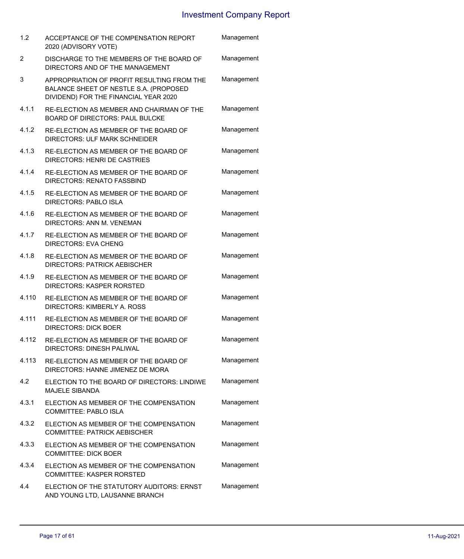| 1.2   | ACCEPTANCE OF THE COMPENSATION REPORT<br>2020 (ADVISORY VOTE)                                                                 | Management |
|-------|-------------------------------------------------------------------------------------------------------------------------------|------------|
| 2     | DISCHARGE TO THE MEMBERS OF THE BOARD OF<br>DIRECTORS AND OF THE MANAGEMENT                                                   | Management |
| 3     | APPROPRIATION OF PROFIT RESULTING FROM THE<br>BALANCE SHEET OF NESTLE S.A. (PROPOSED<br>DIVIDEND) FOR THE FINANCIAL YEAR 2020 | Management |
| 4.1.1 | RE-ELECTION AS MEMBER AND CHAIRMAN OF THE<br><b>BOARD OF DIRECTORS: PAUL BULCKE</b>                                           | Management |
| 4.1.2 | RE-ELECTION AS MEMBER OF THE BOARD OF<br>DIRECTORS: ULF MARK SCHNEIDER                                                        | Management |
| 4.1.3 | RE-ELECTION AS MEMBER OF THE BOARD OF<br><b>DIRECTORS: HENRI DE CASTRIES</b>                                                  | Management |
| 4.1.4 | RE-ELECTION AS MEMBER OF THE BOARD OF<br><b>DIRECTORS: RENATO FASSBIND</b>                                                    | Management |
| 4.1.5 | RE-ELECTION AS MEMBER OF THE BOARD OF<br><b>DIRECTORS: PABLO ISLA</b>                                                         | Management |
| 4.1.6 | RE-ELECTION AS MEMBER OF THE BOARD OF<br>DIRECTORS: ANN M. VENEMAN                                                            | Management |
| 4.1.7 | RE-ELECTION AS MEMBER OF THE BOARD OF<br>DIRECTORS: EVA CHENG                                                                 | Management |
| 4.1.8 | RE-ELECTION AS MEMBER OF THE BOARD OF<br><b>DIRECTORS: PATRICK AEBISCHER</b>                                                  | Management |
| 4.1.9 | RE-ELECTION AS MEMBER OF THE BOARD OF<br>DIRECTORS: KASPER RORSTED                                                            | Management |
| 4.110 | RE-ELECTION AS MEMBER OF THE BOARD OF<br>DIRECTORS: KIMBERLY A. ROSS                                                          | Management |
| 4.111 | RE-ELECTION AS MEMBER OF THE BOARD OF<br><b>DIRECTORS: DICK BOER</b>                                                          | Management |
| 4.112 | RE-ELECTION AS MEMBER OF THE BOARD OF<br>DIRECTORS: DINESH PALIWAL                                                            | Management |
| 4.113 | RE-ELECTION AS MEMBER OF THE BOARD OF<br>DIRECTORS: HANNE JIMENEZ DE MORA                                                     | Management |
| 4.2   | ELECTION TO THE BOARD OF DIRECTORS: LINDIWE<br><b>MAJELE SIBANDA</b>                                                          | Management |
| 4.3.1 | ELECTION AS MEMBER OF THE COMPENSATION<br><b>COMMITTEE: PABLO ISLA</b>                                                        | Management |
| 4.3.2 | ELECTION AS MEMBER OF THE COMPENSATION<br><b>COMMITTEE: PATRICK AEBISCHER</b>                                                 | Management |
| 4.3.3 | ELECTION AS MEMBER OF THE COMPENSATION<br><b>COMMITTEE: DICK BOER</b>                                                         | Management |
| 4.3.4 | ELECTION AS MEMBER OF THE COMPENSATION<br><b>COMMITTEE: KASPER RORSTED</b>                                                    | Management |
| 4.4   | ELECTION OF THE STATUTORY AUDITORS: ERNST<br>AND YOUNG LTD, LAUSANNE BRANCH                                                   | Management |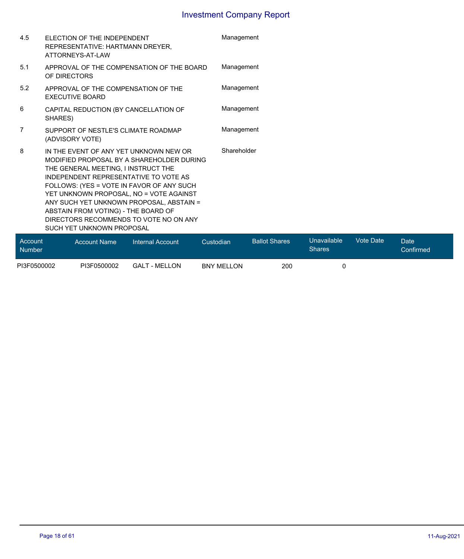| Account |                                                                                                                                                                                                                                                                                                                                                                                                                       |             |  |  |
|---------|-----------------------------------------------------------------------------------------------------------------------------------------------------------------------------------------------------------------------------------------------------------------------------------------------------------------------------------------------------------------------------------------------------------------------|-------------|--|--|
| 8       | IN THE EVENT OF ANY YET UNKNOWN NEW OR<br>MODIFIED PROPOSAL BY A SHAREHOLDER DURING<br>THE GENERAL MEETING, I INSTRUCT THE<br>INDEPENDENT REPRESENTATIVE TO VOTE AS<br>FOLLOWS: (YES = VOTE IN FAVOR OF ANY SUCH<br>YET UNKNOWN PROPOSAL, NO = VOTE AGAINST<br>ANY SUCH YET UNKNOWN PROPOSAL, ABSTAIN =<br>ABSTAIN FROM VOTING) - THE BOARD OF<br>DIRECTORS RECOMMENDS TO VOTE NO ON ANY<br>SUCH YET UNKNOWN PROPOSAL | Shareholder |  |  |
| 7       | SUPPORT OF NESTLE'S CLIMATE ROADMAP<br>(ADVISORY VOTE)                                                                                                                                                                                                                                                                                                                                                                | Management  |  |  |
| 6       | CAPITAL REDUCTION (BY CANCELLATION OF<br>SHARES)                                                                                                                                                                                                                                                                                                                                                                      | Management  |  |  |
| 5.2     | APPROVAL OF THE COMPENSATION OF THE<br><b>EXECUTIVE BOARD</b>                                                                                                                                                                                                                                                                                                                                                         | Management  |  |  |
| 5.1     | APPROVAL OF THE COMPENSATION OF THE BOARD<br>OF DIRECTORS                                                                                                                                                                                                                                                                                                                                                             | Management  |  |  |
| 4.5     | ELECTION OF THE INDEPENDENT<br>REPRESENTATIVE: HARTMANN DREYER.<br>ATTORNEYS-AT-LAW                                                                                                                                                                                                                                                                                                                                   | Management  |  |  |

| Account<br>Number | <b>Account Name</b> | Internal Account     | Custodian         | <b>Ballot Shares</b> | Unavailable<br><b>Shares</b> | Vote Date | Date <sup>1</sup><br>Confirmed |  |
|-------------------|---------------------|----------------------|-------------------|----------------------|------------------------------|-----------|--------------------------------|--|
| PI3F0500002       | PI3F0500002         | <b>GALT - MELLON</b> | <b>BNY MELLON</b> | 200                  |                              |           |                                |  |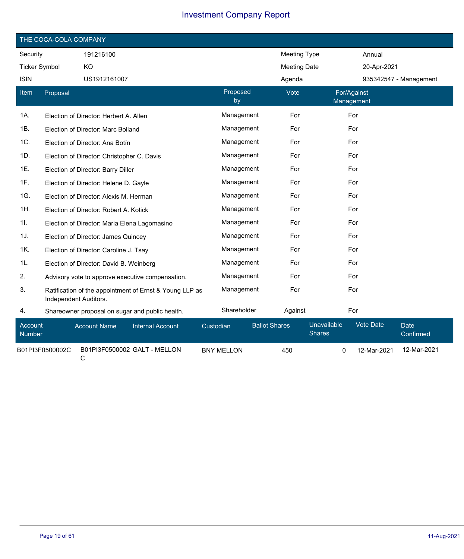|                      | THE COCA-COLA COMPANY |                                              |                                                         |           |                   |                      |                     |                              |                           |                          |  |
|----------------------|-----------------------|----------------------------------------------|---------------------------------------------------------|-----------|-------------------|----------------------|---------------------|------------------------------|---------------------------|--------------------------|--|
| Security             |                       | 191216100                                    |                                                         |           |                   |                      | Meeting Type        |                              | Annual                    |                          |  |
| <b>Ticker Symbol</b> |                       | KO                                           |                                                         |           |                   |                      | <b>Meeting Date</b> |                              | 20-Apr-2021               |                          |  |
| <b>ISIN</b>          |                       | US1912161007                                 |                                                         |           |                   |                      | Agenda              |                              |                           | 935342547 - Management   |  |
| Item                 | Proposal              |                                              |                                                         |           | Proposed<br>by    |                      | Vote                |                              | For/Against<br>Management |                          |  |
| 1A.                  |                       | Election of Director: Herbert A. Allen       |                                                         |           | Management        |                      | For                 |                              | For                       |                          |  |
| 1B.                  |                       | Election of Director: Marc Bolland           |                                                         |           | Management        |                      | For                 |                              | For                       |                          |  |
| 1C.                  |                       | Election of Director: Ana Botín              |                                                         |           | Management        |                      | For                 |                              | For                       |                          |  |
| 1D.                  |                       | Election of Director: Christopher C. Davis   |                                                         |           | Management        |                      | For                 |                              | For                       |                          |  |
| 1E.                  |                       | Election of Director: Barry Diller           |                                                         |           | Management        |                      | For                 |                              | For                       |                          |  |
| 1F.                  |                       | Election of Director: Helene D. Gayle        |                                                         |           | Management        |                      | For                 |                              | For                       |                          |  |
| 1G.                  |                       | Election of Director: Alexis M. Herman       |                                                         |           | Management        |                      | For                 |                              | For                       |                          |  |
| 1H.                  |                       | Election of Director: Robert A. Kotick       |                                                         |           | Management        |                      | For                 |                              | For                       |                          |  |
| 1I.                  |                       | Election of Director: Maria Elena Lagomasino |                                                         |           | Management        |                      | For                 |                              | For                       |                          |  |
| 1J.                  |                       | Election of Director: James Quincey          |                                                         |           | Management        |                      | For                 |                              | For                       |                          |  |
| 1K.                  |                       | Election of Director: Caroline J. Tsay       |                                                         |           | Management        |                      | For                 |                              | For                       |                          |  |
| 1L.                  |                       | Election of Director: David B. Weinberg      |                                                         |           | Management        |                      | For                 |                              | For                       |                          |  |
| 2.                   |                       |                                              | Advisory vote to approve executive compensation.        |           | Management        |                      | For                 |                              | For                       |                          |  |
| 3.                   | Independent Auditors. |                                              | Ratification of the appointment of Ernst & Young LLP as |           | Management        |                      | For                 |                              | For                       |                          |  |
| 4.                   |                       |                                              | Shareowner proposal on sugar and public health.         |           | Shareholder       |                      | Against             |                              | For                       |                          |  |
| Account<br>Number    |                       | <b>Account Name</b>                          | <b>Internal Account</b>                                 | Custodian |                   | <b>Ballot Shares</b> |                     | Unavailable<br><b>Shares</b> | <b>Vote Date</b>          | <b>Date</b><br>Confirmed |  |
|                      | B01PI3F0500002C       | C                                            | B01PI3F0500002 GALT - MELLON                            |           | <b>BNY MELLON</b> |                      | 450                 | 0                            | 12-Mar-2021               | 12-Mar-2021              |  |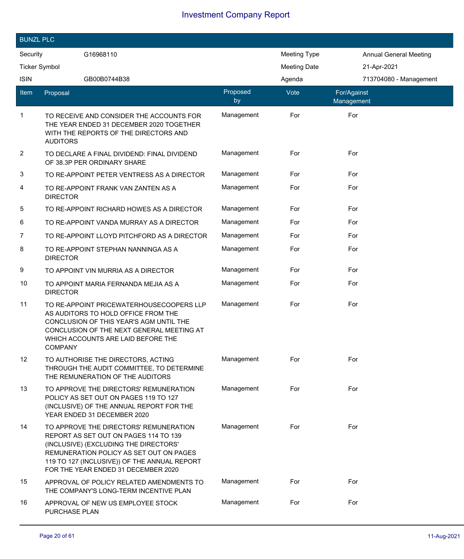| <b>BUNZL PLC</b> |                                                                                                                                                                                                                                                            |                |                     |                               |  |
|------------------|------------------------------------------------------------------------------------------------------------------------------------------------------------------------------------------------------------------------------------------------------------|----------------|---------------------|-------------------------------|--|
| Security         | G16968110                                                                                                                                                                                                                                                  |                | <b>Meeting Type</b> | <b>Annual General Meeting</b> |  |
|                  | <b>Ticker Symbol</b>                                                                                                                                                                                                                                       |                | <b>Meeting Date</b> | 21-Apr-2021                   |  |
| <b>ISIN</b>      | GB00B0744B38                                                                                                                                                                                                                                               |                | Agenda              | 713704080 - Management        |  |
| ltem             | Proposal                                                                                                                                                                                                                                                   | Proposed<br>by | Vote                | For/Against<br>Management     |  |
| 1                | TO RECEIVE AND CONSIDER THE ACCOUNTS FOR<br>THE YEAR ENDED 31 DECEMBER 2020 TOGETHER<br>WITH THE REPORTS OF THE DIRECTORS AND<br><b>AUDITORS</b>                                                                                                           | Management     | For                 | For                           |  |
| $\overline{c}$   | TO DECLARE A FINAL DIVIDEND: FINAL DIVIDEND<br>OF 38.3P PER ORDINARY SHARE                                                                                                                                                                                 | Management     | For                 | For                           |  |
| 3                | TO RE-APPOINT PETER VENTRESS AS A DIRECTOR                                                                                                                                                                                                                 | Management     | For                 | For                           |  |
| 4                | TO RE-APPOINT FRANK VAN ZANTEN AS A<br><b>DIRECTOR</b>                                                                                                                                                                                                     | Management     | For                 | For                           |  |
| 5                | TO RE-APPOINT RICHARD HOWES AS A DIRECTOR                                                                                                                                                                                                                  | Management     | For                 | For                           |  |
| 6                | TO RE-APPOINT VANDA MURRAY AS A DIRECTOR                                                                                                                                                                                                                   | Management     | For                 | For                           |  |
| 7                | TO RE-APPOINT LLOYD PITCHFORD AS A DIRECTOR                                                                                                                                                                                                                | Management     | For                 | For                           |  |
| 8                | TO RE-APPOINT STEPHAN NANNINGA AS A<br><b>DIRECTOR</b>                                                                                                                                                                                                     | Management     | For                 | For                           |  |
| 9                | TO APPOINT VIN MURRIA AS A DIRECTOR                                                                                                                                                                                                                        | Management     | For                 | For                           |  |
| 10               | TO APPOINT MARIA FERNANDA MEJIA AS A<br><b>DIRECTOR</b>                                                                                                                                                                                                    | Management     | For                 | For                           |  |
| 11               | TO RE-APPOINT PRICEWATERHOUSECOOPERS LLP<br>AS AUDITORS TO HOLD OFFICE FROM THE<br>CONCLUSION OF THIS YEAR'S AGM UNTIL THE<br>CONCLUSION OF THE NEXT GENERAL MEETING AT<br>WHICH ACCOUNTS ARE LAID BEFORE THE<br><b>COMPANY</b>                            | Management     | For                 | For                           |  |
| 12               | TO AUTHORISE THE DIRECTORS, ACTING<br>THROUGH THE AUDIT COMMITTEE, TO DETERMINE<br>THE REMUNERATION OF THE AUDITORS                                                                                                                                        | Management     | For                 | For                           |  |
| 13               | TO APPROVE THE DIRECTORS' REMUNERATION<br>POLICY AS SET OUT ON PAGES 119 TO 127<br>(INCLUSIVE) OF THE ANNUAL REPORT FOR THE<br>YEAR ENDED 31 DECEMBER 2020                                                                                                 | Management     | For                 | For                           |  |
| 14               | TO APPROVE THE DIRECTORS' REMUNERATION<br>REPORT AS SET OUT ON PAGES 114 TO 139<br>(INCLUSIVE) (EXCLUDING THE DIRECTORS'<br>REMUNERATION POLICY AS SET OUT ON PAGES<br>119 TO 127 (INCLUSIVE)) OF THE ANNUAL REPORT<br>FOR THE YEAR ENDED 31 DECEMBER 2020 | Management     | For                 | For                           |  |
| 15               | APPROVAL OF POLICY RELATED AMENDMENTS TO<br>THE COMPANY'S LONG-TERM INCENTIVE PLAN                                                                                                                                                                         | Management     | For                 | For                           |  |
| 16               | APPROVAL OF NEW US EMPLOYEE STOCK<br>PURCHASE PLAN                                                                                                                                                                                                         | Management     | For                 | For                           |  |

I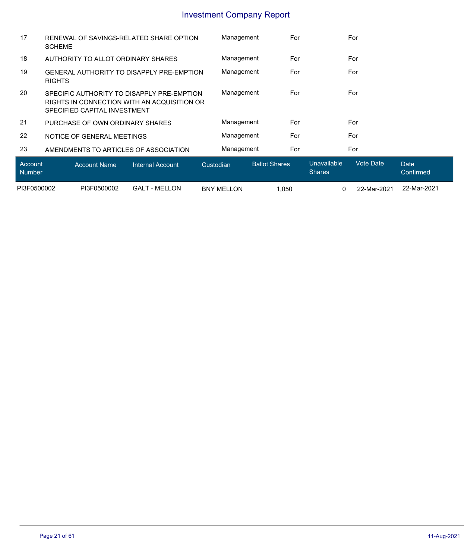| Account<br><b>Number</b> | Internal Account<br><b>Account Name</b>                                                                                    | Custodian  | <b>Ballot Shares</b> | Unavailable<br><b>Shares</b> | Vote Date<br>Date<br>Confirmed |  |
|--------------------------|----------------------------------------------------------------------------------------------------------------------------|------------|----------------------|------------------------------|--------------------------------|--|
| 23                       | AMENDMENTS TO ARTICLES OF ASSOCIATION                                                                                      | Management | For                  | For                          |                                |  |
| 22                       | NOTICE OF GENERAL MEETINGS                                                                                                 | Management | For                  | For                          |                                |  |
| 21                       | PURCHASE OF OWN ORDINARY SHARES                                                                                            | Management | For                  | For                          |                                |  |
| <b>20</b>                | SPECIFIC AUTHORITY TO DISAPPI Y PRE-EMPTION<br>RIGHTS IN CONNECTION WITH AN ACQUISITION OR<br>SPECIFIED CAPITAL INVESTMENT | Management | For                  | For                          |                                |  |
| 19                       | <b>GENERAL AUTHORITY TO DISAPPLY PRE-EMPTION</b><br><b>RIGHTS</b>                                                          | Management | For                  | For                          |                                |  |
| 18                       | AUTHORITY TO ALLOT ORDINARY SHARES                                                                                         | Management | For                  | For                          |                                |  |
| 17                       | RENEWAL OF SAVINGS-RELATED SHARE OPTION<br><b>SCHEME</b>                                                                   | Management | For                  | For                          |                                |  |
|                          |                                                                                                                            |            |                      |                              |                                |  |

|             |             |                         |                        |      |             | $\sim$      |
|-------------|-------------|-------------------------|------------------------|------|-------------|-------------|
| PI3F0500002 | PI3F0500002 | GALT<br>LON<br>T - MEL. | <b>BNY MEL</b><br>LLON | ,050 | 22-Mar-2021 | 22-Mar-2021 |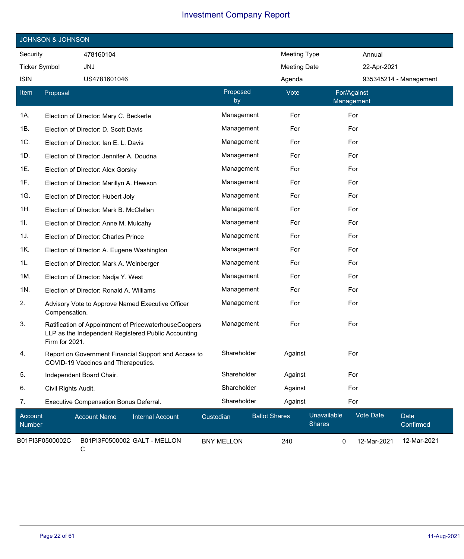|                          | <b>JOHNSON &amp; JOHNSON</b>               |                                                                                                              |                   |                |                      |                     |                              |                           |             |                        |
|--------------------------|--------------------------------------------|--------------------------------------------------------------------------------------------------------------|-------------------|----------------|----------------------|---------------------|------------------------------|---------------------------|-------------|------------------------|
| Security                 | 478160104                                  |                                                                                                              |                   |                |                      | Meeting Type        |                              |                           | Annual      |                        |
| <b>Ticker Symbol</b>     | <b>JNJ</b>                                 |                                                                                                              |                   |                |                      | <b>Meeting Date</b> |                              |                           | 22-Apr-2021 |                        |
| <b>ISIN</b>              | US4781601046                               |                                                                                                              |                   |                | Agenda               |                     |                              |                           |             | 935345214 - Management |
| Item                     | Proposal                                   |                                                                                                              |                   | Proposed<br>by |                      | Vote                |                              | For/Against<br>Management |             |                        |
| 1A.                      | Election of Director: Mary C. Beckerle     |                                                                                                              |                   | Management     |                      | For                 |                              | For                       |             |                        |
| 1B.                      | Election of Director: D. Scott Davis       |                                                                                                              |                   | Management     |                      | For                 |                              | For                       |             |                        |
| 1C.                      | Election of Director: Ian E. L. Davis      |                                                                                                              |                   | Management     |                      | For                 |                              | For                       |             |                        |
| 1D.                      | Election of Director: Jennifer A. Doudna   |                                                                                                              |                   | Management     |                      | For                 |                              | For                       |             |                        |
| 1E.                      | Election of Director: Alex Gorsky          |                                                                                                              |                   | Management     |                      | For                 |                              | For                       |             |                        |
| 1F.                      | Election of Director: Marillyn A. Hewson   |                                                                                                              |                   | Management     |                      | For                 |                              | For                       |             |                        |
| 1G.                      | Election of Director: Hubert Joly          |                                                                                                              |                   | Management     |                      | For                 |                              | For                       |             |                        |
| 1H.                      | Election of Director: Mark B. McClellan    |                                                                                                              |                   | Management     |                      | For                 |                              | For                       |             |                        |
| 1I.                      | Election of Director: Anne M. Mulcahy      |                                                                                                              |                   | Management     |                      | For                 |                              | For                       |             |                        |
| 1J.                      | Election of Director: Charles Prince       |                                                                                                              |                   | Management     |                      | For                 |                              | For                       |             |                        |
| 1K.                      | Election of Director: A. Eugene Washington |                                                                                                              |                   | Management     |                      | For                 |                              | For                       |             |                        |
| 1L.                      | Election of Director: Mark A. Weinberger   |                                                                                                              |                   | Management     |                      | For                 |                              | For                       |             |                        |
| 1M.                      | Election of Director: Nadja Y. West        |                                                                                                              |                   | Management     |                      | For                 |                              | For                       |             |                        |
| 1N.                      | Election of Director: Ronald A. Williams   |                                                                                                              |                   | Management     |                      | For                 |                              | For                       |             |                        |
| 2.                       | Compensation.                              | Advisory Vote to Approve Named Executive Officer                                                             |                   | Management     |                      | For                 |                              | For                       |             |                        |
| 3.                       | Firm for 2021.                             | Ratification of Appointment of PricewaterhouseCoopers<br>LLP as the Independent Registered Public Accounting |                   | Management     |                      | For                 |                              | For                       |             |                        |
| 4.                       | COVID-19 Vaccines and Therapeutics.        | Report on Government Financial Support and Access to                                                         |                   | Shareholder    |                      | Against             |                              | For                       |             |                        |
| 5.                       | Independent Board Chair.                   |                                                                                                              |                   | Shareholder    |                      | Against             |                              | For                       |             |                        |
| 6.                       | Civil Rights Audit.                        |                                                                                                              |                   | Shareholder    |                      | Against             |                              | For                       |             |                        |
| 7.                       | Executive Compensation Bonus Deferral.     |                                                                                                              |                   | Shareholder    |                      | Against             |                              | For                       |             |                        |
| Account<br><b>Number</b> | <b>Account Name</b>                        | <b>Internal Account</b>                                                                                      | Custodian         |                | <b>Ballot Shares</b> |                     | Unavailable<br><b>Shares</b> |                           | Vote Date   | Date<br>Confirmed      |
|                          | B01PI3F0500002C                            | B01PI3F0500002 GALT - MELLON                                                                                 | <b>BNY MELLON</b> |                | 240                  |                     | 0                            |                           | 12-Mar-2021 | 12-Mar-2021            |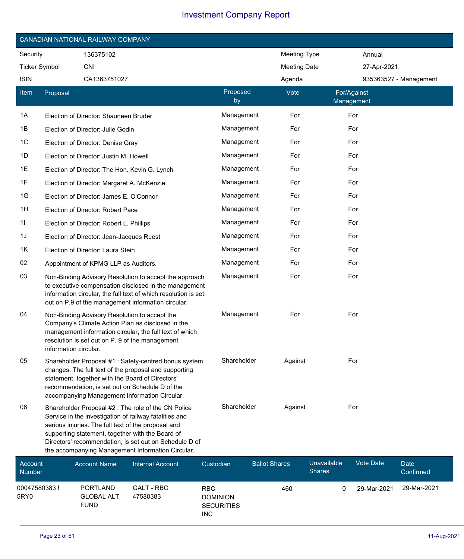|                      | CANADIAN NATIONAL RAILWAY COMPANY |                                               |                                                                                                                                                                                                                                                                                                                                         |                |                      |                     |                           |             |                        |
|----------------------|-----------------------------------|-----------------------------------------------|-----------------------------------------------------------------------------------------------------------------------------------------------------------------------------------------------------------------------------------------------------------------------------------------------------------------------------------------|----------------|----------------------|---------------------|---------------------------|-------------|------------------------|
| Security             |                                   | 136375102                                     |                                                                                                                                                                                                                                                                                                                                         |                |                      | Meeting Type        |                           | Annual      |                        |
| <b>Ticker Symbol</b> |                                   | <b>CNI</b>                                    |                                                                                                                                                                                                                                                                                                                                         |                |                      | <b>Meeting Date</b> |                           | 27-Apr-2021 |                        |
| <b>ISIN</b>          |                                   | CA1363751027                                  |                                                                                                                                                                                                                                                                                                                                         |                |                      | Agenda              |                           |             | 935363527 - Management |
| Item                 | Proposal                          |                                               |                                                                                                                                                                                                                                                                                                                                         | Proposed<br>by |                      | Vote                | For/Against<br>Management |             |                        |
| 1A                   |                                   | Election of Director: Shauneen Bruder         |                                                                                                                                                                                                                                                                                                                                         | Management     |                      | For                 | For                       |             |                        |
| 1B                   |                                   | Election of Director: Julie Godin             |                                                                                                                                                                                                                                                                                                                                         | Management     |                      | For                 | For                       |             |                        |
| 1C                   |                                   | Election of Director: Denise Gray             |                                                                                                                                                                                                                                                                                                                                         | Management     |                      | For                 | For                       |             |                        |
| 1D                   |                                   | Election of Director: Justin M. Howell        |                                                                                                                                                                                                                                                                                                                                         | Management     |                      | For                 | For                       |             |                        |
| 1E                   |                                   | Election of Director: The Hon. Kevin G. Lynch |                                                                                                                                                                                                                                                                                                                                         | Management     |                      | For                 | For                       |             |                        |
| 1F                   |                                   | Election of Director: Margaret A. McKenzie    |                                                                                                                                                                                                                                                                                                                                         | Management     |                      | For                 | For                       |             |                        |
| 1G                   |                                   | Election of Director: James E. O'Connor       |                                                                                                                                                                                                                                                                                                                                         | Management     |                      | For                 | For                       |             |                        |
| 1H                   |                                   | Election of Director: Robert Pace             |                                                                                                                                                                                                                                                                                                                                         | Management     |                      | For                 | For                       |             |                        |
| 11                   |                                   | Election of Director: Robert L. Phillips      |                                                                                                                                                                                                                                                                                                                                         | Management     |                      | For                 | For                       |             |                        |
| 1J                   |                                   | Election of Director: Jean-Jacques Ruest      |                                                                                                                                                                                                                                                                                                                                         | Management     |                      | For                 | For                       |             |                        |
| 1K                   |                                   | Election of Director: Laura Stein             |                                                                                                                                                                                                                                                                                                                                         | Management     |                      | For                 | For                       |             |                        |
| 02                   |                                   | Appointment of KPMG LLP as Auditors.          |                                                                                                                                                                                                                                                                                                                                         | Management     |                      | For                 | For                       |             |                        |
| 03                   |                                   |                                               | Non-Binding Advisory Resolution to accept the approach<br>to executive compensation disclosed in the management<br>information circular, the full text of which resolution is set<br>out on P.9 of the management information circular.                                                                                                 | Management     |                      | For                 | For                       |             |                        |
| 04                   | information circular.             | Non-Binding Advisory Resolution to accept the | Company's Climate Action Plan as disclosed in the<br>management information circular, the full text of which<br>resolution is set out on P. 9 of the management                                                                                                                                                                         | Management     |                      | For                 | For                       |             |                        |
| 05                   |                                   |                                               | Shareholder Proposal #1: Safety-centred bonus system<br>changes. The full text of the proposal and supporting<br>statement, together with the Board of Directors'<br>recommendation, is set out on Schedule D of the<br>accompanying Management Information Circular.                                                                   | Shareholder    |                      | Against             | For                       |             |                        |
| 06                   |                                   |                                               | Shareholder Proposal #2 : The role of the CN Police<br>Service in the investigation of railway fatalities and<br>serious injuries. The full text of the proposal and<br>supporting statement, together with the Board of<br>Directors' recommendation, is set out on Schedule D of<br>the accompanying Management Information Circular. | Shareholder    |                      | Against             | For                       |             |                        |
| Account              |                                   | <b>Account Name</b>                           | <b>Internal Account</b>                                                                                                                                                                                                                                                                                                                 | Custodian      | <b>Ballot Shares</b> |                     | Unavailable               | Vote Date   | <b>Date</b>            |

| ACCOUNT<br><b>Number</b> | Account Name                                        | Internal Account              | Custodian                                                        | <b>Dallot Stiares</b> | <u>Uliavaliavic</u><br><b>Shares</b> | vult Dalt   | Dale.<br>Confirmed |
|--------------------------|-----------------------------------------------------|-------------------------------|------------------------------------------------------------------|-----------------------|--------------------------------------|-------------|--------------------|
| 00047580383 !<br>5RY0    | <b>PORTLAND</b><br><b>GLOBAL ALT</b><br><b>FUND</b> | <b>GALT - RBC</b><br>47580383 | <b>RBC</b><br><b>DOMINION</b><br><b>SECURITIES</b><br><b>INC</b> | 460                   |                                      | 29-Mar-2021 | 29-Mar-2021        |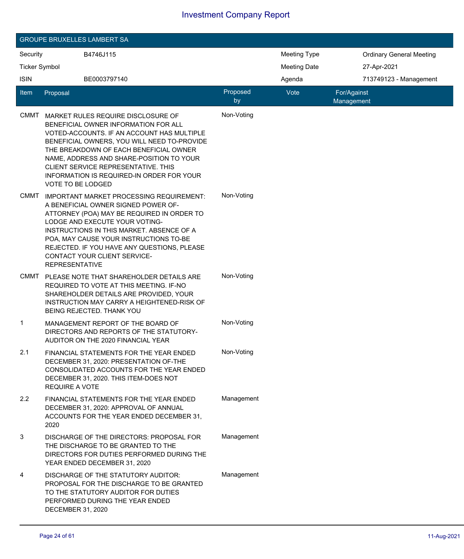|                      |                          | <b>GROUPE BRUXELLES LAMBERT SA</b>                                                                                                                                                                                                                                                                                                                |                |                     |                                 |
|----------------------|--------------------------|---------------------------------------------------------------------------------------------------------------------------------------------------------------------------------------------------------------------------------------------------------------------------------------------------------------------------------------------------|----------------|---------------------|---------------------------------|
| Security             |                          | B4746J115                                                                                                                                                                                                                                                                                                                                         |                | <b>Meeting Type</b> | <b>Ordinary General Meeting</b> |
| <b>Ticker Symbol</b> |                          |                                                                                                                                                                                                                                                                                                                                                   |                | <b>Meeting Date</b> | 27-Apr-2021                     |
| <b>ISIN</b>          |                          | BE0003797140                                                                                                                                                                                                                                                                                                                                      |                | Agenda              | 713749123 - Management          |
| Item                 | Proposal                 |                                                                                                                                                                                                                                                                                                                                                   | Proposed<br>by | Vote                | For/Against<br>Management       |
| <b>CMMT</b>          | <b>VOTE TO BE LODGED</b> | MARKET RULES REQUIRE DISCLOSURE OF<br>BENEFICIAL OWNER INFORMATION FOR ALL<br>VOTED-ACCOUNTS. IF AN ACCOUNT HAS MULTIPLE<br>BENEFICIAL OWNERS, YOU WILL NEED TO-PROVIDE<br>THE BREAKDOWN OF EACH BENEFICIAL OWNER<br>NAME, ADDRESS AND SHARE-POSITION TO YOUR<br>CLIENT SERVICE REPRESENTATIVE. THIS<br>INFORMATION IS REQUIRED-IN ORDER FOR YOUR | Non-Voting     |                     |                                 |
| <b>CMMT</b>          | <b>REPRESENTATIVE</b>    | IMPORTANT MARKET PROCESSING REQUIREMENT:<br>A BENEFICIAL OWNER SIGNED POWER OF-<br>ATTORNEY (POA) MAY BE REQUIRED IN ORDER TO<br>LODGE AND EXECUTE YOUR VOTING-<br>INSTRUCTIONS IN THIS MARKET. ABSENCE OF A<br>POA, MAY CAUSE YOUR INSTRUCTIONS TO-BE<br>REJECTED. IF YOU HAVE ANY QUESTIONS, PLEASE<br>CONTACT YOUR CLIENT SERVICE-             | Non-Voting     |                     |                                 |
| <b>CMMT</b>          |                          | PLEASE NOTE THAT SHAREHOLDER DETAILS ARE<br>REQUIRED TO VOTE AT THIS MEETING. IF-NO<br>SHAREHOLDER DETAILS ARE PROVIDED, YOUR<br>INSTRUCTION MAY CARRY A HEIGHTENED-RISK OF<br>BEING REJECTED. THANK YOU                                                                                                                                          | Non-Voting     |                     |                                 |
| 1                    |                          | MANAGEMENT REPORT OF THE BOARD OF<br>DIRECTORS AND REPORTS OF THE STATUTORY-<br>AUDITOR ON THE 2020 FINANCIAL YEAR                                                                                                                                                                                                                                | Non-Voting     |                     |                                 |
| 2.1                  | <b>REQUIRE A VOTE</b>    | FINANCIAL STATEMENTS FOR THE YEAR ENDED<br>DECEMBER 31, 2020: PRESENTATION OF-THE<br>CONSOLIDATED ACCOUNTS FOR THE YEAR ENDED<br>DECEMBER 31, 2020. THIS ITEM-DOES NOT                                                                                                                                                                            | Non-Voting     |                     |                                 |
| 2.2                  | 2020                     | FINANCIAL STATEMENTS FOR THE YEAR ENDED<br>DECEMBER 31, 2020: APPROVAL OF ANNUAL<br>ACCOUNTS FOR THE YEAR ENDED DECEMBER 31,                                                                                                                                                                                                                      | Management     |                     |                                 |
| 3                    |                          | DISCHARGE OF THE DIRECTORS: PROPOSAL FOR<br>THE DISCHARGE TO BE GRANTED TO THE<br>DIRECTORS FOR DUTIES PERFORMED DURING THE<br>YEAR ENDED DECEMBER 31, 2020                                                                                                                                                                                       | Management     |                     |                                 |
| 4                    | DECEMBER 31, 2020        | DISCHARGE OF THE STATUTORY AUDITOR:<br>PROPOSAL FOR THE DISCHARGE TO BE GRANTED<br>TO THE STATUTORY AUDITOR FOR DUTIES<br>PERFORMED DURING THE YEAR ENDED                                                                                                                                                                                         | Management     |                     |                                 |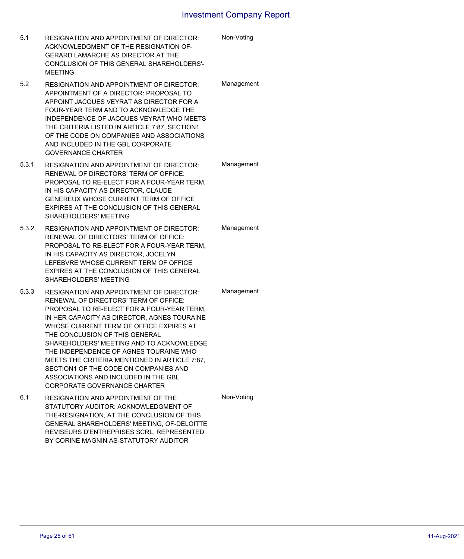| 5.1   | <b>RESIGNATION AND APPOINTMENT OF DIRECTOR:</b><br>ACKNOWLEDGMENT OF THE RESIGNATION OF-<br><b>GERARD LAMARCHE AS DIRECTOR AT THE</b><br>CONCLUSION OF THIS GENERAL SHAREHOLDERS'-<br><b>MEETING</b>                                                                                                                                                                                                                                                                                                                       | Non-Voting |
|-------|----------------------------------------------------------------------------------------------------------------------------------------------------------------------------------------------------------------------------------------------------------------------------------------------------------------------------------------------------------------------------------------------------------------------------------------------------------------------------------------------------------------------------|------------|
| 5.2   | <b>RESIGNATION AND APPOINTMENT OF DIRECTOR:</b><br>APPOINTMENT OF A DIRECTOR: PROPOSAL TO<br>APPOINT JACQUES VEYRAT AS DIRECTOR FOR A<br>FOUR-YEAR TERM AND TO ACKNOWLEDGE THE<br>INDEPENDENCE OF JACQUES VEYRAT WHO MEETS<br>THE CRITERIA LISTED IN ARTICLE 7:87, SECTION1<br>OF THE CODE ON COMPANIES AND ASSOCIATIONS<br>AND INCLUDED IN THE GBL CORPORATE<br><b>GOVERNANCE CHARTER</b>                                                                                                                                 | Management |
| 5.3.1 | <b>RESIGNATION AND APPOINTMENT OF DIRECTOR:</b><br>RENEWAL OF DIRECTORS' TERM OF OFFICE:<br>PROPOSAL TO RE-ELECT FOR A FOUR-YEAR TERM,<br>IN HIS CAPACITY AS DIRECTOR, CLAUDE<br>GENEREUX WHOSE CURRENT TERM OF OFFICE<br>EXPIRES AT THE CONCLUSION OF THIS GENERAL<br>SHAREHOLDERS' MEETING                                                                                                                                                                                                                               | Management |
| 5.3.2 | <b>RESIGNATION AND APPOINTMENT OF DIRECTOR:</b><br>RENEWAL OF DIRECTORS' TERM OF OFFICE:<br>PROPOSAL TO RE-ELECT FOR A FOUR-YEAR TERM,<br>IN HIS CAPACITY AS DIRECTOR, JOCELYN<br>LEFEBVRE WHOSE CURRENT TERM OF OFFICE<br>EXPIRES AT THE CONCLUSION OF THIS GENERAL<br>SHAREHOLDERS' MEETING                                                                                                                                                                                                                              | Management |
| 5.3.3 | <b>RESIGNATION AND APPOINTMENT OF DIRECTOR:</b><br>RENEWAL OF DIRECTORS' TERM OF OFFICE:<br>PROPOSAL TO RE-ELECT FOR A FOUR-YEAR TERM.<br>IN HER CAPACITY AS DIRECTOR, AGNES TOURAINE<br>WHOSE CURRENT TERM OF OFFICE EXPIRES AT<br>THE CONCLUSION OF THIS GENERAL<br>SHAREHOLDERS' MEETING AND TO ACKNOWLEDGE<br>THE INDEPENDENCE OF AGNES TOURAINE WHO<br>MEETS THE CRITERIA MENTIONED IN ARTICLE 7:87,<br>SECTION1 OF THE CODE ON COMPANIES AND<br>ASSOCIATIONS AND INCLUDED IN THE GBL<br>CORPORATE GOVERNANCE CHARTER | Management |
| 6.1   | RESIGNATION AND APPOINTMENT OF THE<br>STATUTORY AUDITOR: ACKNOWLEDGMENT OF<br>THE-RESIGNATION, AT THE CONCLUSION OF THIS<br>GENERAL SHAREHOLDERS' MEETING, OF-DELOITTE<br>REVISEURS D'ENTREPRISES SCRL, REPRESENTED<br>BY CORINE MAGNIN AS-STATUTORY AUDITOR                                                                                                                                                                                                                                                               | Non-Voting |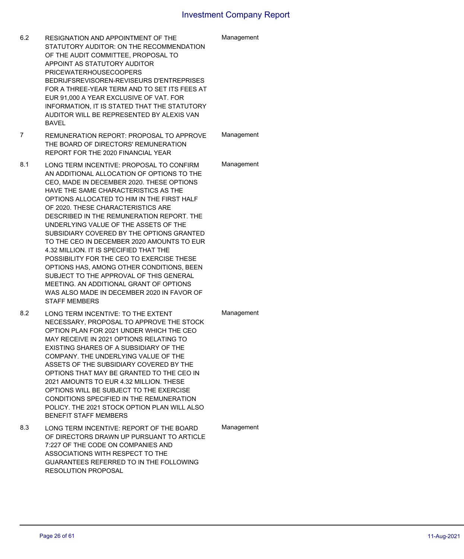| 6.2 | <b>RESIGNATION AND APPOINTMENT OF THE</b><br>STATUTORY AUDITOR: ON THE RECOMMENDATION<br>OF THE AUDIT COMMITTEE, PROPOSAL TO<br>APPOINT AS STATUTORY AUDITOR<br><b>PRICEWATERHOUSECOOPERS</b><br>BEDRIJFSREVISOREN-REVISEURS D'ENTREPRISES<br>FOR A THREE-YEAR TERM AND TO SET ITS FEES AT<br>EUR 91,000 A YEAR EXCLUSIVE OF VAT. FOR<br>INFORMATION, IT IS STATED THAT THE STATUTORY<br>AUDITOR WILL BE REPRESENTED BY ALEXIS VAN<br><b>BAVEL</b>                                                                                                                                                                                                                                                                                               | Management |
|-----|--------------------------------------------------------------------------------------------------------------------------------------------------------------------------------------------------------------------------------------------------------------------------------------------------------------------------------------------------------------------------------------------------------------------------------------------------------------------------------------------------------------------------------------------------------------------------------------------------------------------------------------------------------------------------------------------------------------------------------------------------|------------|
| 7   | REMUNERATION REPORT: PROPOSAL TO APPROVE<br>THE BOARD OF DIRECTORS' REMUNERATION<br>REPORT FOR THE 2020 FINANCIAL YEAR                                                                                                                                                                                                                                                                                                                                                                                                                                                                                                                                                                                                                           | Management |
| 8.1 | LONG TERM INCENTIVE: PROPOSAL TO CONFIRM<br>AN ADDITIONAL ALLOCATION OF OPTIONS TO THE<br>CEO, MADE IN DECEMBER 2020. THESE OPTIONS<br>HAVE THE SAME CHARACTERISTICS AS THE<br>OPTIONS ALLOCATED TO HIM IN THE FIRST HALF<br>OF 2020. THESE CHARACTERISTICS ARE<br>DESCRIBED IN THE REMUNERATION REPORT. THE<br>UNDERLYING VALUE OF THE ASSETS OF THE<br>SUBSIDIARY COVERED BY THE OPTIONS GRANTED<br>TO THE CEO IN DECEMBER 2020 AMOUNTS TO EUR<br>4.32 MILLION. IT IS SPECIFIED THAT THE<br>POSSIBILITY FOR THE CEO TO EXERCISE THESE<br>OPTIONS HAS, AMONG OTHER CONDITIONS, BEEN<br>SUBJECT TO THE APPROVAL OF THIS GENERAL<br>MEETING. AN ADDITIONAL GRANT OF OPTIONS<br>WAS ALSO MADE IN DECEMBER 2020 IN FAVOR OF<br><b>STAFF MEMBERS</b> | Management |
| 8.2 | LONG TERM INCENTIVE: TO THE EXTENT<br>NECESSARY, PROPOSAL TO APPROVE THE STOCK<br>OPTION PLAN FOR 2021 UNDER WHICH THE CEO<br>MAY RECEIVE IN 2021 OPTIONS RELATING TO<br>EXISTING SHARES OF A SUBSIDIARY OF THE<br>COMPANY. THE UNDERLYING VALUE OF THE<br>ASSETS OF THE SUBSIDIARY COVERED BY THE<br>OPTIONS THAT MAY BE GRANTED TO THE CEO IN<br>2021 AMOUNTS TO EUR 4.32 MILLION. THESE<br>OPTIONS WILL BE SUBJECT TO THE EXERCISE<br>CONDITIONS SPECIFIED IN THE REMUNERATION<br>POLICY. THE 2021 STOCK OPTION PLAN WILL ALSO<br><b>BENEFIT STAFF MEMBERS</b>                                                                                                                                                                                | Management |
| 8.3 | LONG TERM INCENTIVE: REPORT OF THE BOARD<br>OF DIRECTORS DRAWN UP PURSUANT TO ARTICLE<br>7:227 OF THE CODE ON COMPANIES AND<br>ASSOCIATIONS WITH RESPECT TO THE<br>GUARANTEES REFERRED TO IN THE FOLLOWING<br><b>RESOLUTION PROPOSAL</b>                                                                                                                                                                                                                                                                                                                                                                                                                                                                                                         | Management |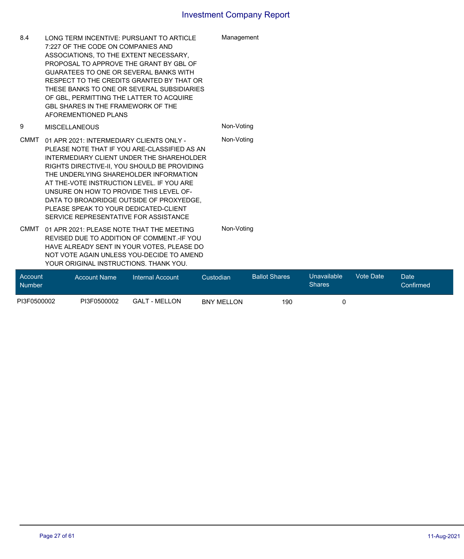| 8.4     | LONG TERM INCENTIVE: PURSUANT TO ARTICLE<br>7:227 OF THE CODE ON COMPANIES AND<br>ASSOCIATIONS. TO THE EXTENT NECESSARY.<br>PROPOSAL TO APPROVE THE GRANT BY GBL OF<br><b>GUARATEES TO ONE OR SEVERAL BANKS WITH</b><br>RESPECT TO THE CREDITS GRANTED BY THAT OR<br>THESE BANKS TO ONE OR SEVERAL SUBSIDIARIES<br>OF GBL, PERMITTING THE LATTER TO ACQUIRE<br><b>GBL SHARES IN THE FRAMEWORK OF THE</b><br>AFOREMENTIONED PLANS                      |           | Management           |                       |                  |      |
|---------|-------------------------------------------------------------------------------------------------------------------------------------------------------------------------------------------------------------------------------------------------------------------------------------------------------------------------------------------------------------------------------------------------------------------------------------------------------|-----------|----------------------|-----------------------|------------------|------|
| 9       | <b>MISCELLANEOUS</b>                                                                                                                                                                                                                                                                                                                                                                                                                                  |           | Non-Voting           |                       |                  |      |
| CMMT    | 01 APR 2021: INTERMEDIARY CLIENTS ONLY -<br>PLEASE NOTE THAT IF YOU ARE-CLASSIFIED AS AN<br>INTERMEDIARY CLIENT UNDER THE SHAREHOLDER<br>RIGHTS DIRECTIVE-II, YOU SHOULD BE PROVIDING<br>THE UNDERLYING SHAREHOLDER INFORMATION<br>AT THE-VOTE INSTRUCTION LEVEL. IF YOU ARE<br>UNSURE ON HOW TO PROVIDE THIS LEVEL OF-<br>DATA TO BROADRIDGE OUTSIDE OF PROXYEDGE.<br>PLEASE SPEAK TO YOUR DEDICATED-CLIENT<br>SERVICE REPRESENTATIVE FOR ASSISTANCE |           | Non-Voting           |                       |                  |      |
| CMMT    | 01 APR 2021: PLEASE NOTE THAT THE MEETING<br>REVISED DUE TO ADDITION OF COMMENT.-IF YOU<br>HAVE ALREADY SENT IN YOUR VOTES. PLEASE DO<br>NOT VOTE AGAIN UNLESS YOU-DECIDE TO AMEND<br>YOUR ORIGINAL INSTRUCTIONS. THANK YOU.                                                                                                                                                                                                                          |           | Non-Voting           |                       |                  |      |
| Account | <b>Account Name</b><br><b>Internal Account</b>                                                                                                                                                                                                                                                                                                                                                                                                        | Custodian | <b>Ballot Shares</b> | Unavailable<br>Charsa | <b>Vote Date</b> | Date |

| Account<br><b>Number</b> | Account Name | Internal Account     | Custodian         | Ballot Shares | Ullavallable<br>Shares | vole Dale | <b>Uale</b><br>Confirmed |  |
|--------------------------|--------------|----------------------|-------------------|---------------|------------------------|-----------|--------------------------|--|
| PI3F0500002              | PI3F0500002  | <b>GALT - MELLON</b> | <b>BNY MELLON</b> | 190           |                        |           |                          |  |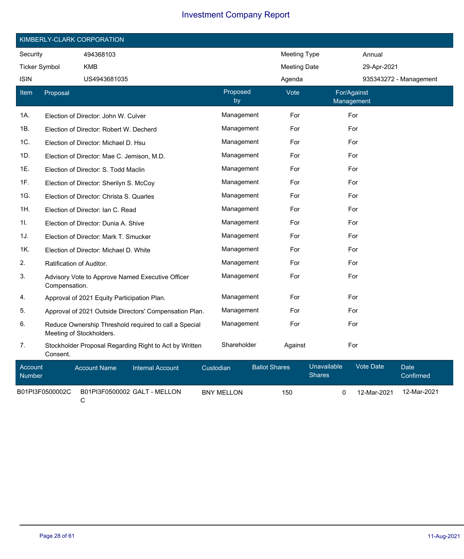|                      | KIMBERLY-CLARK CORPORATION |                                                        |                |                     |                           |  |  |
|----------------------|----------------------------|--------------------------------------------------------|----------------|---------------------|---------------------------|--|--|
| Security             |                            | 494368103                                              |                | <b>Meeting Type</b> | Annual                    |  |  |
| <b>Ticker Symbol</b> |                            | <b>KMB</b>                                             |                | <b>Meeting Date</b> | 29-Apr-2021               |  |  |
| <b>ISIN</b>          |                            | US4943681035                                           |                | Agenda              | 935343272 - Management    |  |  |
| Item                 | Proposal                   |                                                        | Proposed<br>by | Vote                | For/Against<br>Management |  |  |
| 1A.                  |                            | Election of Director: John W. Culver                   | Management     | For                 | For                       |  |  |
| 1B.                  |                            | Election of Director: Robert W. Decherd                | Management     | For                 | For                       |  |  |
| 1C.                  |                            | Election of Director: Michael D. Hsu                   | Management     | For                 | For                       |  |  |
| 1D.                  |                            | Election of Director: Mae C. Jemison, M.D.             | Management     | For                 | For                       |  |  |
| 1E.                  |                            | Election of Director: S. Todd Maclin                   | Management     | For                 | For                       |  |  |
| 1F.                  |                            | Election of Director: Sherilyn S. McCoy                | Management     | For                 | For                       |  |  |
| 1G.                  |                            | Election of Director: Christa S. Quarles               | Management     | For                 | For                       |  |  |
| 1H.                  |                            | Election of Director: Ian C. Read                      | Management     | For                 | For                       |  |  |
| 11.                  |                            | Election of Director: Dunia A. Shive                   | Management     | For                 | For                       |  |  |
| 1J.                  |                            | Election of Director: Mark T. Smucker                  | Management     | For                 | For                       |  |  |
| 1K.                  |                            | Election of Director: Michael D. White                 | Management     | For                 | For                       |  |  |
| 2.                   | Ratification of Auditor.   |                                                        | Management     | For                 | For                       |  |  |
| 3.                   | Compensation.              | Advisory Vote to Approve Named Executive Officer       | Management     | For                 | For                       |  |  |
| 4.                   |                            | Approval of 2021 Equity Participation Plan.            | Management     | For                 | For                       |  |  |
| 5.                   |                            | Approval of 2021 Outside Directors' Compensation Plan. | Management     | For                 | For                       |  |  |
| 6.                   | Meeting of Stockholders.   | Reduce Ownership Threshold required to call a Special  | Management     | For                 | For                       |  |  |
| 7.                   | Consent.                   | Stockholder Proposal Regarding Right to Act by Written | Shareholder    | Against             | For                       |  |  |

| Account<br><b>Number</b> | <b>Account Name</b> | Internal Account             | Custodian  | <b>Ballot Shares</b> | <b>Unavailable</b><br>Shares | Vote Date   | Date'<br>Confirmed |
|--------------------------|---------------------|------------------------------|------------|----------------------|------------------------------|-------------|--------------------|
| B01PI3F0500002C          |                     | B01PI3F0500002 GALT - MELLON | BNY MELLON | 150                  |                              | 12-Mar-2021 | 12-Mar-2021        |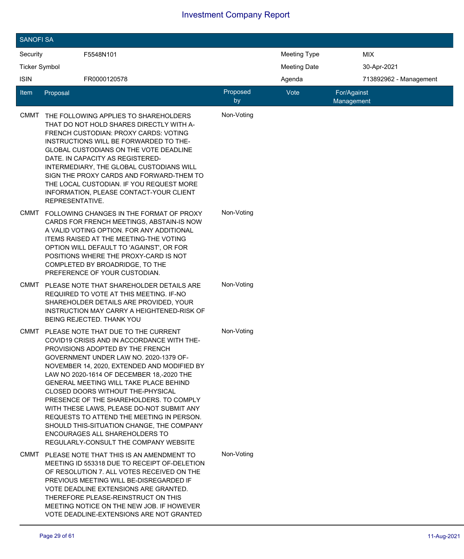| <b>SANOFI SA</b>     |                                                                                                                                                                                                                                                                                                                                                                                                                                                                                                                                                                                                                |                |                     |                           |
|----------------------|----------------------------------------------------------------------------------------------------------------------------------------------------------------------------------------------------------------------------------------------------------------------------------------------------------------------------------------------------------------------------------------------------------------------------------------------------------------------------------------------------------------------------------------------------------------------------------------------------------------|----------------|---------------------|---------------------------|
| Security             | F5548N101                                                                                                                                                                                                                                                                                                                                                                                                                                                                                                                                                                                                      |                | Meeting Type        | MIX                       |
| <b>Ticker Symbol</b> |                                                                                                                                                                                                                                                                                                                                                                                                                                                                                                                                                                                                                |                | <b>Meeting Date</b> | 30-Apr-2021               |
| <b>ISIN</b>          | FR0000120578                                                                                                                                                                                                                                                                                                                                                                                                                                                                                                                                                                                                   |                | Agenda              | 713892962 - Management    |
| ltem                 | Proposal                                                                                                                                                                                                                                                                                                                                                                                                                                                                                                                                                                                                       | Proposed<br>by | Vote                | For/Against<br>Management |
| CMMT                 | THE FOLLOWING APPLIES TO SHAREHOLDERS<br>THAT DO NOT HOLD SHARES DIRECTLY WITH A-<br>FRENCH CUSTODIAN: PROXY CARDS: VOTING<br>INSTRUCTIONS WILL BE FORWARDED TO THE-<br>GLOBAL CUSTODIANS ON THE VOTE DEADLINE<br>DATE. IN CAPACITY AS REGISTERED-<br>INTERMEDIARY, THE GLOBAL CUSTODIANS WILL<br>SIGN THE PROXY CARDS AND FORWARD-THEM TO<br>THE LOCAL CUSTODIAN. IF YOU REQUEST MORE<br>INFORMATION, PLEASE CONTACT-YOUR CLIENT<br>REPRESENTATIVE.                                                                                                                                                           | Non-Voting     |                     |                           |
| CMMT                 | FOLLOWING CHANGES IN THE FORMAT OF PROXY<br>CARDS FOR FRENCH MEETINGS, ABSTAIN-IS NOW<br>A VALID VOTING OPTION. FOR ANY ADDITIONAL<br>ITEMS RAISED AT THE MEETING-THE VOTING<br>OPTION WILL DEFAULT TO 'AGAINST', OR FOR<br>POSITIONS WHERE THE PROXY-CARD IS NOT<br>COMPLETED BY BROADRIDGE, TO THE<br>PREFERENCE OF YOUR CUSTODIAN.                                                                                                                                                                                                                                                                          | Non-Voting     |                     |                           |
| CMMT                 | PLEASE NOTE THAT SHAREHOLDER DETAILS ARE<br>REQUIRED TO VOTE AT THIS MEETING. IF-NO<br>SHAREHOLDER DETAILS ARE PROVIDED, YOUR<br><b>INSTRUCTION MAY CARRY A HEIGHTENED-RISK OF</b><br><b>BEING REJECTED. THANK YOU</b>                                                                                                                                                                                                                                                                                                                                                                                         | Non-Voting     |                     |                           |
| <b>CMMT</b>          | PLEASE NOTE THAT DUE TO THE CURRENT<br>COVID19 CRISIS AND IN ACCORDANCE WITH THE-<br>PROVISIONS ADOPTED BY THE FRENCH<br>GOVERNMENT UNDER LAW NO. 2020-1379 OF-<br>NOVEMBER 14, 2020, EXTENDED AND MODIFIED BY<br>LAW NO 2020-1614 OF DECEMBER 18,-2020 THE<br><b>GENERAL MEETING WILL TAKE PLACE BEHIND</b><br>CLOSED DOORS WITHOUT THE-PHYSICAL<br>PRESENCE OF THE SHAREHOLDERS. TO COMPLY<br>WITH THESE LAWS. PLEASE DO-NOT SUBMIT ANY<br>REQUESTS TO ATTEND THE MEETING IN PERSON.<br>SHOULD THIS-SITUATION CHANGE, THE COMPANY<br>ENCOURAGES ALL SHAREHOLDERS TO<br>REGULARLY-CONSULT THE COMPANY WEBSITE | Non-Voting     |                     |                           |
| CMMT                 | PLEASE NOTE THAT THIS IS AN AMENDMENT TO<br>MEETING ID 553318 DUE TO RECEIPT OF-DELETION<br>OF RESOLUTION 7. ALL VOTES RECEIVED ON THE<br>PREVIOUS MEETING WILL BE-DISREGARDED IF<br>VOTE DEADLINE EXTENSIONS ARE GRANTED.<br>THEREFORE PLEASE-REINSTRUCT ON THIS<br>MEETING NOTICE ON THE NEW JOB. IF HOWEVER<br>VOTE DEADLINE-EXTENSIONS ARE NOT GRANTED                                                                                                                                                                                                                                                     | Non-Voting     |                     |                           |

 $\overline{\phantom{a}}$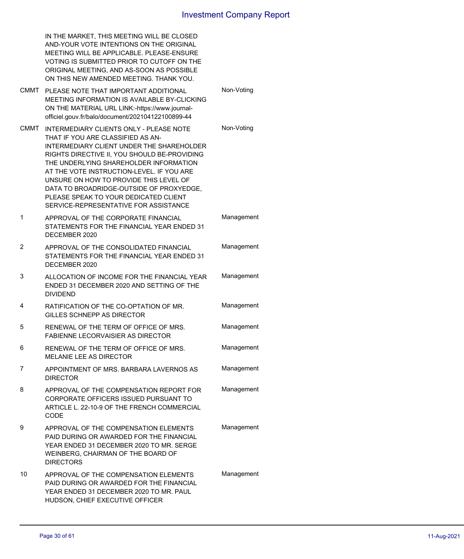|      | IN THE MARKET, THIS MEETING WILL BE CLOSED<br>AND-YOUR VOTE INTENTIONS ON THE ORIGINAL<br>MEETING WILL BE APPLICABLE. PLEASE-ENSURE<br>VOTING IS SUBMITTED PRIOR TO CUTOFF ON THE<br>ORIGINAL MEETING, AND AS-SOON AS POSSIBLE<br>ON THIS NEW AMENDED MEETING. THANK YOU.                                                                                                                                                                |            |
|------|------------------------------------------------------------------------------------------------------------------------------------------------------------------------------------------------------------------------------------------------------------------------------------------------------------------------------------------------------------------------------------------------------------------------------------------|------------|
| CMMT | PLEASE NOTE THAT IMPORTANT ADDITIONAL<br>MEETING INFORMATION IS AVAILABLE BY-CLICKING<br>ON THE MATERIAL URL LINK:-https://www.journal-<br>officiel.gouv.fr/balo/document/202104122100899-44                                                                                                                                                                                                                                             | Non-Voting |
| CMMT | INTERMEDIARY CLIENTS ONLY - PLEASE NOTE<br>THAT IF YOU ARE CLASSIFIED AS AN-<br>INTERMEDIARY CLIENT UNDER THE SHAREHOLDER<br>RIGHTS DIRECTIVE II, YOU SHOULD BE-PROVIDING<br>THE UNDERLYING SHAREHOLDER INFORMATION<br>AT THE VOTE INSTRUCTION-LEVEL. IF YOU ARE<br>UNSURE ON HOW TO PROVIDE THIS LEVEL OF<br>DATA TO BROADRIDGE-OUTSIDE OF PROXYEDGE,<br>PLEASE SPEAK TO YOUR DEDICATED CLIENT<br>SERVICE-REPRESENTATIVE FOR ASSISTANCE | Non-Voting |
| 1    | APPROVAL OF THE CORPORATE FINANCIAL<br>STATEMENTS FOR THE FINANCIAL YEAR ENDED 31<br>DECEMBER 2020                                                                                                                                                                                                                                                                                                                                       | Management |
| 2    | APPROVAL OF THE CONSOLIDATED FINANCIAL<br>STATEMENTS FOR THE FINANCIAL YEAR ENDED 31<br>DECEMBER 2020                                                                                                                                                                                                                                                                                                                                    | Management |
| 3    | ALLOCATION OF INCOME FOR THE FINANCIAL YEAR<br>ENDED 31 DECEMBER 2020 AND SETTING OF THE<br><b>DIVIDEND</b>                                                                                                                                                                                                                                                                                                                              | Management |
| 4    | RATIFICATION OF THE CO-OPTATION OF MR.<br>GILLES SCHNEPP AS DIRECTOR                                                                                                                                                                                                                                                                                                                                                                     | Management |
| 5    | RENEWAL OF THE TERM OF OFFICE OF MRS.<br><b>FABIENNE LECORVAISIER AS DIRECTOR</b>                                                                                                                                                                                                                                                                                                                                                        | Management |
| 6    | RENEWAL OF THE TERM OF OFFICE OF MRS.<br><b>MELANIE LEE AS DIRECTOR</b>                                                                                                                                                                                                                                                                                                                                                                  | Management |
| 7    | APPOINTMENT OF MRS. BARBARA LAVERNOS AS<br><b>DIRECTOR</b>                                                                                                                                                                                                                                                                                                                                                                               | Management |
| 8    | APPROVAL OF THE COMPENSATION REPORT FOR<br>CORPORATE OFFICERS ISSUED PURSUANT TO<br>ARTICLE L. 22-10-9 OF THE FRENCH COMMERCIAL<br><b>CODE</b>                                                                                                                                                                                                                                                                                           | Management |
| 9    | APPROVAL OF THE COMPENSATION ELEMENTS<br>PAID DURING OR AWARDED FOR THE FINANCIAL<br>YEAR ENDED 31 DECEMBER 2020 TO MR. SERGE<br>WEINBERG, CHAIRMAN OF THE BOARD OF<br><b>DIRECTORS</b>                                                                                                                                                                                                                                                  | Management |
| 10   | APPROVAL OF THE COMPENSATION ELEMENTS<br>PAID DURING OR AWARDED FOR THE FINANCIAL<br>YEAR ENDED 31 DECEMBER 2020 TO MR. PAUL<br>HUDSON, CHIEF EXECUTIVE OFFICER                                                                                                                                                                                                                                                                          | Management |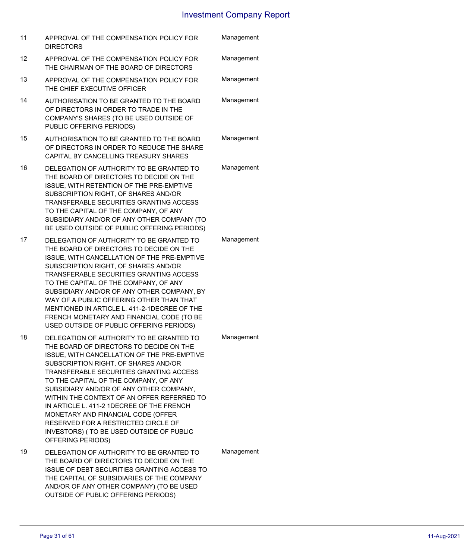| 11 | APPROVAL OF THE COMPENSATION POLICY FOR<br><b>DIRECTORS</b>                                                                                                                                                                                                                                                                                                                                                                                                                                                                                        | Management |
|----|----------------------------------------------------------------------------------------------------------------------------------------------------------------------------------------------------------------------------------------------------------------------------------------------------------------------------------------------------------------------------------------------------------------------------------------------------------------------------------------------------------------------------------------------------|------------|
| 12 | APPROVAL OF THE COMPENSATION POLICY FOR<br>THE CHAIRMAN OF THE BOARD OF DIRECTORS                                                                                                                                                                                                                                                                                                                                                                                                                                                                  | Management |
| 13 | APPROVAL OF THE COMPENSATION POLICY FOR<br>THE CHIEF EXECUTIVE OFFICER                                                                                                                                                                                                                                                                                                                                                                                                                                                                             | Management |
| 14 | AUTHORISATION TO BE GRANTED TO THE BOARD<br>OF DIRECTORS IN ORDER TO TRADE IN THE<br>COMPANY'S SHARES (TO BE USED OUTSIDE OF<br>PUBLIC OFFERING PERIODS)                                                                                                                                                                                                                                                                                                                                                                                           | Management |
| 15 | AUTHORISATION TO BE GRANTED TO THE BOARD<br>OF DIRECTORS IN ORDER TO REDUCE THE SHARE<br>CAPITAL BY CANCELLING TREASURY SHARES                                                                                                                                                                                                                                                                                                                                                                                                                     | Management |
| 16 | DELEGATION OF AUTHORITY TO BE GRANTED TO<br>THE BOARD OF DIRECTORS TO DECIDE ON THE<br>ISSUE, WITH RETENTION OF THE PRE-EMPTIVE<br>SUBSCRIPTION RIGHT, OF SHARES AND/OR<br>TRANSFERABLE SECURITIES GRANTING ACCESS<br>TO THE CAPITAL OF THE COMPANY, OF ANY<br>SUBSIDIARY AND/OR OF ANY OTHER COMPANY (TO<br>BE USED OUTSIDE OF PUBLIC OFFERING PERIODS)                                                                                                                                                                                           | Management |
| 17 | DELEGATION OF AUTHORITY TO BE GRANTED TO<br>THE BOARD OF DIRECTORS TO DECIDE ON THE<br>ISSUE, WITH CANCELLATION OF THE PRE-EMPTIVE<br>SUBSCRIPTION RIGHT, OF SHARES AND/OR<br>TRANSFERABLE SECURITIES GRANTING ACCESS<br>TO THE CAPITAL OF THE COMPANY, OF ANY<br>SUBSIDIARY AND/OR OF ANY OTHER COMPANY, BY<br>WAY OF A PUBLIC OFFERING OTHER THAN THAT<br>MENTIONED IN ARTICLE L. 411-2-1DECREE OF THE<br>FRENCH MONETARY AND FINANCIAL CODE (TO BE<br>USED OUTSIDE OF PUBLIC OFFERING PERIODS)                                                  | Management |
| 18 | DELEGATION OF AUTHORITY TO BE GRANTED TO<br>THE BOARD OF DIRECTORS TO DECIDE ON THE<br>ISSUE, WITH CANCELLATION OF THE PRE-EMPTIVE<br>SUBSCRIPTION RIGHT, OF SHARES AND/OR<br>TRANSFERABLE SECURITIES GRANTING ACCESS<br>TO THE CAPITAL OF THE COMPANY, OF ANY<br>SUBSIDIARY AND/OR OF ANY OTHER COMPANY,<br>WITHIN THE CONTEXT OF AN OFFER REFERRED TO<br>IN ARTICLE L. 411-2 1DECREE OF THE FRENCH<br>MONETARY AND FINANCIAL CODE (OFFER<br>RESERVED FOR A RESTRICTED CIRCLE OF<br>INVESTORS) (TO BE USED OUTSIDE OF PUBLIC<br>OFFERING PERIODS) | Management |
| 19 | DELEGATION OF AUTHORITY TO BE GRANTED TO<br>THE BOARD OF DIRECTORS TO DECIDE ON THE<br>ISSUE OF DEBT SECURITIES GRANTING ACCESS TO<br>THE CAPITAL OF SUBSIDIARIES OF THE COMPANY<br>AND/OR OF ANY OTHER COMPANY) (TO BE USED<br>OUTSIDE OF PUBLIC OFFERING PERIODS)                                                                                                                                                                                                                                                                                | Management |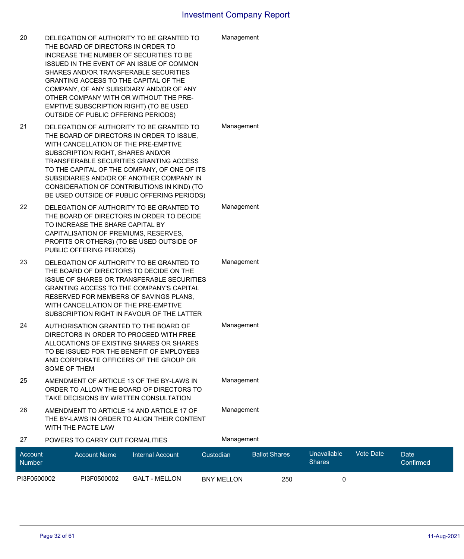| 20                       | DELEGATION OF AUTHORITY TO BE GRANTED TO<br>THE BOARD OF DIRECTORS IN ORDER TO<br>INCREASE THE NUMBER OF SECURITIES TO BE<br>ISSUED IN THE EVENT OF AN ISSUE OF COMMON<br>SHARES AND/OR TRANSFERABLE SECURITIES<br>GRANTING ACCESS TO THE CAPITAL OF THE<br>COMPANY, OF ANY SUBSIDIARY AND/OR OF ANY<br>OTHER COMPANY WITH OR WITHOUT THE PRE-<br>EMPTIVE SUBSCRIPTION RIGHT) (TO BE USED<br>OUTSIDE OF PUBLIC OFFERING PERIODS) |                         |           | Management        |                      |                              |           |                   |
|--------------------------|----------------------------------------------------------------------------------------------------------------------------------------------------------------------------------------------------------------------------------------------------------------------------------------------------------------------------------------------------------------------------------------------------------------------------------|-------------------------|-----------|-------------------|----------------------|------------------------------|-----------|-------------------|
| 21                       | DELEGATION OF AUTHORITY TO BE GRANTED TO<br>THE BOARD OF DIRECTORS IN ORDER TO ISSUE,<br>WITH CANCELLATION OF THE PRE-EMPTIVE<br>SUBSCRIPTION RIGHT, SHARES AND/OR<br>TRANSFERABLE SECURITIES GRANTING ACCESS<br>TO THE CAPITAL OF THE COMPANY, OF ONE OF ITS<br>SUBSIDIARIES AND/OR OF ANOTHER COMPANY IN<br>CONSIDERATION OF CONTRIBUTIONS IN KIND) (TO<br>BE USED OUTSIDE OF PUBLIC OFFERING PERIODS)                         |                         |           | Management        |                      |                              |           |                   |
| 22                       | DELEGATION OF AUTHORITY TO BE GRANTED TO<br>THE BOARD OF DIRECTORS IN ORDER TO DECIDE<br>TO INCREASE THE SHARE CAPITAL BY<br>CAPITALISATION OF PREMIUMS, RESERVES,<br>PROFITS OR OTHERS) (TO BE USED OUTSIDE OF<br>PUBLIC OFFERING PERIODS)                                                                                                                                                                                      |                         |           | Management        |                      |                              |           |                   |
| 23                       | DELEGATION OF AUTHORITY TO BE GRANTED TO<br>THE BOARD OF DIRECTORS TO DECIDE ON THE<br>ISSUE OF SHARES OR TRANSFERABLE SECURITIES<br><b>GRANTING ACCESS TO THE COMPANY'S CAPITAL</b><br>RESERVED FOR MEMBERS OF SAVINGS PLANS,<br>WITH CANCELLATION OF THE PRE-EMPTIVE<br>SUBSCRIPTION RIGHT IN FAVOUR OF THE LATTER                                                                                                             |                         |           | Management        |                      |                              |           |                   |
| 24                       | AUTHORISATION GRANTED TO THE BOARD OF<br>DIRECTORS IN ORDER TO PROCEED WITH FREE<br>ALLOCATIONS OF EXISTING SHARES OR SHARES<br>TO BE ISSUED FOR THE BENEFIT OF EMPLOYEES<br>AND CORPORATE OFFICERS OF THE GROUP OR<br>SOME OF THEM                                                                                                                                                                                              |                         |           | Management        |                      |                              |           |                   |
| 25                       | AMENDMENT OF ARTICLE 13 OF THE BY-LAWS IN<br>ORDER TO ALLOW THE BOARD OF DIRECTORS TO<br>TAKE DECISIONS BY WRITTEN CONSULTATION                                                                                                                                                                                                                                                                                                  |                         |           | Management        |                      |                              |           |                   |
| 26                       | AMENDMENT TO ARTICLE 14 AND ARTICLE 17 OF<br>THE BY-LAWS IN ORDER TO ALIGN THEIR CONTENT<br>WITH THE PACTE LAW                                                                                                                                                                                                                                                                                                                   |                         |           | Management        |                      |                              |           |                   |
| 27                       | POWERS TO CARRY OUT FORMALITIES                                                                                                                                                                                                                                                                                                                                                                                                  |                         |           | Management        |                      |                              |           |                   |
| Account<br><b>Number</b> | <b>Account Name</b>                                                                                                                                                                                                                                                                                                                                                                                                              | <b>Internal Account</b> | Custodian |                   | <b>Ballot Shares</b> | Unavailable<br><b>Shares</b> | Vote Date | Date<br>Confirmed |
| PI3F0500002              | PI3F0500002                                                                                                                                                                                                                                                                                                                                                                                                                      | <b>GALT - MELLON</b>    |           | <b>BNY MELLON</b> | 250                  | 0                            |           |                   |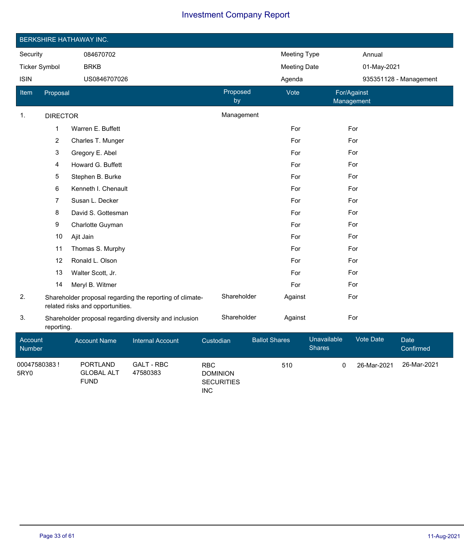|                      | BERKSHIRE HATHAWAY INC. |                                                                                              |                |                     |                           |  |  |  |  |  |  |
|----------------------|-------------------------|----------------------------------------------------------------------------------------------|----------------|---------------------|---------------------------|--|--|--|--|--|--|
| Security             |                         | 084670702                                                                                    |                | <b>Meeting Type</b> | Annual                    |  |  |  |  |  |  |
| <b>Ticker Symbol</b> |                         | <b>BRKB</b>                                                                                  |                | <b>Meeting Date</b> | 01-May-2021               |  |  |  |  |  |  |
| <b>ISIN</b>          |                         | US0846707026                                                                                 |                | Agenda              | 935351128 - Management    |  |  |  |  |  |  |
| Item                 | Proposal                |                                                                                              | Proposed<br>by | Vote                | For/Against<br>Management |  |  |  |  |  |  |
| 1.                   | <b>DIRECTOR</b>         |                                                                                              | Management     |                     |                           |  |  |  |  |  |  |
|                      | $\mathbf{1}$            | Warren E. Buffett                                                                            |                | For                 | For                       |  |  |  |  |  |  |
|                      | $\overline{c}$          | Charles T. Munger                                                                            |                | For                 | For                       |  |  |  |  |  |  |
|                      | 3                       | Gregory E. Abel                                                                              |                | For                 | For                       |  |  |  |  |  |  |
|                      | 4                       | Howard G. Buffett                                                                            |                | For                 | For                       |  |  |  |  |  |  |
|                      | 5                       | Stephen B. Burke                                                                             |                | For                 | For                       |  |  |  |  |  |  |
|                      | 6                       | Kenneth I. Chenault                                                                          |                | For                 | For                       |  |  |  |  |  |  |
|                      | 7                       | Susan L. Decker                                                                              |                | For                 | For                       |  |  |  |  |  |  |
|                      | 8                       | David S. Gottesman                                                                           |                | For                 | For                       |  |  |  |  |  |  |
|                      | 9                       | Charlotte Guyman                                                                             |                | For                 | For                       |  |  |  |  |  |  |
|                      | 10                      | Ajit Jain                                                                                    |                | For                 | For                       |  |  |  |  |  |  |
|                      | 11                      | Thomas S. Murphy                                                                             |                | For                 | For                       |  |  |  |  |  |  |
|                      | 12                      | Ronald L. Olson                                                                              |                | For                 | For                       |  |  |  |  |  |  |
|                      | 13                      | Walter Scott, Jr.                                                                            |                | For                 | For                       |  |  |  |  |  |  |
|                      | 14                      | Meryl B. Witmer                                                                              |                | For                 | For                       |  |  |  |  |  |  |
| 2.                   |                         | Shareholder proposal regarding the reporting of climate-<br>related risks and opportunities. | Shareholder    | Against             | For                       |  |  |  |  |  |  |
| 3.                   |                         | Shareholder proposal regarding diversity and inclusion                                       | Shareholder    | Against             | For                       |  |  |  |  |  |  |

reporting.

| Account<br><b>Number</b> | <b>Account Name</b>                          | <b>Internal Account</b>       | Custodian                                                        | <b>Ballot Shares</b> | Unavailable<br><b>Shares</b> | <b>Vote Date</b> | Date<br>Confirmed |
|--------------------------|----------------------------------------------|-------------------------------|------------------------------------------------------------------|----------------------|------------------------------|------------------|-------------------|
| 00047580383!<br>5RY0     | PORTLAND<br><b>GLOBAL ALT</b><br><b>FUND</b> | <b>GALT - RBC</b><br>47580383 | <b>RBC</b><br><b>DOMINION</b><br><b>SECURITIES</b><br><b>INC</b> | 510                  |                              | 26-Mar-2021      | 26-Mar-2021       |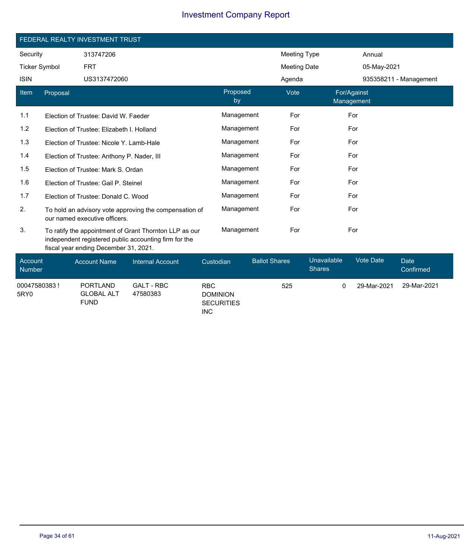|                          | FEDERAL REALTY INVESTMENT TRUST |                                            |                                                                                                                 |           |                |                      |                     |                              |                           |                          |  |  |
|--------------------------|---------------------------------|--------------------------------------------|-----------------------------------------------------------------------------------------------------------------|-----------|----------------|----------------------|---------------------|------------------------------|---------------------------|--------------------------|--|--|
| Security                 |                                 | 313747206                                  |                                                                                                                 |           |                |                      | <b>Meeting Type</b> |                              | Annual                    |                          |  |  |
| <b>Ticker Symbol</b>     |                                 | <b>FRT</b>                                 |                                                                                                                 |           |                |                      | Meeting Date        |                              |                           | 05-May-2021              |  |  |
| <b>ISIN</b>              |                                 | US3137472060                               |                                                                                                                 |           |                |                      | Agenda              |                              |                           | 935358211 - Management   |  |  |
| Item                     | Proposal                        |                                            |                                                                                                                 |           | Proposed<br>by |                      | Vote                |                              | For/Against<br>Management |                          |  |  |
| 1.1                      |                                 | Election of Trustee: David W. Faeder       |                                                                                                                 |           | Management     |                      | For                 |                              | For                       |                          |  |  |
| 1.2                      |                                 | Election of Trustee: Elizabeth I. Holland  |                                                                                                                 |           | Management     |                      | For                 |                              | For                       |                          |  |  |
| 1.3                      |                                 | Election of Trustee: Nicole Y. Lamb-Hale   |                                                                                                                 |           | Management     |                      | For                 |                              | For                       |                          |  |  |
| 1.4                      |                                 | Election of Trustee: Anthony P. Nader, III |                                                                                                                 |           | Management     |                      | For                 |                              | For                       |                          |  |  |
| 1.5                      |                                 | Election of Trustee: Mark S. Ordan         |                                                                                                                 |           | Management     |                      | For                 |                              | For                       |                          |  |  |
| 1.6                      |                                 | Election of Trustee: Gail P. Steinel       |                                                                                                                 |           | Management     |                      | For                 |                              | For                       |                          |  |  |
| 1.7                      |                                 | Election of Trustee: Donald C. Wood        |                                                                                                                 |           | Management     |                      | For                 |                              | For                       |                          |  |  |
| 2.                       |                                 | our named executive officers.              | To hold an advisory vote approving the compensation of                                                          |           | Management     |                      | For                 |                              | For                       |                          |  |  |
| 3.                       |                                 | fiscal year ending December 31, 2021.      | To ratify the appointment of Grant Thornton LLP as our<br>independent registered public accounting firm for the |           | Management     |                      | For                 |                              | For                       |                          |  |  |
| Account<br><b>Number</b> |                                 | <b>Account Name</b>                        | <b>Internal Account</b>                                                                                         | Custodian |                | <b>Ballot Shares</b> |                     | Unavailable<br><b>Shares</b> | <b>Vote Date</b>          | <b>Date</b><br>Confirmed |  |  |

00047580383 ! 5RY0

PORTLAND GLOBAL ALT

FUND

GALT - RBC 47580383

RBC DOMINION **SECURITIES** INC

525 0 29-Mar-2021 29-Mar-2021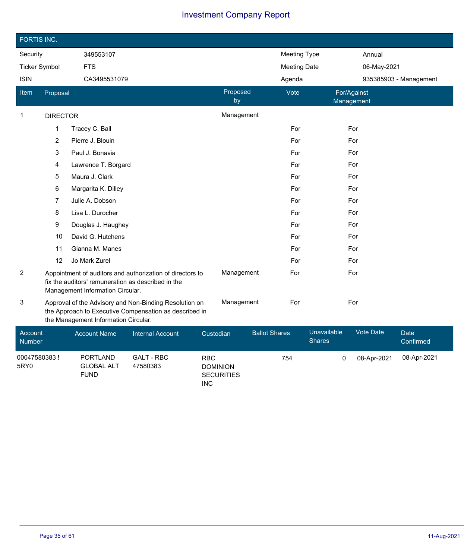| FORTIS INC.              |                 |                                                                                        |                                                                                                                  |            |                                      |                      |                     |                              |                  |                        |
|--------------------------|-----------------|----------------------------------------------------------------------------------------|------------------------------------------------------------------------------------------------------------------|------------|--------------------------------------|----------------------|---------------------|------------------------------|------------------|------------------------|
| Security                 |                 | 349553107                                                                              |                                                                                                                  |            |                                      |                      | <b>Meeting Type</b> |                              | Annual           |                        |
| <b>Ticker Symbol</b>     |                 | <b>FTS</b>                                                                             |                                                                                                                  |            |                                      |                      | <b>Meeting Date</b> |                              | 06-May-2021      |                        |
| <b>ISIN</b>              |                 | CA3495531079                                                                           |                                                                                                                  |            |                                      |                      | Agenda              |                              |                  | 935385903 - Management |
| Item                     | Proposal        |                                                                                        |                                                                                                                  |            | Proposed<br>by                       |                      | Vote                | For/Against<br>Management    |                  |                        |
| 1                        | <b>DIRECTOR</b> |                                                                                        |                                                                                                                  |            | Management                           |                      |                     |                              |                  |                        |
|                          | $\mathbf 1$     | Tracey C. Ball                                                                         |                                                                                                                  |            |                                      |                      | For                 |                              | For              |                        |
|                          | $\overline{2}$  | Pierre J. Blouin                                                                       |                                                                                                                  |            |                                      |                      | For                 |                              | For              |                        |
|                          | 3               | Paul J. Bonavia                                                                        |                                                                                                                  |            |                                      |                      | For                 |                              | For              |                        |
|                          | 4               | Lawrence T. Borgard                                                                    |                                                                                                                  |            |                                      |                      | For                 |                              | For              |                        |
|                          | 5               | Maura J. Clark                                                                         |                                                                                                                  |            |                                      |                      | For                 |                              | For              |                        |
|                          | 6               | Margarita K. Dilley                                                                    |                                                                                                                  |            |                                      |                      | For                 |                              | For              |                        |
|                          | 7               | Julie A. Dobson                                                                        |                                                                                                                  |            |                                      |                      | For                 |                              | For              |                        |
|                          | 8               | Lisa L. Durocher                                                                       |                                                                                                                  |            |                                      |                      | For                 |                              | For              |                        |
|                          | 9               | Douglas J. Haughey                                                                     |                                                                                                                  |            |                                      |                      | For                 |                              | For              |                        |
|                          | 10              | David G. Hutchens                                                                      |                                                                                                                  |            |                                      |                      | For                 |                              | For              |                        |
|                          | 11              | Gianna M. Manes                                                                        |                                                                                                                  |            |                                      |                      | For                 |                              | For              |                        |
|                          | 12              | Jo Mark Zurel                                                                          |                                                                                                                  |            |                                      |                      | For                 |                              | For              |                        |
| 2                        |                 | fix the auditors' remuneration as described in the<br>Management Information Circular. | Appointment of auditors and authorization of directors to                                                        |            | Management                           |                      | For                 |                              | For              |                        |
| 3                        |                 | the Management Information Circular.                                                   | Approval of the Advisory and Non-Binding Resolution on<br>the Approach to Executive Compensation as described in |            | Management                           |                      | For                 |                              | For              |                        |
| Account<br><b>Number</b> |                 | <b>Account Name</b>                                                                    | <b>Internal Account</b>                                                                                          | Custodian  |                                      | <b>Ballot Shares</b> |                     | Unavailable<br><b>Shares</b> | <b>Vote Date</b> | Date<br>Confirmed      |
| 00047580383!<br>5RY0     |                 | <b>PORTLAND</b><br><b>GLOBAL ALT</b><br><b>FUND</b>                                    | <b>GALT - RBC</b><br>47580383                                                                                    | <b>RBC</b> | <b>DOMINION</b><br><b>SECURITIES</b> |                      | 754                 | 0                            | 08-Apr-2021      | 08-Apr-2021            |

INC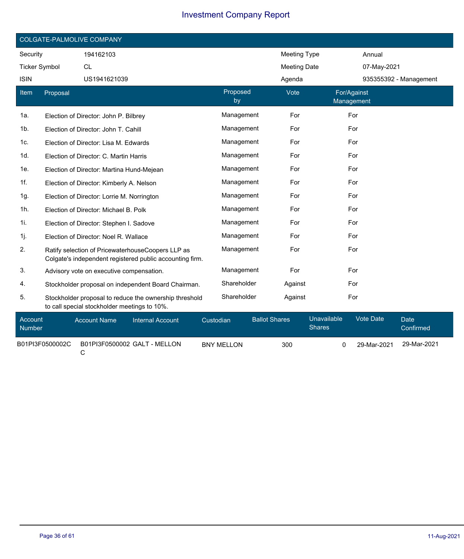|                      | COLGATE-PALMOLIVE COMPANY |                                                                                                               |                |                     |                           |                        |  |  |  |  |
|----------------------|---------------------------|---------------------------------------------------------------------------------------------------------------|----------------|---------------------|---------------------------|------------------------|--|--|--|--|
| Security             |                           | 194162103                                                                                                     |                | <b>Meeting Type</b> |                           | Annual                 |  |  |  |  |
| <b>Ticker Symbol</b> |                           | <b>CL</b>                                                                                                     |                | <b>Meeting Date</b> |                           | 07-May-2021            |  |  |  |  |
| <b>ISIN</b>          |                           | US1941621039                                                                                                  |                | Agenda              |                           | 935355392 - Management |  |  |  |  |
| Item                 | Proposal                  |                                                                                                               | Proposed<br>by | Vote                | For/Against<br>Management |                        |  |  |  |  |
| 1a.                  |                           | Election of Director: John P. Bilbrey                                                                         | Management     | For                 | For                       |                        |  |  |  |  |
| 1b.                  |                           | Election of Director: John T. Cahill                                                                          | Management     | For                 | For                       |                        |  |  |  |  |
| 1c.                  |                           | Election of Director: Lisa M. Edwards                                                                         | Management     | For                 | For                       |                        |  |  |  |  |
| 1d.                  |                           | Election of Director: C. Martin Harris                                                                        | Management     | For                 | For                       |                        |  |  |  |  |
| 1e.                  |                           | Election of Director: Martina Hund-Mejean                                                                     | Management     | For                 | For                       |                        |  |  |  |  |
| 1f.                  |                           | Election of Director: Kimberly A. Nelson                                                                      | Management     | For                 | For                       |                        |  |  |  |  |
| 1g.                  |                           | Election of Director: Lorrie M. Norrington                                                                    | Management     | For                 | For                       |                        |  |  |  |  |
| 1h.                  |                           | Election of Director: Michael B. Polk                                                                         | Management     | For                 | For                       |                        |  |  |  |  |
| 1i.                  |                           | Election of Director: Stephen I. Sadove                                                                       | Management     | For                 | For                       |                        |  |  |  |  |
| 1j.                  |                           | Election of Director: Noel R. Wallace                                                                         | Management     | For                 | For                       |                        |  |  |  |  |
| 2.                   |                           | Ratify selection of PricewaterhouseCoopers LLP as<br>Colgate's independent registered public accounting firm. | Management     | For                 | For                       |                        |  |  |  |  |
| 3.                   |                           | Advisory vote on executive compensation.                                                                      | Management     | For                 | For                       |                        |  |  |  |  |
| 4.                   |                           | Stockholder proposal on independent Board Chairman.                                                           | Shareholder    | Against             | For                       |                        |  |  |  |  |
| 5.                   |                           | Stockholder proposal to reduce the ownership threshold<br>to call special stockholder meetings to 10%.        | Shareholder    | Against             | For                       |                        |  |  |  |  |

| Account<br><b>Number</b> | <b>Account Name</b> | Internal Account             | Custodian         | <b>Ballot Shares</b> | Unavailable <sup>1</sup><br><b>Shares</b> | Vote Date   | Date<br>Confirmed |
|--------------------------|---------------------|------------------------------|-------------------|----------------------|-------------------------------------------|-------------|-------------------|
| B01PI3F0500002C          |                     | B01PI3F0500002 GALT - MELLON | <b>BNY MELLON</b> | 300                  |                                           | 29-Mar-2021 | 29-Mar-2021       |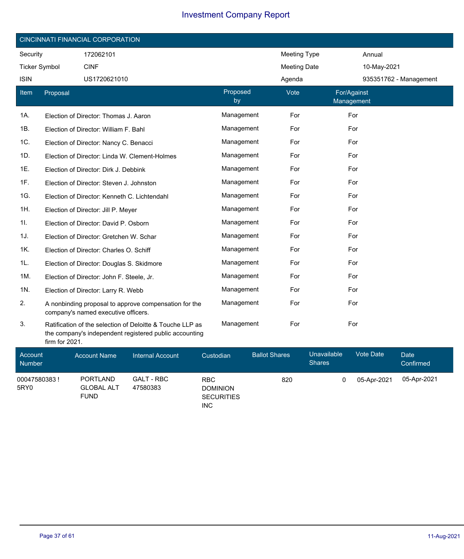|                       | <b>CINCINNATI FINANCIAL CORPORATION</b> |                                                                                                                     |                |                     |                           |  |  |  |  |  |
|-----------------------|-----------------------------------------|---------------------------------------------------------------------------------------------------------------------|----------------|---------------------|---------------------------|--|--|--|--|--|
| Security<br>172062101 |                                         |                                                                                                                     |                | <b>Meeting Type</b> | Annual                    |  |  |  |  |  |
| <b>Ticker Symbol</b>  |                                         | <b>CINF</b>                                                                                                         |                | <b>Meeting Date</b> | 10-May-2021               |  |  |  |  |  |
| <b>ISIN</b>           |                                         | US1720621010                                                                                                        |                | Agenda              | 935351762 - Management    |  |  |  |  |  |
| Item                  | Proposal                                |                                                                                                                     | Proposed<br>by | Vote                | For/Against<br>Management |  |  |  |  |  |
| 1A.                   |                                         | Election of Director: Thomas J. Aaron                                                                               | Management     | For                 | For                       |  |  |  |  |  |
| 1B.                   |                                         | Election of Director: William F. Bahl                                                                               | Management     | For                 | For                       |  |  |  |  |  |
| 1C.                   |                                         | Election of Director: Nancy C. Benacci                                                                              | Management     | For                 | For                       |  |  |  |  |  |
| 1D.                   |                                         | Election of Director: Linda W. Clement-Holmes                                                                       | Management     | For                 | For                       |  |  |  |  |  |
| 1E.                   |                                         | Election of Director: Dirk J. Debbink                                                                               | Management     | For                 | For                       |  |  |  |  |  |
| 1F.                   |                                         | Election of Director: Steven J. Johnston                                                                            | Management     | For                 | For                       |  |  |  |  |  |
| 1G.                   |                                         | Election of Director: Kenneth C. Lichtendahl                                                                        | Management     | For                 | For                       |  |  |  |  |  |
| 1H.                   |                                         | Election of Director: Jill P. Meyer                                                                                 | Management     | For                 | For                       |  |  |  |  |  |
| 11.                   |                                         | Election of Director: David P. Osborn                                                                               | Management     | For                 | For                       |  |  |  |  |  |
| 1J.                   |                                         | Election of Director: Gretchen W. Schar                                                                             | Management     | For                 | For                       |  |  |  |  |  |
| 1K.                   |                                         | Election of Director: Charles O. Schiff                                                                             | Management     | For                 | For                       |  |  |  |  |  |
| 1L.                   |                                         | Election of Director: Douglas S. Skidmore                                                                           | Management     | For                 | For                       |  |  |  |  |  |
| 1M.                   |                                         | Election of Director: John F. Steele, Jr.                                                                           | Management     | For                 | For                       |  |  |  |  |  |
| 1N.                   |                                         | Election of Director: Larry R. Webb                                                                                 | Management     | For                 | For                       |  |  |  |  |  |
| 2.                    |                                         | A nonbinding proposal to approve compensation for the<br>company's named executive officers.                        | Management     | For                 | For                       |  |  |  |  |  |
| 3.                    | firm for 2021.                          | Ratification of the selection of Deloitte & Touche LLP as<br>the company's independent registered public accounting | Management     | For                 | For                       |  |  |  |  |  |

| Account<br><b>Number</b> | <b>Account Name</b>                                 | Internal Account              | Custodian                                                        | <b>Ballot Shares</b> | <b>Unavailable</b><br><b>Shares</b> | <b>Vote Date</b> | Date<br>Confirmed |
|--------------------------|-----------------------------------------------------|-------------------------------|------------------------------------------------------------------|----------------------|-------------------------------------|------------------|-------------------|
| 00047580383!<br>5RY0     | <b>PORTLAND</b><br><b>GLOBAL ALT</b><br><b>FUND</b> | <b>GALT - RBC</b><br>47580383 | <b>RBC</b><br><b>DOMINION</b><br><b>SECURITIES</b><br><b>INC</b> | 820                  |                                     | 05-Apr-2021      | 05-Apr-2021       |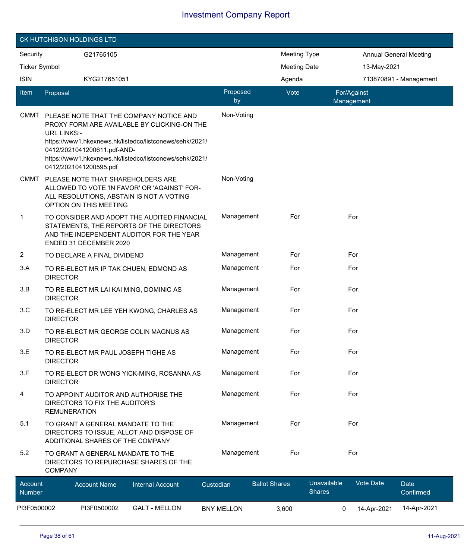|                      | CK HUTCHISON HOLDINGS LTD                                                                                                                                                                                                                                                                   |                                |                                                                                                                               |                |                      |                     |                              |                           |                               |  |  |
|----------------------|---------------------------------------------------------------------------------------------------------------------------------------------------------------------------------------------------------------------------------------------------------------------------------------------|--------------------------------|-------------------------------------------------------------------------------------------------------------------------------|----------------|----------------------|---------------------|------------------------------|---------------------------|-------------------------------|--|--|
| Security             |                                                                                                                                                                                                                                                                                             | G21765105                      |                                                                                                                               |                |                      | <b>Meeting Type</b> |                              |                           | <b>Annual General Meeting</b> |  |  |
| <b>Ticker Symbol</b> |                                                                                                                                                                                                                                                                                             |                                |                                                                                                                               |                |                      | <b>Meeting Date</b> |                              | 13-May-2021               |                               |  |  |
| <b>ISIN</b>          |                                                                                                                                                                                                                                                                                             | KYG217651051                   |                                                                                                                               |                |                      | Agenda              |                              |                           | 713870891 - Management        |  |  |
| <b>Item</b>          | Proposal                                                                                                                                                                                                                                                                                    |                                |                                                                                                                               | Proposed<br>by |                      | Vote                |                              | For/Against<br>Management |                               |  |  |
| <b>CMMT</b>          | PLEASE NOTE THAT THE COMPANY NOTICE AND<br>PROXY FORM ARE AVAILABLE BY CLICKING-ON THE<br><b>URL LINKS:-</b><br>https://www1.hkexnews.hk/listedco/listconews/sehk/2021/<br>0412/2021041200611.pdf-AND-<br>https://www1.hkexnews.hk/listedco/listconews/sehk/2021/<br>0412/2021041200595.pdf |                                |                                                                                                                               |                | Non-Voting           |                     |                              |                           |                               |  |  |
| <b>CMMT</b>          |                                                                                                                                                                                                                                                                                             | OPTION ON THIS MEETING         | PLEASE NOTE THAT SHAREHOLDERS ARE<br>ALLOWED TO VOTE 'IN FAVOR' OR 'AGAINST' FOR-<br>ALL RESOLUTIONS, ABSTAIN IS NOT A VOTING | Non-Voting     |                      |                     |                              |                           |                               |  |  |
| $\mathbf{1}$         | TO CONSIDER AND ADOPT THE AUDITED FINANCIAL<br>STATEMENTS, THE REPORTS OF THE DIRECTORS<br>AND THE INDEPENDENT AUDITOR FOR THE YEAR<br>ENDED 31 DECEMBER 2020                                                                                                                               |                                |                                                                                                                               |                | Management           | For                 |                              | For                       |                               |  |  |
| $\overline{2}$       |                                                                                                                                                                                                                                                                                             | TO DECLARE A FINAL DIVIDEND    |                                                                                                                               |                | Management           | For                 |                              | For                       |                               |  |  |
| 3.A                  | <b>DIRECTOR</b>                                                                                                                                                                                                                                                                             |                                | TO RE-ELECT MR IP TAK CHUEN, EDMOND AS                                                                                        |                | Management           | For                 |                              | For                       |                               |  |  |
| 3.B                  | <b>DIRECTOR</b>                                                                                                                                                                                                                                                                             |                                | TO RE-ELECT MR LAI KAI MING, DOMINIC AS                                                                                       |                | Management           | For                 |                              | For                       |                               |  |  |
| 3.C                  | <b>DIRECTOR</b>                                                                                                                                                                                                                                                                             |                                | TO RE-ELECT MR LEE YEH KWONG, CHARLES AS                                                                                      |                | Management           | For                 |                              | For                       |                               |  |  |
| 3.D                  | <b>DIRECTOR</b>                                                                                                                                                                                                                                                                             |                                | TO RE-ELECT MR GEORGE COLIN MAGNUS AS                                                                                         |                | Management           | For                 |                              | For                       |                               |  |  |
| 3.E                  | <b>DIRECTOR</b>                                                                                                                                                                                                                                                                             |                                | TO RE-ELECT MR PAUL JOSEPH TIGHE AS                                                                                           |                | Management           | For                 |                              | For                       |                               |  |  |
| 3.F                  | <b>DIRECTOR</b>                                                                                                                                                                                                                                                                             |                                | TO RE-ELECT DR WONG YICK-MING, ROSANNA AS                                                                                     |                | Management           | For                 |                              | For                       |                               |  |  |
| 4                    | <b>REMUNERATION</b>                                                                                                                                                                                                                                                                         | DIRECTORS TO FIX THE AUDITOR'S | TO APPOINT AUDITOR AND AUTHORISE THE                                                                                          |                | Management           | For                 |                              | For                       |                               |  |  |
| 5.1                  |                                                                                                                                                                                                                                                                                             |                                | TO GRANT A GENERAL MANDATE TO THE<br>DIRECTORS TO ISSUE, ALLOT AND DISPOSE OF<br>ADDITIONAL SHARES OF THE COMPANY             |                | Management           | For                 |                              | For                       |                               |  |  |
| 5.2                  | TO GRANT A GENERAL MANDATE TO THE<br>DIRECTORS TO REPURCHASE SHARES OF THE<br><b>COMPANY</b>                                                                                                                                                                                                |                                |                                                                                                                               |                | Management           | For                 |                              | For                       |                               |  |  |
| Account<br>Number    |                                                                                                                                                                                                                                                                                             | <b>Account Name</b>            | <b>Internal Account</b>                                                                                                       | Custodian      | <b>Ballot Shares</b> |                     | Unavailable<br><b>Shares</b> | Vote Date                 | <b>Date</b><br>Confirmed      |  |  |

PI3F0500002 PI3F0500002 GALT - MELLON BNY MELLON 3,600 0 14-Apr-2021 14-Apr-2021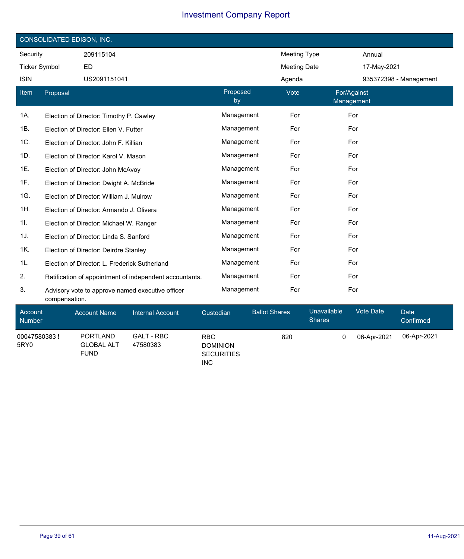|                      | CONSOLIDATED EDISON, INC.               |                                               |                                                         |                   |                |                      |                     |                           |             |                          |  |
|----------------------|-----------------------------------------|-----------------------------------------------|---------------------------------------------------------|-------------------|----------------|----------------------|---------------------|---------------------------|-------------|--------------------------|--|
| Security             |                                         | 209115104                                     |                                                         |                   |                |                      | <b>Meeting Type</b> |                           | Annual      |                          |  |
| <b>Ticker Symbol</b> |                                         | <b>ED</b>                                     |                                                         |                   |                |                      | <b>Meeting Date</b> |                           | 17-May-2021 |                          |  |
| <b>ISIN</b>          |                                         | US2091151041                                  |                                                         |                   |                | Agenda               |                     |                           |             | 935372398 - Management   |  |
| Item                 | Proposal                                |                                               |                                                         |                   | Proposed<br>by |                      | Vote                | For/Against<br>Management |             |                          |  |
| 1A.                  |                                         | Election of Director: Timothy P. Cawley       |                                                         |                   | Management     |                      | For                 | For                       |             |                          |  |
| 1B.                  |                                         | Election of Director: Ellen V. Futter         |                                                         |                   | Management     |                      | For                 | For                       |             |                          |  |
| 1C.                  |                                         | Election of Director: John F. Killian         |                                                         |                   | Management     |                      | For                 | For                       |             |                          |  |
| 1D.                  |                                         | Election of Director: Karol V. Mason          |                                                         |                   | Management     |                      | For                 | For                       |             |                          |  |
| 1E.                  |                                         | Election of Director: John McAvoy             |                                                         |                   | Management     |                      | For                 | For                       |             |                          |  |
| 1F.                  | Election of Director: Dwight A. McBride |                                               |                                                         | Management<br>For |                |                      | For                 |                           |             |                          |  |
| 1G.                  |                                         | Election of Director: William J. Mulrow       |                                                         |                   | Management     |                      | For                 | For                       |             |                          |  |
| 1H.                  |                                         | Election of Director: Armando J. Olivera      |                                                         |                   | Management     |                      | For                 | For                       |             |                          |  |
| 1I.                  |                                         | Election of Director: Michael W. Ranger       |                                                         |                   | Management     |                      | For                 | For                       |             |                          |  |
| 1J.                  |                                         | Election of Director: Linda S. Sanford        |                                                         |                   | Management     |                      | For                 | For                       |             |                          |  |
| 1K.                  |                                         | Election of Director: Deirdre Stanley         |                                                         |                   | Management     |                      | For                 | For                       |             |                          |  |
| 1L.                  |                                         | Election of Director: L. Frederick Sutherland |                                                         |                   | Management     |                      | For                 | For                       |             |                          |  |
| 2.                   |                                         |                                               | Ratification of appointment of independent accountants. |                   | Management     |                      | For                 | For                       |             |                          |  |
| 3.                   | compensation.                           |                                               | Advisory vote to approve named executive officer        |                   | Management     |                      | For                 | For                       |             |                          |  |
| Account<br>Number    |                                         | <b>Account Name</b>                           | <b>Internal Account</b>                                 | Custodian         |                | <b>Ballot Shares</b> | <b>Shares</b>       | <b>Unavailable</b>        | Vote Date   | <b>Date</b><br>Confirmed |  |
| 00047580383 !        |                                         | <b>PORTLAND</b>                               | <b>GALT - RBC</b>                                       | <b>RBC</b>        |                | 820                  |                     | 0                         | 06-Apr-2021 | 06-Apr-2021              |  |

GLOBAL ALT GALT - RBC 47580383

FUND

DOMINION **SECURITIES** INC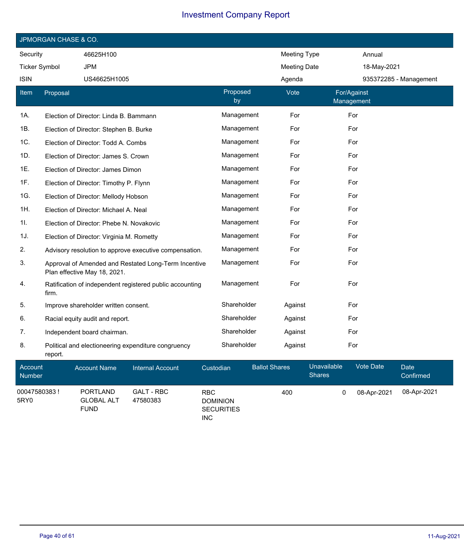|                      | JPMORGAN CHASE & CO. |                                                                                      |                |                     |                           |  |  |  |  |  |
|----------------------|----------------------|--------------------------------------------------------------------------------------|----------------|---------------------|---------------------------|--|--|--|--|--|
| Security             |                      | 46625H100                                                                            |                | Meeting Type        | Annual                    |  |  |  |  |  |
| <b>Ticker Symbol</b> |                      | <b>JPM</b>                                                                           |                | <b>Meeting Date</b> | 18-May-2021               |  |  |  |  |  |
| <b>ISIN</b>          |                      | US46625H1005                                                                         |                | Agenda              | 935372285 - Management    |  |  |  |  |  |
| Item                 | Proposal             |                                                                                      | Proposed<br>by | Vote                | For/Against<br>Management |  |  |  |  |  |
| 1A.                  |                      | Election of Director: Linda B. Bammann                                               | Management     | For                 | For                       |  |  |  |  |  |
| 1B.                  |                      | Election of Director: Stephen B. Burke                                               | Management     | For                 | For                       |  |  |  |  |  |
| 1C.                  |                      | Election of Director: Todd A. Combs                                                  | Management     | For                 | For                       |  |  |  |  |  |
| 1D.                  |                      | Election of Director: James S. Crown                                                 | Management     | For                 | For                       |  |  |  |  |  |
| 1E.                  |                      | Election of Director: James Dimon                                                    | Management     | For                 | For                       |  |  |  |  |  |
| 1F.                  |                      | Election of Director: Timothy P. Flynn                                               | Management     | For                 | For                       |  |  |  |  |  |
| 1G.                  |                      | Election of Director: Mellody Hobson                                                 | Management     | For                 | For                       |  |  |  |  |  |
| 1H.                  |                      | Election of Director: Michael A. Neal                                                | Management     | For                 | For                       |  |  |  |  |  |
| 1I.                  |                      | Election of Director: Phebe N. Novakovic                                             | Management     | For                 | For                       |  |  |  |  |  |
| 1J.                  |                      | Election of Director: Virginia M. Rometty                                            | Management     | For                 | For                       |  |  |  |  |  |
| 2.                   |                      | Advisory resolution to approve executive compensation.                               | Management     | For                 | For                       |  |  |  |  |  |
| 3.                   |                      | Approval of Amended and Restated Long-Term Incentive<br>Plan effective May 18, 2021. | Management     | For                 | For                       |  |  |  |  |  |
| 4.                   | firm.                | Ratification of independent registered public accounting                             | Management     | For                 | For                       |  |  |  |  |  |
| 5.                   |                      | Improve shareholder written consent.                                                 | Shareholder    | Against             | For                       |  |  |  |  |  |
| 6.                   |                      | Racial equity audit and report.                                                      | Shareholder    | Against             | For                       |  |  |  |  |  |
| 7.                   |                      | Independent board chairman.                                                          | Shareholder    | Against             | For                       |  |  |  |  |  |
| 8.                   | report.              | Political and electioneering expenditure congruency                                  | Shareholder    | Against             | For                       |  |  |  |  |  |

| Account<br><b>Number</b> | <b>Account Name</b>                                 | Internal Account              | Custodian                                                        | <b>Ballot Shares</b> | Unavailable<br><b>Shares</b> | Vote Date   | Date<br>Confirmed |
|--------------------------|-----------------------------------------------------|-------------------------------|------------------------------------------------------------------|----------------------|------------------------------|-------------|-------------------|
| 00047580383!<br>5RY0     | <b>PORTLAND</b><br><b>GLOBAL ALT</b><br><b>FUND</b> | <b>GALT - RBC</b><br>47580383 | <b>RBC</b><br><b>DOMINION</b><br><b>SECURITIES</b><br><b>INC</b> | 400                  |                              | 08-Apr-2021 | 08-Apr-2021       |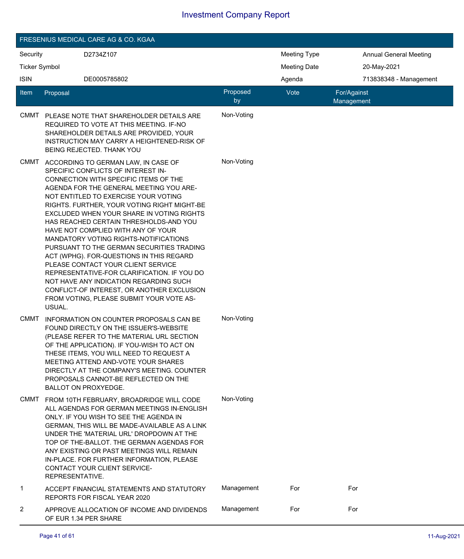| FRESENIUS MEDICAL CARE AG & CO. KGAA |                                                                                                                                                                                                                                                                                                                                                                                                                                                                                                                                                                                                                                                                                                                                                        |                |                     |                               |  |  |  |  |  |
|--------------------------------------|--------------------------------------------------------------------------------------------------------------------------------------------------------------------------------------------------------------------------------------------------------------------------------------------------------------------------------------------------------------------------------------------------------------------------------------------------------------------------------------------------------------------------------------------------------------------------------------------------------------------------------------------------------------------------------------------------------------------------------------------------------|----------------|---------------------|-------------------------------|--|--|--|--|--|
| Security                             | D2734Z107                                                                                                                                                                                                                                                                                                                                                                                                                                                                                                                                                                                                                                                                                                                                              |                | <b>Meeting Type</b> | <b>Annual General Meeting</b> |  |  |  |  |  |
| <b>Ticker Symbol</b>                 |                                                                                                                                                                                                                                                                                                                                                                                                                                                                                                                                                                                                                                                                                                                                                        |                | <b>Meeting Date</b> | 20-May-2021                   |  |  |  |  |  |
| <b>ISIN</b>                          | DE0005785802                                                                                                                                                                                                                                                                                                                                                                                                                                                                                                                                                                                                                                                                                                                                           |                | Agenda              | 713838348 - Management        |  |  |  |  |  |
| Item                                 | Proposal                                                                                                                                                                                                                                                                                                                                                                                                                                                                                                                                                                                                                                                                                                                                               | Proposed<br>by | Vote                | For/Against<br>Management     |  |  |  |  |  |
| CMMT                                 | PLEASE NOTE THAT SHAREHOLDER DETAILS ARE<br>REQUIRED TO VOTE AT THIS MEETING. IF-NO<br>SHAREHOLDER DETAILS ARE PROVIDED, YOUR<br>INSTRUCTION MAY CARRY A HEIGHTENED-RISK OF<br>BEING REJECTED. THANK YOU                                                                                                                                                                                                                                                                                                                                                                                                                                                                                                                                               | Non-Voting     |                     |                               |  |  |  |  |  |
| CMMT                                 | ACCORDING TO GERMAN LAW, IN CASE OF<br>SPECIFIC CONFLICTS OF INTEREST IN-<br>CONNECTION WITH SPECIFIC ITEMS OF THE<br>AGENDA FOR THE GENERAL MEETING YOU ARE-<br>NOT ENTITLED TO EXERCISE YOUR VOTING<br>RIGHTS. FURTHER, YOUR VOTING RIGHT MIGHT-BE<br>EXCLUDED WHEN YOUR SHARE IN VOTING RIGHTS<br>HAS REACHED CERTAIN THRESHOLDS-AND YOU<br>HAVE NOT COMPLIED WITH ANY OF YOUR<br>MANDATORY VOTING RIGHTS-NOTIFICATIONS<br>PURSUANT TO THE GERMAN SECURITIES TRADING<br>ACT (WPHG). FOR-QUESTIONS IN THIS REGARD<br>PLEASE CONTACT YOUR CLIENT SERVICE<br>REPRESENTATIVE-FOR CLARIFICATION. IF YOU DO<br>NOT HAVE ANY INDICATION REGARDING SUCH<br>CONFLICT-OF INTEREST, OR ANOTHER EXCLUSION<br>FROM VOTING, PLEASE SUBMIT YOUR VOTE AS-<br>USUAL. | Non-Voting     |                     |                               |  |  |  |  |  |
| <b>CMMT</b>                          | INFORMATION ON COUNTER PROPOSALS CAN BE<br>FOUND DIRECTLY ON THE ISSUER'S-WEBSITE<br>(PLEASE REFER TO THE MATERIAL URL SECTION<br>OF THE APPLICATION). IF YOU-WISH TO ACT ON<br>THESE ITEMS, YOU WILL NEED TO REQUEST A<br>MEETING ATTEND AND-VOTE YOUR SHARES<br>DIRECTLY AT THE COMPANY'S MEETING. COUNTER<br>PROPOSALS CANNOT-BE REFLECTED ON THE<br><b>BALLOT ON PROXYEDGE.</b>                                                                                                                                                                                                                                                                                                                                                                    | Non-Voting     |                     |                               |  |  |  |  |  |
| CMMT                                 | FROM 10TH FEBRUARY, BROADRIDGE WILL CODE<br>ALL AGENDAS FOR GERMAN MEETINGS IN-ENGLISH<br>ONLY. IF YOU WISH TO SEE THE AGENDA IN<br>GERMAN, THIS WILL BE MADE-AVAILABLE AS A LINK<br>UNDER THE 'MATERIAL URL' DROPDOWN AT THE<br>TOP OF THE-BALLOT. THE GERMAN AGENDAS FOR<br>ANY EXISTING OR PAST MEETINGS WILL REMAIN<br>IN-PLACE. FOR FURTHER INFORMATION, PLEASE<br>CONTACT YOUR CLIENT SERVICE-<br>REPRESENTATIVE.                                                                                                                                                                                                                                                                                                                                | Non-Voting     |                     |                               |  |  |  |  |  |
| $\mathbf{1}$                         | ACCEPT FINANCIAL STATEMENTS AND STATUTORY<br>REPORTS FOR FISCAL YEAR 2020                                                                                                                                                                                                                                                                                                                                                                                                                                                                                                                                                                                                                                                                              | Management     | For                 | For                           |  |  |  |  |  |
| 2                                    | APPROVE ALLOCATION OF INCOME AND DIVIDENDS<br>OF EUR 1.34 PER SHARE                                                                                                                                                                                                                                                                                                                                                                                                                                                                                                                                                                                                                                                                                    | Management     | For                 | For                           |  |  |  |  |  |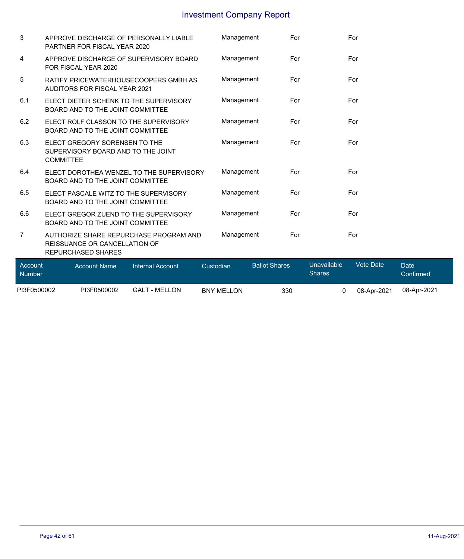| PI3F0500002              | PI3F0500002                                                                                                 | <b>GALT - MELLON</b>    | <b>BNY MELLON</b> | 330                  | 0                            | 08-Apr-2021      | 08-Apr-2021              |
|--------------------------|-------------------------------------------------------------------------------------------------------------|-------------------------|-------------------|----------------------|------------------------------|------------------|--------------------------|
| Account<br><b>Number</b> | <b>Account Name</b>                                                                                         | <b>Internal Account</b> | Custodian         | <b>Ballot Shares</b> | Unavailable<br><b>Shares</b> | <b>Vote Date</b> | <b>Date</b><br>Confirmed |
| 7                        | AUTHORIZE SHARE REPURCHASE PROGRAM AND<br><b>REISSUANCE OR CANCELLATION OF</b><br><b>REPURCHASED SHARES</b> |                         | Management        | For                  |                              | For              |                          |
| 6.6                      | ELECT GREGOR ZUEND TO THE SUPERVISORY<br>BOARD AND TO THE JOINT COMMITTEE                                   |                         | Management        | For                  |                              | For              |                          |
| 6.5                      | ELECT PASCALE WITZ TO THE SUPERVISORY<br>BOARD AND TO THE JOINT COMMITTEE                                   |                         | Management        | For                  |                              | For              |                          |
| 6.4                      | ELECT DOROTHEA WENZEL TO THE SUPERVISORY<br>BOARD AND TO THE JOINT COMMITTEE                                |                         | Management        | For                  |                              | For              |                          |
| 6.3                      | ELECT GREGORY SORENSEN TO THE<br>SUPERVISORY BOARD AND TO THE JOINT<br><b>COMMITTEE</b>                     |                         | Management        | For                  |                              | For              |                          |
| 6.2                      | ELECT ROLF CLASSON TO THE SUPERVISORY<br>BOARD AND TO THE JOINT COMMITTEE                                   |                         | Management        | For                  |                              | For              |                          |
| 6.1                      | ELECT DIETER SCHENK TO THE SUPERVISORY<br>BOARD AND TO THE JOINT COMMITTEE                                  |                         | Management        | For                  |                              | For              |                          |
| 5                        | RATIFY PRICEWATERHOUSECOOPERS GMBH AS<br><b>AUDITORS FOR FISCAL YEAR 2021</b>                               |                         | Management        | For                  |                              | For              |                          |
| 4                        | APPROVE DISCHARGE OF SUPERVISORY BOARD<br>FOR FISCAL YEAR 2020                                              |                         | Management        | For                  |                              | For              |                          |
| 3                        | APPROVE DISCHARGE OF PERSONALLY LIABLE<br>PARTNER FOR FISCAL YEAR 2020                                      |                         | Management        | For                  |                              | For              |                          |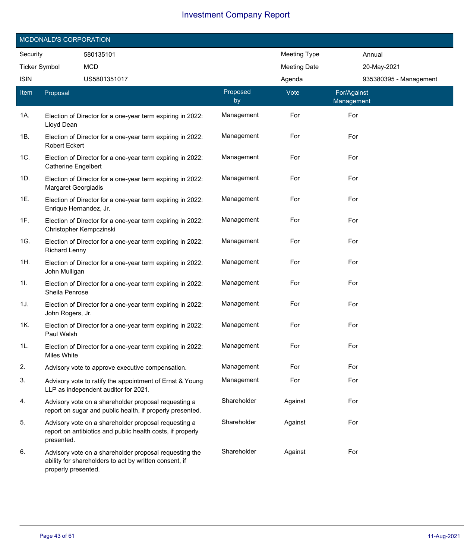| MCDONALD'S CORPORATION |                                                                                          |                                                                                                                    |                |                     |                           |  |  |  |
|------------------------|------------------------------------------------------------------------------------------|--------------------------------------------------------------------------------------------------------------------|----------------|---------------------|---------------------------|--|--|--|
| Security               |                                                                                          | 580135101                                                                                                          |                | <b>Meeting Type</b> | Annual                    |  |  |  |
| <b>Ticker Symbol</b>   |                                                                                          | <b>MCD</b>                                                                                                         |                | <b>Meeting Date</b> | 20-May-2021               |  |  |  |
| <b>ISIN</b>            |                                                                                          | US5801351017                                                                                                       |                | Agenda              | 935380395 - Management    |  |  |  |
| <b>Item</b>            | Proposal                                                                                 |                                                                                                                    | Proposed<br>by | Vote                | For/Against<br>Management |  |  |  |
| 1A.                    | Lloyd Dean                                                                               | Election of Director for a one-year term expiring in 2022:                                                         | Management     | For                 | For                       |  |  |  |
| 1B.                    | Election of Director for a one-year term expiring in 2022:<br><b>Robert Eckert</b>       |                                                                                                                    | Management     | For                 | For                       |  |  |  |
| 1C.                    | Election of Director for a one-year term expiring in 2022:<br><b>Catherine Engelbert</b> |                                                                                                                    | Management     | For                 | For                       |  |  |  |
| 1D.                    | <b>Margaret Georgiadis</b>                                                               | Election of Director for a one-year term expiring in 2022:                                                         | Management     | For                 | For                       |  |  |  |
| 1E.                    | Enrique Hernandez, Jr.                                                                   | Election of Director for a one-year term expiring in 2022:                                                         | Management     | For                 | For                       |  |  |  |
| 1F.                    | Christopher Kempczinski                                                                  | Election of Director for a one-year term expiring in 2022:                                                         | Management     | For                 | For                       |  |  |  |
| 1G.                    | <b>Richard Lenny</b>                                                                     | Election of Director for a one-year term expiring in 2022:                                                         | Management     | For                 | For                       |  |  |  |
| 1H.                    | John Mulligan                                                                            | Election of Director for a one-year term expiring in 2022:                                                         | Management     | For                 | For                       |  |  |  |
| 11.                    | Sheila Penrose                                                                           | Election of Director for a one-year term expiring in 2022:                                                         | Management     | For                 | For                       |  |  |  |
| 1J.                    | John Rogers, Jr.                                                                         | Election of Director for a one-year term expiring in 2022:                                                         | Management     | For                 | For                       |  |  |  |
| 1K.                    | Paul Walsh                                                                               | Election of Director for a one-year term expiring in 2022:                                                         | Management     | For                 | For                       |  |  |  |
| 1L.                    | Miles White                                                                              | Election of Director for a one-year term expiring in 2022:                                                         | Management     | For                 | For                       |  |  |  |
| 2.                     |                                                                                          | Advisory vote to approve executive compensation.                                                                   | Management     | For                 | For                       |  |  |  |
| 3.                     |                                                                                          | Advisory vote to ratify the appointment of Ernst & Young<br>LLP as independent auditor for 2021.                   | Management     | For                 | For                       |  |  |  |
| 4.                     |                                                                                          | Advisory vote on a shareholder proposal requesting a<br>report on sugar and public health, if properly presented.  | Shareholder    | Against             | For                       |  |  |  |
| 5.                     | presented.                                                                               | Advisory vote on a shareholder proposal requesting a<br>report on antibiotics and public health costs, if properly | Shareholder    | Against             | For                       |  |  |  |
| 6.                     | properly presented.                                                                      | Advisory vote on a shareholder proposal requesting the<br>ability for shareholders to act by written consent, if   | Shareholder    | Against             | For                       |  |  |  |

Ī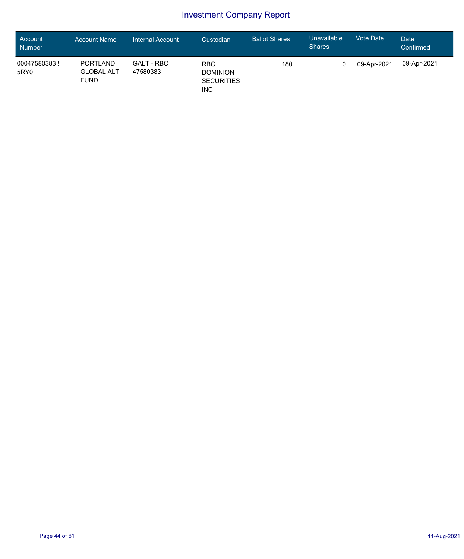| <b>Account</b><br>Number | <b>Account Name</b>                                 | Internal Account       | Custodian                                                        | <b>Ballot Shares</b> | Unavailable<br><b>Shares</b> | <b>Vote Date</b> | Date<br>Confirmed |
|--------------------------|-----------------------------------------------------|------------------------|------------------------------------------------------------------|----------------------|------------------------------|------------------|-------------------|
| 00047580383!<br>5RY0     | <b>PORTLAND</b><br><b>GLOBAL ALT</b><br><b>FUND</b> | GALT - RBC<br>47580383 | <b>RBC</b><br><b>DOMINION</b><br><b>SECURITIES</b><br><b>INC</b> | 180                  |                              | 09-Apr-2021      | 09-Apr-2021       |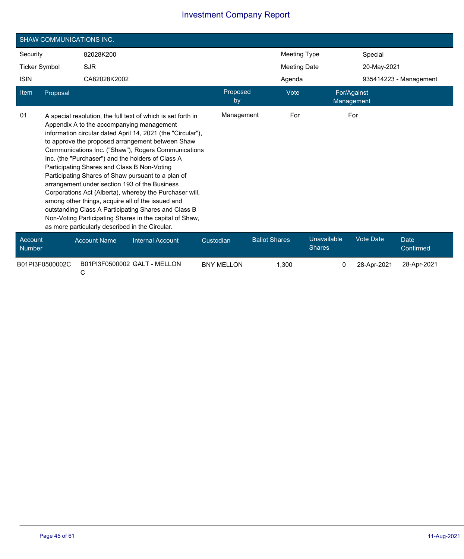|                          | <b>SHAW COMMUNICATIONS INC.</b> |                                                                                                |                                                                                                                                                                                                                                                                                                                                                                                                                                                                                                                                                                                                                                                                                    |                |                      |                     |                              |                           |                          |  |
|--------------------------|---------------------------------|------------------------------------------------------------------------------------------------|------------------------------------------------------------------------------------------------------------------------------------------------------------------------------------------------------------------------------------------------------------------------------------------------------------------------------------------------------------------------------------------------------------------------------------------------------------------------------------------------------------------------------------------------------------------------------------------------------------------------------------------------------------------------------------|----------------|----------------------|---------------------|------------------------------|---------------------------|--------------------------|--|
| Security                 |                                 | 82028K200                                                                                      |                                                                                                                                                                                                                                                                                                                                                                                                                                                                                                                                                                                                                                                                                    |                |                      | <b>Meeting Type</b> |                              | Special                   |                          |  |
| <b>Ticker Symbol</b>     |                                 | <b>SJR</b>                                                                                     |                                                                                                                                                                                                                                                                                                                                                                                                                                                                                                                                                                                                                                                                                    |                | <b>Meeting Date</b>  |                     |                              | 20-May-2021               |                          |  |
| <b>ISIN</b>              |                                 | CA82028K2002                                                                                   |                                                                                                                                                                                                                                                                                                                                                                                                                                                                                                                                                                                                                                                                                    |                |                      | Agenda              |                              |                           | 935414223 - Management   |  |
| Item                     | Proposal                        |                                                                                                |                                                                                                                                                                                                                                                                                                                                                                                                                                                                                                                                                                                                                                                                                    | Proposed<br>by |                      | Vote                |                              | For/Against<br>Management |                          |  |
| 01                       |                                 | Participating Shares and Class B Non-Voting<br>as more particularly described in the Circular. | A special resolution, the full text of which is set forth in<br>Appendix A to the accompanying management<br>information circular dated April 14, 2021 (the "Circular"),<br>to approve the proposed arrangement between Shaw<br>Communications Inc. ("Shaw"), Rogers Communications<br>Inc. (the "Purchaser") and the holders of Class A<br>Participating Shares of Shaw pursuant to a plan of<br>arrangement under section 193 of the Business<br>Corporations Act (Alberta), whereby the Purchaser will,<br>among other things, acquire all of the issued and<br>outstanding Class A Participating Shares and Class B<br>Non-Voting Participating Shares in the capital of Shaw, | Management     |                      | For                 |                              | For                       |                          |  |
| Account<br><b>Number</b> |                                 | <b>Account Name</b>                                                                            | <b>Internal Account</b>                                                                                                                                                                                                                                                                                                                                                                                                                                                                                                                                                                                                                                                            | Custodian      | <b>Ballot Shares</b> |                     | Unavailable<br><b>Shares</b> | <b>Vote Date</b>          | <b>Date</b><br>Confirmed |  |

B01PI3F0500002C C B01PI3F0500002 GALT - MELLON BNY MELLON 1,300 0 28-Apr-2021 28-Apr-2021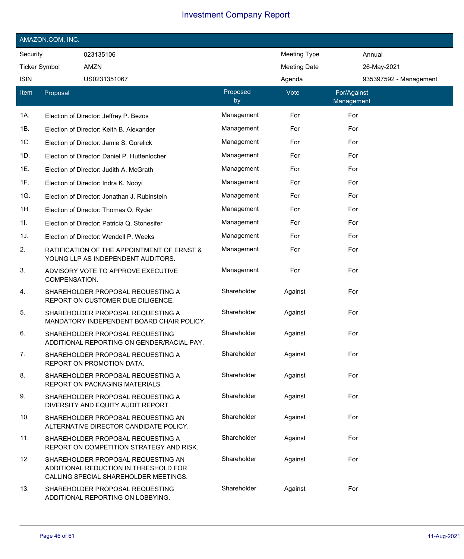| AMAZON.COM, INC.     |               |                                                                                                                      |                |                     |                           |                        |  |  |  |
|----------------------|---------------|----------------------------------------------------------------------------------------------------------------------|----------------|---------------------|---------------------------|------------------------|--|--|--|
| Security             |               | 023135106                                                                                                            |                | <b>Meeting Type</b> |                           | Annual                 |  |  |  |
| <b>Ticker Symbol</b> |               | AMZN                                                                                                                 |                | <b>Meeting Date</b> |                           | 26-May-2021            |  |  |  |
| <b>ISIN</b>          |               | US0231351067                                                                                                         |                | Agenda              |                           | 935397592 - Management |  |  |  |
| Item                 | Proposal      |                                                                                                                      | Proposed<br>by | Vote                | For/Against<br>Management |                        |  |  |  |
| 1A.                  |               | Election of Director: Jeffrey P. Bezos                                                                               | Management     | For                 | For                       |                        |  |  |  |
| 1B.                  |               | Election of Director: Keith B. Alexander                                                                             | Management     | For                 | For                       |                        |  |  |  |
| 1C.                  |               | Election of Director: Jamie S. Gorelick                                                                              | Management     | For                 | For                       |                        |  |  |  |
| 1D.                  |               | Election of Director: Daniel P. Huttenlocher                                                                         | Management     | For                 | For                       |                        |  |  |  |
| 1E.                  |               | Election of Director: Judith A. McGrath                                                                              | Management     | For                 | For                       |                        |  |  |  |
| 1F.                  |               | Election of Director: Indra K. Nooyi                                                                                 | Management     | For                 | For                       |                        |  |  |  |
| 1G.                  |               | Election of Director: Jonathan J. Rubinstein                                                                         | Management     | For                 | For                       |                        |  |  |  |
| 1H.                  |               | Election of Director: Thomas O. Ryder                                                                                | Management     | For                 | For                       |                        |  |  |  |
| 1I.                  |               | Election of Director: Patricia Q. Stonesifer                                                                         | Management     | For                 | For                       |                        |  |  |  |
| 1J.                  |               | Election of Director: Wendell P. Weeks                                                                               | Management     | For                 | For                       |                        |  |  |  |
| 2.                   |               | RATIFICATION OF THE APPOINTMENT OF ERNST &<br>YOUNG LLP AS INDEPENDENT AUDITORS.                                     | Management     | For                 | For                       |                        |  |  |  |
| 3.                   | COMPENSATION. | ADVISORY VOTE TO APPROVE EXECUTIVE                                                                                   | Management     | For                 | For                       |                        |  |  |  |
| 4.                   |               | SHAREHOLDER PROPOSAL REQUESTING A<br>REPORT ON CUSTOMER DUE DILIGENCE.                                               | Shareholder    | Against             | For                       |                        |  |  |  |
| 5.                   |               | SHAREHOLDER PROPOSAL REQUESTING A<br>MANDATORY INDEPENDENT BOARD CHAIR POLICY.                                       | Shareholder    | Against             | For                       |                        |  |  |  |
| 6.                   |               | SHAREHOLDER PROPOSAL REQUESTING<br>ADDITIONAL REPORTING ON GENDER/RACIAL PAY.                                        | Shareholder    | Against             | For                       |                        |  |  |  |
| 7.                   |               | SHAREHOLDER PROPOSAL REQUESTING A<br>REPORT ON PROMOTION DATA.                                                       | Shareholder    | Against             | For                       |                        |  |  |  |
| 8.                   |               | SHAREHOLDER PROPOSAL REQUESTING A<br>REPORT ON PACKAGING MATERIALS.                                                  | Shareholder    | Against             | For                       |                        |  |  |  |
| 9.                   |               | SHAREHOLDER PROPOSAL REQUESTING A<br>DIVERSITY AND EQUITY AUDIT REPORT.                                              | Shareholder    | Against             | For                       |                        |  |  |  |
| 10.                  |               | SHAREHOLDER PROPOSAL REQUESTING AN<br>ALTERNATIVE DIRECTOR CANDIDATE POLICY.                                         | Shareholder    | Against             | For                       |                        |  |  |  |
| 11.                  |               | SHAREHOLDER PROPOSAL REQUESTING A<br>REPORT ON COMPETITION STRATEGY AND RISK.                                        | Shareholder    | Against             | For                       |                        |  |  |  |
| 12.                  |               | SHAREHOLDER PROPOSAL REQUESTING AN<br>ADDITIONAL REDUCTION IN THRESHOLD FOR<br>CALLING SPECIAL SHAREHOLDER MEETINGS. | Shareholder    | Against             | For                       |                        |  |  |  |
| 13.                  |               | SHAREHOLDER PROPOSAL REQUESTING<br>ADDITIONAL REPORTING ON LOBBYING.                                                 | Shareholder    | Against             | For                       |                        |  |  |  |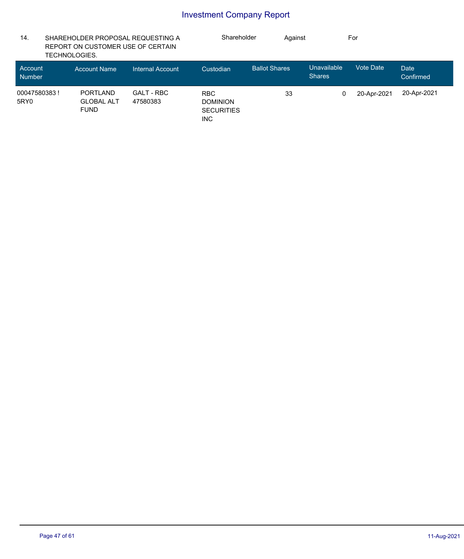| 14.                      | SHAREHOLDER PROPOSAL REQUESTING A<br>REPORT ON CUSTOMER USE OF CERTAIN<br>TECHNOLOGIES. |                               | Shareholder                                                      |                      | Against |                              | For         |                   |
|--------------------------|-----------------------------------------------------------------------------------------|-------------------------------|------------------------------------------------------------------|----------------------|---------|------------------------------|-------------|-------------------|
| Account<br><b>Number</b> | <b>Account Name</b>                                                                     | <b>Internal Account</b>       | Custodian                                                        | <b>Ballot Shares</b> |         | Unavailable<br><b>Shares</b> | Vote Date   | Date<br>Confirmed |
| 00047580383!<br>5RY0     | <b>PORTLAND</b><br><b>GLOBAL ALT</b><br><b>FUND</b>                                     | <b>GALT - RBC</b><br>47580383 | <b>RBC</b><br><b>DOMINION</b><br><b>SECURITIES</b><br><b>INC</b> |                      | 33      | 0                            | 20-Apr-2021 | 20-Apr-2021       |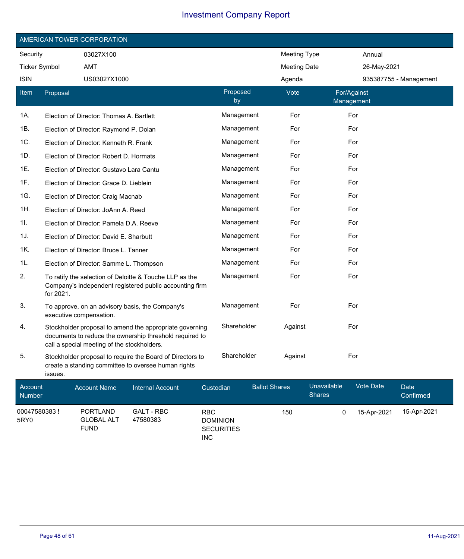| AMERICAN TOWER CORPORATION |                         |                                                                                                                                                                   |                |                     |                           |                        |  |  |  |
|----------------------------|-------------------------|-------------------------------------------------------------------------------------------------------------------------------------------------------------------|----------------|---------------------|---------------------------|------------------------|--|--|--|
| Security                   |                         | 03027X100                                                                                                                                                         |                | <b>Meeting Type</b> |                           | Annual                 |  |  |  |
| <b>Ticker Symbol</b>       |                         | <b>AMT</b>                                                                                                                                                        |                | <b>Meeting Date</b> |                           | 26-May-2021            |  |  |  |
| <b>ISIN</b>                |                         | US03027X1000                                                                                                                                                      |                | Agenda              |                           | 935387755 - Management |  |  |  |
| Item                       | Proposal                |                                                                                                                                                                   | Proposed<br>by | Vote                | For/Against<br>Management |                        |  |  |  |
| 1A.                        |                         | Election of Director: Thomas A. Bartlett                                                                                                                          | Management     | For                 | For                       |                        |  |  |  |
| 1B.                        |                         | Election of Director: Raymond P. Dolan                                                                                                                            | Management     | For                 | For                       |                        |  |  |  |
| 1C.                        |                         | Election of Director: Kenneth R. Frank                                                                                                                            | Management     | For                 | For                       |                        |  |  |  |
| 1D.                        |                         | Election of Director: Robert D. Hormats                                                                                                                           | Management     | For                 | For                       |                        |  |  |  |
| 1E.                        |                         | Election of Director: Gustavo Lara Cantu                                                                                                                          | Management     | For                 | For                       |                        |  |  |  |
| 1F.                        |                         | Election of Director: Grace D. Lieblein                                                                                                                           | Management     | For                 | For                       |                        |  |  |  |
| 1G.                        |                         | Election of Director: Craig Macnab                                                                                                                                | Management     | For                 | For                       |                        |  |  |  |
| 1H.                        |                         | Election of Director: JoAnn A. Reed                                                                                                                               | Management     | For                 | For                       |                        |  |  |  |
| 11.                        |                         | Election of Director: Pamela D.A. Reeve                                                                                                                           | Management     | For                 | For                       |                        |  |  |  |
| 1J.                        |                         | Election of Director: David E. Sharbutt                                                                                                                           | Management     | For                 | For                       |                        |  |  |  |
| 1K.                        |                         | Election of Director: Bruce L. Tanner                                                                                                                             | Management     | For                 | For                       |                        |  |  |  |
| 1L.                        |                         | Election of Director: Samme L. Thompson                                                                                                                           | Management     | For                 | For                       |                        |  |  |  |
| 2.                         | for 2021.               | To ratify the selection of Deloitte & Touche LLP as the<br>Company's independent registered public accounting firm                                                | Management     | For                 | For                       |                        |  |  |  |
| 3.                         | executive compensation. | To approve, on an advisory basis, the Company's                                                                                                                   | Management     | For                 | For                       |                        |  |  |  |
| 4.                         |                         | Stockholder proposal to amend the appropriate governing<br>documents to reduce the ownership threshold required to<br>call a special meeting of the stockholders. | Shareholder    | Against             | For                       |                        |  |  |  |
| 5.                         | issues.                 | Stockholder proposal to require the Board of Directors to<br>create a standing committee to oversee human rights                                                  | Shareholder    | Against             | For                       |                        |  |  |  |

| Account<br><b>Number</b> | <b>Account Name</b>                                 | Internal Account              | Custodian                                                        | <b>Ballot Shares</b> | <b>Unavailable</b><br><b>Shares</b> | Vote Date   | Date<br>Confirmed |
|--------------------------|-----------------------------------------------------|-------------------------------|------------------------------------------------------------------|----------------------|-------------------------------------|-------------|-------------------|
| 00047580383!<br>5RY0     | <b>PORTLAND</b><br><b>GLOBAL ALT</b><br><b>FUND</b> | <b>GALT - RBC</b><br>47580383 | <b>RBC</b><br><b>DOMINION</b><br><b>SECURITIES</b><br><b>INC</b> | 150                  |                                     | 15-Apr-2021 | 15-Apr-2021       |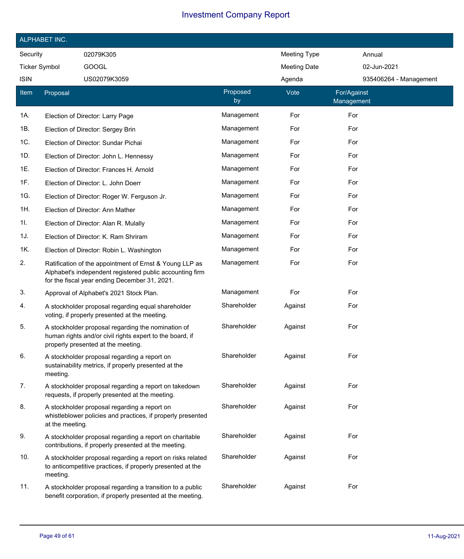|                      | ALPHABET INC.   |                                                                                                                                                                      |                |                     |                           |                        |
|----------------------|-----------------|----------------------------------------------------------------------------------------------------------------------------------------------------------------------|----------------|---------------------|---------------------------|------------------------|
| Security             |                 | 02079K305                                                                                                                                                            |                | <b>Meeting Type</b> |                           | Annual                 |
| <b>Ticker Symbol</b> |                 | <b>GOOGL</b>                                                                                                                                                         |                | <b>Meeting Date</b> |                           | 02-Jun-2021            |
| <b>ISIN</b>          |                 | US02079K3059                                                                                                                                                         |                | Agenda              |                           | 935406264 - Management |
| <b>Item</b>          | Proposal        |                                                                                                                                                                      | Proposed<br>by | Vote                | For/Against<br>Management |                        |
| 1A.                  |                 | Election of Director: Larry Page                                                                                                                                     | Management     | For                 | For                       |                        |
| 1B.                  |                 | Election of Director: Sergey Brin                                                                                                                                    | Management     | For                 | For                       |                        |
| 1C.                  |                 | Election of Director: Sundar Pichai                                                                                                                                  | Management     | For                 | For                       |                        |
| 1D.                  |                 | Election of Director: John L. Hennessy                                                                                                                               | Management     | For                 | For                       |                        |
| 1E.                  |                 | Election of Director: Frances H. Arnold                                                                                                                              | Management     | For                 | For                       |                        |
| 1F.                  |                 | Election of Director: L. John Doerr                                                                                                                                  | Management     | For                 | For                       |                        |
| 1G.                  |                 | Election of Director: Roger W. Ferguson Jr.                                                                                                                          | Management     | For                 | For                       |                        |
| 1H.                  |                 | Election of Director: Ann Mather                                                                                                                                     | Management     | For                 | For                       |                        |
| 11.                  |                 | Election of Director: Alan R. Mulally                                                                                                                                | Management     | For                 | For                       |                        |
| 1J.                  |                 | Election of Director: K. Ram Shriram                                                                                                                                 | Management     | For                 | For                       |                        |
| 1K.                  |                 | Election of Director: Robin L. Washington                                                                                                                            | Management     | For                 | For                       |                        |
| 2.                   |                 | Ratification of the appointment of Ernst & Young LLP as<br>Alphabet's independent registered public accounting firm<br>for the fiscal year ending December 31, 2021. | Management     | For                 | For                       |                        |
| 3.                   |                 | Approval of Alphabet's 2021 Stock Plan.                                                                                                                              | Management     | For                 | For                       |                        |
| 4.                   |                 | A stockholder proposal regarding equal shareholder<br>voting, if properly presented at the meeting.                                                                  | Shareholder    | Against             | For                       |                        |
| 5.                   |                 | A stockholder proposal regarding the nomination of<br>human rights and/or civil rights expert to the board, if<br>properly presented at the meeting.                 | Shareholder    | Against             | For                       |                        |
| 6.                   | meeting.        | A stockholder proposal regarding a report on<br>sustainability metrics, if properly presented at the                                                                 | Shareholder    | Against             | For                       |                        |
| 7.                   |                 | A stockholder proposal regarding a report on takedown<br>requests, if properly presented at the meeting.                                                             | Shareholder    | Against             | For                       |                        |
| 8.                   | at the meeting. | A stockholder proposal regarding a report on<br>whistleblower policies and practices, if properly presented                                                          | Shareholder    | Against             | For                       |                        |
| 9.                   |                 | A stockholder proposal regarding a report on charitable<br>contributions, if properly presented at the meeting.                                                      | Shareholder    | Against             | For                       |                        |
| 10.                  | meeting.        | A stockholder proposal regarding a report on risks related<br>to anticompetitive practices, if properly presented at the                                             | Shareholder    | Against             | For                       |                        |
| 11.                  |                 | A stockholder proposal regarding a transition to a public<br>benefit corporation, if properly presented at the meeting.                                              | Shareholder    | Against             | For                       |                        |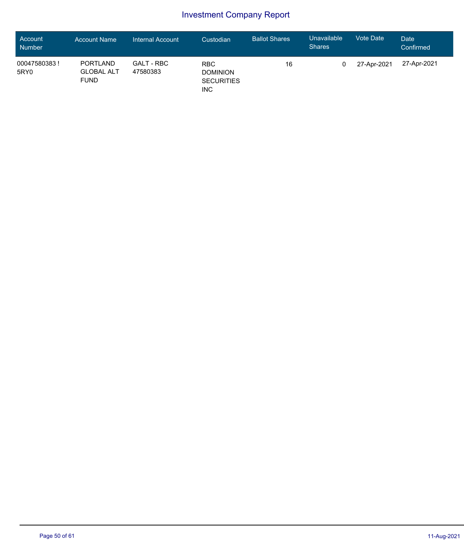| <b>Account</b><br>Number | <b>Account Name</b>                                 | Internal Account       | Custodian                                                        | <b>Ballot Shares</b> | Unavailable<br><b>Shares</b> | <b>Vote Date</b> | Date<br>Confirmed |
|--------------------------|-----------------------------------------------------|------------------------|------------------------------------------------------------------|----------------------|------------------------------|------------------|-------------------|
| 00047580383!<br>5RY0     | <b>PORTLAND</b><br><b>GLOBAL ALT</b><br><b>FUND</b> | GALT - RBC<br>47580383 | <b>RBC</b><br><b>DOMINION</b><br><b>SECURITIES</b><br><b>INC</b> | 16                   |                              | 27-Apr-2021      | 27-Apr-2021       |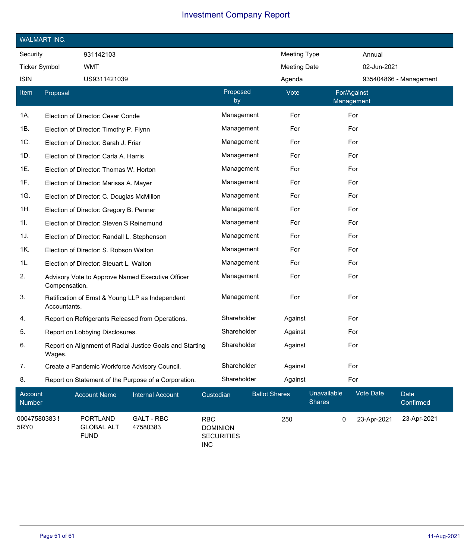| <b>WALMART INC.</b>      |               |                                                     |                                                          |                               |                   |                      |                     |                              |                           |                  |                        |
|--------------------------|---------------|-----------------------------------------------------|----------------------------------------------------------|-------------------------------|-------------------|----------------------|---------------------|------------------------------|---------------------------|------------------|------------------------|
| Security                 |               | 931142103                                           |                                                          |                               |                   |                      | <b>Meeting Type</b> |                              |                           | Annual           |                        |
| <b>Ticker Symbol</b>     |               | <b>WMT</b>                                          |                                                          |                               |                   |                      | <b>Meeting Date</b> |                              |                           | 02-Jun-2021      |                        |
| <b>ISIN</b>              |               | US9311421039                                        |                                                          |                               |                   |                      | Agenda              |                              |                           |                  | 935404866 - Management |
| Item                     | Proposal      |                                                     |                                                          |                               | Proposed<br>by    |                      | Vote                |                              | For/Against<br>Management |                  |                        |
| 1A.                      |               | Election of Director: Cesar Conde                   |                                                          |                               | Management        |                      | For                 |                              | For                       |                  |                        |
| 1B.                      |               | Election of Director: Timothy P. Flynn              |                                                          |                               | Management        |                      | For                 |                              | For                       |                  |                        |
| 1C.                      |               | Election of Director: Sarah J. Friar                |                                                          |                               | Management        |                      | For                 |                              | For                       |                  |                        |
| 1D.                      |               | Election of Director: Carla A. Harris               |                                                          |                               | Management        |                      | For                 |                              | For                       |                  |                        |
| 1E.                      |               | Election of Director: Thomas W. Horton              |                                                          |                               | Management        |                      | For                 |                              | For                       |                  |                        |
| 1F.                      |               | Election of Director: Marissa A. Mayer              |                                                          |                               | Management        |                      | For                 |                              | For                       |                  |                        |
| 1G.                      |               | Election of Director: C. Douglas McMillon           |                                                          |                               | Management        |                      | For                 |                              | For                       |                  |                        |
| 1H.                      |               | Election of Director: Gregory B. Penner             |                                                          |                               | Management        |                      | For                 |                              | For                       |                  |                        |
| 11.                      |               | Election of Director: Steven S Reinemund            |                                                          |                               | Management        |                      | For                 |                              | For                       |                  |                        |
| 1J.                      |               | Election of Director: Randall L. Stephenson         |                                                          |                               | Management        |                      | For                 |                              | For                       |                  |                        |
| 1K.                      |               | Election of Director: S. Robson Walton              |                                                          |                               | Management        |                      | For                 |                              | For                       |                  |                        |
| 1L.                      |               | Election of Director: Steuart L. Walton             |                                                          |                               | Management        |                      | For                 |                              | For                       |                  |                        |
| 2.                       | Compensation. |                                                     | Advisory Vote to Approve Named Executive Officer         |                               | Management        |                      | For                 |                              | For                       |                  |                        |
| 3.                       | Accountants.  |                                                     | Ratification of Ernst & Young LLP as Independent         |                               | Management        |                      | For                 |                              | For                       |                  |                        |
| 4.                       |               |                                                     | Report on Refrigerants Released from Operations.         |                               | Shareholder       |                      | Against             |                              | For                       |                  |                        |
| 5.                       |               | Report on Lobbying Disclosures.                     |                                                          |                               | Shareholder       |                      | Against             |                              | For                       |                  |                        |
| 6.                       | Wages.        |                                                     | Report on Alignment of Racial Justice Goals and Starting |                               | Shareholder       |                      | Against             |                              | For                       |                  |                        |
| 7.                       |               |                                                     | Create a Pandemic Workforce Advisory Council.            |                               | Shareholder       |                      | Against             |                              | For                       |                  |                        |
| 8.                       |               |                                                     | Report on Statement of the Purpose of a Corporation.     |                               | Shareholder       |                      | Against             |                              | For                       |                  |                        |
| Account<br><b>Number</b> |               | <b>Account Name</b>                                 | <b>Internal Account</b>                                  | Custodian                     |                   | <b>Ballot Shares</b> |                     | Unavailable<br><b>Shares</b> |                           | <b>Vote Date</b> | Date<br>Confirmed      |
| 00047580383!<br>5RY0     |               | <b>PORTLAND</b><br><b>GLOBAL ALT</b><br><b>FUND</b> | <b>GALT - RBC</b><br>47580383                            | <b>RBC</b><br><b>DOMINION</b> | <b>SECURITIES</b> |                      | 250                 |                              | 0                         | 23-Apr-2021      | 23-Apr-2021            |

SECURITIES

INC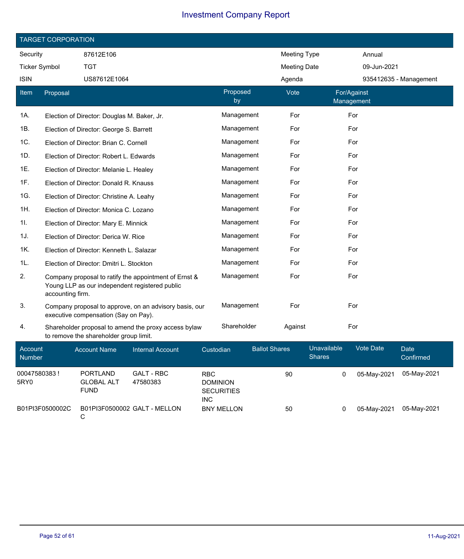|                          | <b>TARGET CORPORATION</b> |                                             |                                                                                                         |           |                |                      |                              |                           |                        |  |
|--------------------------|---------------------------|---------------------------------------------|---------------------------------------------------------------------------------------------------------|-----------|----------------|----------------------|------------------------------|---------------------------|------------------------|--|
| Security                 |                           | 87612E106                                   |                                                                                                         |           |                |                      | <b>Meeting Type</b>          | Annual                    |                        |  |
|                          | <b>Ticker Symbol</b>      | <b>TGT</b>                                  |                                                                                                         |           |                |                      | <b>Meeting Date</b>          | 09-Jun-2021               |                        |  |
| <b>ISIN</b>              |                           | US87612E1064                                |                                                                                                         |           |                | Agenda               |                              |                           | 935412635 - Management |  |
| Item                     | Proposal                  |                                             |                                                                                                         |           | Proposed<br>by | Vote                 |                              | For/Against<br>Management |                        |  |
| 1A.                      |                           | Election of Director: Douglas M. Baker, Jr. |                                                                                                         |           | Management     | For                  |                              | For                       |                        |  |
| 1B.                      |                           | Election of Director: George S. Barrett     |                                                                                                         |           | Management     | For                  |                              | For                       |                        |  |
| 1C.                      |                           | Election of Director: Brian C. Cornell      |                                                                                                         |           | Management     | For                  |                              | For                       |                        |  |
| 1D.                      |                           | Election of Director: Robert L. Edwards     |                                                                                                         |           | Management     | For                  |                              | For                       |                        |  |
| 1E.                      |                           | Election of Director: Melanie L. Healey     |                                                                                                         |           | Management     | For                  |                              | For                       |                        |  |
| 1F.                      |                           | Election of Director: Donald R. Knauss      |                                                                                                         |           | Management     | For                  |                              | For                       |                        |  |
| 1G.                      |                           | Election of Director: Christine A. Leahy    |                                                                                                         |           | Management     | For                  |                              | For                       |                        |  |
| 1H.                      |                           | Election of Director: Monica C. Lozano      |                                                                                                         |           | Management     | For                  |                              | For                       |                        |  |
| 11.                      |                           | Election of Director: Mary E. Minnick       |                                                                                                         |           | Management     | For                  |                              | For                       |                        |  |
| 1J.                      |                           | Election of Director: Derica W. Rice        |                                                                                                         |           | Management     | For                  |                              | For                       |                        |  |
| 1K.                      |                           | Election of Director: Kenneth L. Salazar    |                                                                                                         |           | Management     | For                  |                              | For                       |                        |  |
| 1L.                      |                           | Election of Director: Dmitri L. Stockton    |                                                                                                         |           | Management     | For                  |                              | For                       |                        |  |
| 2.                       | accounting firm.          |                                             | Company proposal to ratify the appointment of Ernst &<br>Young LLP as our independent registered public |           | Management     | For                  |                              | For                       |                        |  |
| 3.                       |                           | executive compensation (Say on Pay).        | Company proposal to approve, on an advisory basis, our                                                  |           | Management     | For                  |                              | For                       |                        |  |
| 4.                       |                           | to remove the shareholder group limit.      | Shareholder proposal to amend the proxy access bylaw                                                    |           | Shareholder    | Against              |                              | For                       |                        |  |
| Account<br><b>Number</b> |                           | <b>Account Name</b>                         | <b>Internal Account</b>                                                                                 | Custodian |                | <b>Ballot Shares</b> | Unavailable<br><b>Shares</b> | Vote Date                 | Date<br>Confirmed      |  |

| <b>Number</b>        |                                                     |                               | --------                                                         | <b>Shares</b> |             | Confirmed   |  |
|----------------------|-----------------------------------------------------|-------------------------------|------------------------------------------------------------------|---------------|-------------|-------------|--|
| 00047580383!<br>5RY0 | <b>PORTLAND</b><br><b>GLOBAL ALT</b><br><b>FUND</b> | <b>GALT - RBC</b><br>47580383 | <b>RBC</b><br><b>DOMINION</b><br><b>SECURITIES</b><br><b>INC</b> | 90            | 05-May-2021 | 05-May-2021 |  |
| B01PI3F0500002C      | C                                                   | B01PI3F0500002 GALT - MELLON  | <b>BNY MELLON</b>                                                | 50            | 05-May-2021 | 05-Mav-2021 |  |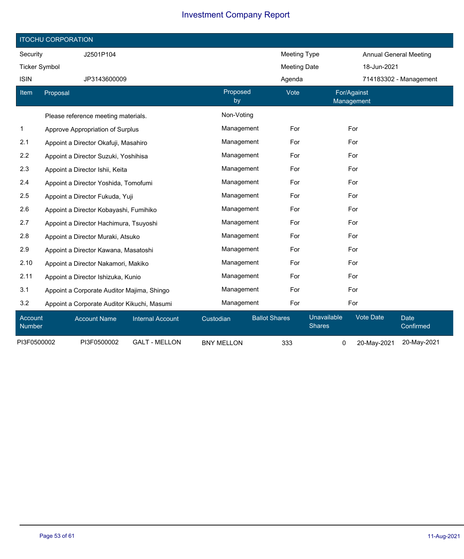|                      | <b>ITOCHU CORPORATION</b>                   |                         |                   |                      |                              |                               |                          |  |  |  |  |
|----------------------|---------------------------------------------|-------------------------|-------------------|----------------------|------------------------------|-------------------------------|--------------------------|--|--|--|--|
| Security             | J2501P104                                   |                         |                   | <b>Meeting Type</b>  |                              | <b>Annual General Meeting</b> |                          |  |  |  |  |
| <b>Ticker Symbol</b> |                                             |                         |                   | <b>Meeting Date</b>  |                              | 18-Jun-2021                   |                          |  |  |  |  |
| <b>ISIN</b>          | JP3143600009                                |                         |                   | Agenda               |                              |                               | 714183302 - Management   |  |  |  |  |
| Item                 | Proposal                                    |                         | Proposed<br>by    | Vote                 | For/Against<br>Management    |                               |                          |  |  |  |  |
|                      | Please reference meeting materials.         |                         | Non-Voting        |                      |                              |                               |                          |  |  |  |  |
| $\mathbf{1}$         | Approve Appropriation of Surplus            | Management              | For               | For                  |                              |                               |                          |  |  |  |  |
| 2.1                  | Appoint a Director Okafuji, Masahiro        |                         | Management        | For                  | For                          |                               |                          |  |  |  |  |
| 2.2                  | Appoint a Director Suzuki, Yoshihisa        |                         | Management        | For                  | For                          |                               |                          |  |  |  |  |
| 2.3                  | Appoint a Director Ishii, Keita             | Management              | For               | For                  |                              |                               |                          |  |  |  |  |
| 2.4                  | Appoint a Director Yoshida, Tomofumi        | Management              | For               | For                  |                              |                               |                          |  |  |  |  |
| 2.5                  | Appoint a Director Fukuda, Yuji             |                         | Management        | For                  | For                          |                               |                          |  |  |  |  |
| 2.6                  | Appoint a Director Kobayashi, Fumihiko      |                         | Management        | For                  | For                          |                               |                          |  |  |  |  |
| 2.7                  | Appoint a Director Hachimura, Tsuyoshi      |                         | Management        | For                  | For                          |                               |                          |  |  |  |  |
| 2.8                  | Appoint a Director Muraki, Atsuko           |                         | Management        | For                  | For                          |                               |                          |  |  |  |  |
| 2.9                  | Appoint a Director Kawana, Masatoshi        |                         | Management        | For                  | For                          |                               |                          |  |  |  |  |
| 2.10                 | Appoint a Director Nakamori, Makiko         |                         | Management        | For                  | For                          |                               |                          |  |  |  |  |
| 2.11                 | Appoint a Director Ishizuka, Kunio          |                         | Management        | For                  | For                          |                               |                          |  |  |  |  |
| 3.1                  | Appoint a Corporate Auditor Majima, Shingo  |                         | Management        | For                  | For                          |                               |                          |  |  |  |  |
| 3.2                  | Appoint a Corporate Auditor Kikuchi, Masumi |                         | Management        | For                  | For                          |                               |                          |  |  |  |  |
| Account<br>Number    | <b>Account Name</b>                         | <b>Internal Account</b> | Custodian         | <b>Ballot Shares</b> | Unavailable<br><b>Shares</b> | <b>Vote Date</b>              | <b>Date</b><br>Confirmed |  |  |  |  |
| PI3F0500002          | PI3F0500002                                 | <b>GALT - MELLON</b>    | <b>BNY MELLON</b> | 333                  | 0                            | 20-May-2021                   | 20-May-2021              |  |  |  |  |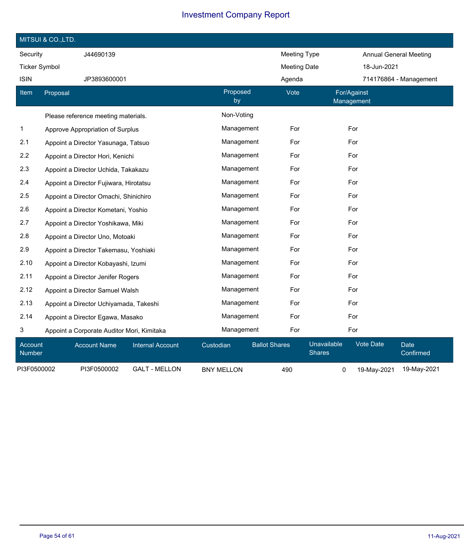|                      | MITSUI & CO., LTD.                         |                         |                   |                      |                              |                               |                          |
|----------------------|--------------------------------------------|-------------------------|-------------------|----------------------|------------------------------|-------------------------------|--------------------------|
| Security             | J44690139                                  |                         |                   | <b>Meeting Type</b>  |                              | <b>Annual General Meeting</b> |                          |
| <b>Ticker Symbol</b> |                                            |                         |                   | <b>Meeting Date</b>  |                              | 18-Jun-2021                   |                          |
| <b>ISIN</b>          | JP3893600001                               |                         |                   | Agenda               |                              |                               | 714176864 - Management   |
| Item                 | Proposal                                   |                         | Proposed<br>by    | Vote                 | For/Against<br>Management    |                               |                          |
|                      | Please reference meeting materials.        |                         | Non-Voting        |                      |                              |                               |                          |
| $\mathbf{1}$         | Approve Appropriation of Surplus           |                         | Management        | For                  | For                          |                               |                          |
| 2.1                  | Appoint a Director Yasunaga, Tatsuo        |                         | Management        | For                  | For                          |                               |                          |
| 2.2                  | Appoint a Director Hori, Kenichi           |                         | Management        | For                  | For                          |                               |                          |
| 2.3                  | Appoint a Director Uchida, Takakazu        |                         | Management        | For                  | For                          |                               |                          |
| 2.4                  | Appoint a Director Fujiwara, Hirotatsu     |                         | Management        | For                  | For                          |                               |                          |
| 2.5                  | Appoint a Director Omachi, Shinichiro      |                         | Management        | For                  | For                          |                               |                          |
| 2.6                  | Appoint a Director Kometani, Yoshio        |                         |                   | Management<br>For    |                              | For                           |                          |
| 2.7                  | Appoint a Director Yoshikawa, Miki         |                         | Management        | For                  | For                          |                               |                          |
| 2.8                  | Appoint a Director Uno, Motoaki            |                         | Management        | For                  | For                          |                               |                          |
| 2.9                  | Appoint a Director Takemasu, Yoshiaki      |                         | Management        | For                  | For                          |                               |                          |
| 2.10                 | Appoint a Director Kobayashi, Izumi        |                         | Management        | For                  | For                          |                               |                          |
| 2.11                 | Appoint a Director Jenifer Rogers          |                         | Management        | For                  | For                          |                               |                          |
| 2.12                 | Appoint a Director Samuel Walsh            |                         | Management        | For                  | For                          |                               |                          |
| 2.13                 | Appoint a Director Uchiyamada, Takeshi     |                         | Management        | For                  | For                          |                               |                          |
| 2.14                 | Appoint a Director Egawa, Masako           |                         | Management        | For                  | For                          |                               |                          |
| 3                    | Appoint a Corporate Auditor Mori, Kimitaka |                         | Management        | For                  | For                          |                               |                          |
| Account<br>Number    | <b>Account Name</b>                        | <b>Internal Account</b> | Custodian         | <b>Ballot Shares</b> | Unavailable<br><b>Shares</b> | <b>Vote Date</b>              | <b>Date</b><br>Confirmed |
| PI3F0500002          | PI3F0500002                                | <b>GALT - MELLON</b>    | <b>BNY MELLON</b> | 490                  | 0                            | 19-May-2021                   | 19-May-2021              |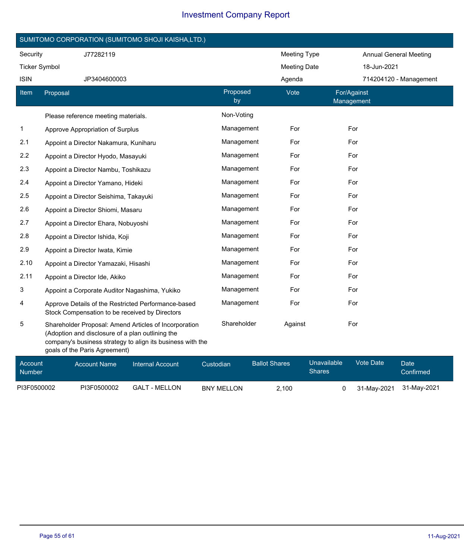|                      | SUMITOMO CORPORATION (SUMITOMO SHOJI KAISHA,LTD.)                                                                                                                                                        |                |                                       |                                                           |  |
|----------------------|----------------------------------------------------------------------------------------------------------------------------------------------------------------------------------------------------------|----------------|---------------------------------------|-----------------------------------------------------------|--|
| Security             | J77282119                                                                                                                                                                                                |                | <b>Meeting Type</b>                   | <b>Annual General Meeting</b>                             |  |
| <b>Ticker Symbol</b> |                                                                                                                                                                                                          |                | <b>Meeting Date</b>                   | 18-Jun-2021                                               |  |
| <b>ISIN</b>          | JP3404600003                                                                                                                                                                                             |                | Agenda                                | 714204120 - Management                                    |  |
| Item                 | Proposal                                                                                                                                                                                                 | Proposed<br>by | Vote                                  | For/Against<br>Management                                 |  |
|                      | Please reference meeting materials.                                                                                                                                                                      | Non-Voting     |                                       |                                                           |  |
| 1                    | Approve Appropriation of Surplus                                                                                                                                                                         | Management     | For                                   | For                                                       |  |
| 2.1                  | Appoint a Director Nakamura, Kuniharu                                                                                                                                                                    | Management     | For                                   | For                                                       |  |
| 2.2                  | Appoint a Director Hyodo, Masayuki                                                                                                                                                                       | Management     | For                                   | For                                                       |  |
| 2.3                  | Appoint a Director Nambu, Toshikazu                                                                                                                                                                      | Management     | For                                   | For                                                       |  |
| 2.4                  | Appoint a Director Yamano, Hideki                                                                                                                                                                        | Management     | For                                   | For                                                       |  |
| 2.5                  | Appoint a Director Seishima, Takayuki                                                                                                                                                                    | Management     | For                                   | For                                                       |  |
| 2.6                  | Appoint a Director Shiomi, Masaru                                                                                                                                                                        | Management     | For                                   | For                                                       |  |
| 2.7                  | Appoint a Director Ehara, Nobuyoshi                                                                                                                                                                      | Management     | For                                   | For                                                       |  |
| 2.8                  | Appoint a Director Ishida, Koji                                                                                                                                                                          | Management     | For                                   | For                                                       |  |
| 2.9                  | Appoint a Director Iwata, Kimie                                                                                                                                                                          | Management     | For                                   | For                                                       |  |
| 2.10                 | Appoint a Director Yamazaki, Hisashi                                                                                                                                                                     | Management     | For                                   | For                                                       |  |
| 2.11                 | Appoint a Director Ide, Akiko                                                                                                                                                                            | Management     | For                                   | For                                                       |  |
| 3                    | Appoint a Corporate Auditor Nagashima, Yukiko                                                                                                                                                            | Management     | For                                   | For                                                       |  |
| 4                    | Approve Details of the Restricted Performance-based<br>Stock Compensation to be received by Directors                                                                                                    | Management     | For                                   | For                                                       |  |
| 5                    | Shareholder Proposal: Amend Articles of Incorporation<br>(Adoption and disclosure of a plan outlining the<br>company's business strategy to align its business with the<br>goals of the Paris Agreement) | Shareholder    | Against                               | For                                                       |  |
| Account              | <b>Account Name</b><br><b>Internal Account</b>                                                                                                                                                           | Custodian      | <b>Ballot Shares</b><br>$O$ la manara | Unavailable<br><b>Vote Date</b><br>Date<br><b>College</b> |  |

| <b>Account</b><br><b>Number</b> | <b>Account Name</b> | <b>Internal Account</b> | Custodian         | <b>Ballot Shares</b> | Unavailable<br>Shares | Vote Date | Date <sup>1</sup><br>Confirmed |
|---------------------------------|---------------------|-------------------------|-------------------|----------------------|-----------------------|-----------|--------------------------------|
| PI3F0500002                     | PI3F0500002         | GALT - MELLON           | <b>BNY MELLON</b> | 2.100                |                       |           | 31-May-2021 31-May-2021        |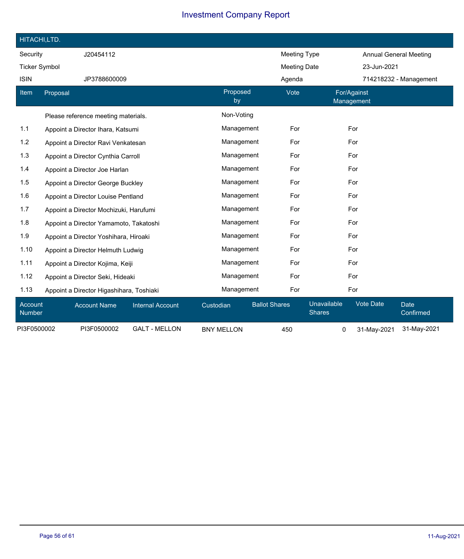| HITACHI,LTD.         |                                          |                         |                   |                                       |                           |                                              |
|----------------------|------------------------------------------|-------------------------|-------------------|---------------------------------------|---------------------------|----------------------------------------------|
| Security             | J20454112                                |                         |                   | <b>Meeting Type</b>                   |                           | <b>Annual General Meeting</b>                |
| <b>Ticker Symbol</b> |                                          |                         |                   | <b>Meeting Date</b>                   |                           | 23-Jun-2021                                  |
| <b>ISIN</b>          | JP3788600009                             |                         |                   | Agenda                                |                           | 714218232 - Management                       |
| Item                 | Proposal                                 |                         | Proposed<br>by    | Vote                                  | For/Against<br>Management |                                              |
|                      | Please reference meeting materials.      |                         | Non-Voting        |                                       |                           |                                              |
| 1.1                  | Appoint a Director Ihara, Katsumi        |                         | Management        | For                                   | For                       |                                              |
| 1.2                  | Appoint a Director Ravi Venkatesan       |                         | Management        | For                                   | For                       |                                              |
| 1.3                  | Appoint a Director Cynthia Carroll       |                         | Management        | For                                   | For                       |                                              |
| 1.4                  | Appoint a Director Joe Harlan            |                         | Management<br>For |                                       | For                       |                                              |
| 1.5                  | Appoint a Director George Buckley        |                         | Management        | For                                   | For                       |                                              |
| 1.6                  | Appoint a Director Louise Pentland       |                         | Management        | For                                   | For                       |                                              |
| 1.7                  | Appoint a Director Mochizuki, Harufumi   |                         | Management        | For                                   | For                       |                                              |
| 1.8                  | Appoint a Director Yamamoto, Takatoshi   |                         | Management        | For                                   | For                       |                                              |
| 1.9                  | Appoint a Director Yoshihara, Hiroaki    |                         | Management        | For                                   | For                       |                                              |
| 1.10                 | Appoint a Director Helmuth Ludwig        |                         | Management        | For                                   | For                       |                                              |
| 1.11                 | Appoint a Director Kojima, Keiji         |                         | Management        | For                                   | For                       |                                              |
| 1.12                 | Appoint a Director Seki, Hideaki         |                         | Management        | For                                   | For                       |                                              |
| 1.13                 | Appoint a Director Higashihara, Toshiaki |                         | Management        | For                                   | For                       |                                              |
| Account<br>Number    | <b>Account Name</b>                      | <b>Internal Account</b> | Custodian         | <b>Ballot Shares</b><br><b>Shares</b> | Unavailable               | <b>Vote Date</b><br><b>Date</b><br>Confirmed |
| PI3F0500002          | PI3F0500002                              | <b>GALT - MELLON</b>    | <b>BNY MELLON</b> | 450                                   | 0                         | 31-May-2021<br>31-May-2021                   |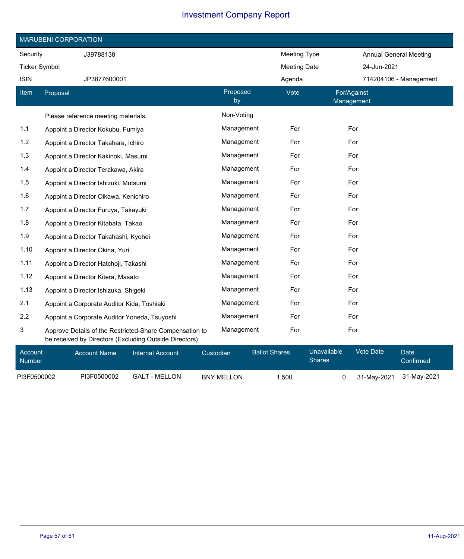|                      | <b>MARUBENI CORPORATION</b>                                                                                       |                |                     |                               |  |  |  |  |  |  |  |
|----------------------|-------------------------------------------------------------------------------------------------------------------|----------------|---------------------|-------------------------------|--|--|--|--|--|--|--|
| Security             | J39788138                                                                                                         |                | <b>Meeting Type</b> | <b>Annual General Meeting</b> |  |  |  |  |  |  |  |
| <b>Ticker Symbol</b> |                                                                                                                   |                | <b>Meeting Date</b> | 24-Jun-2021                   |  |  |  |  |  |  |  |
| <b>ISIN</b>          | JP3877600001                                                                                                      |                | Agenda              | 714204106 - Management        |  |  |  |  |  |  |  |
| Item                 | Proposal                                                                                                          | Proposed<br>by | Vote                | For/Against<br>Management     |  |  |  |  |  |  |  |
|                      | Please reference meeting materials.                                                                               | Non-Voting     |                     |                               |  |  |  |  |  |  |  |
| 1.1                  | Appoint a Director Kokubu, Fumiya                                                                                 | Management     | For                 | For                           |  |  |  |  |  |  |  |
| $1.2$                | Appoint a Director Takahara, Ichiro                                                                               | Management     | For                 | For                           |  |  |  |  |  |  |  |
| 1.3                  | Appoint a Director Kakinoki, Masumi                                                                               | Management     | For                 | For                           |  |  |  |  |  |  |  |
| 1.4                  | Appoint a Director Terakawa, Akira                                                                                | Management     | For                 | For                           |  |  |  |  |  |  |  |
| 1.5                  | Appoint a Director Ishizuki, Mutsumi                                                                              | Management     | For                 | For                           |  |  |  |  |  |  |  |
| 1.6                  | Appoint a Director Oikawa, Kenichiro                                                                              | Management     | For                 | For                           |  |  |  |  |  |  |  |
| 1.7                  | Appoint a Director Furuya, Takayuki                                                                               | Management     | For                 | For                           |  |  |  |  |  |  |  |
| 1.8                  | Appoint a Director Kitabata, Takao                                                                                | Management     | For                 | For                           |  |  |  |  |  |  |  |
| 1.9                  | Appoint a Director Takahashi, Kyohei                                                                              | Management     | For                 | For                           |  |  |  |  |  |  |  |
| 1.10                 | Appoint a Director Okina, Yuri                                                                                    | Management     | For                 | For                           |  |  |  |  |  |  |  |
| 1.11                 | Appoint a Director Hatchoji, Takashi                                                                              | Management     | For                 | For                           |  |  |  |  |  |  |  |
| 1.12                 | Appoint a Director Kitera, Masato                                                                                 | Management     | For                 | For                           |  |  |  |  |  |  |  |
| 1.13                 | Appoint a Director Ishizuka, Shigeki                                                                              | Management     | For                 | For                           |  |  |  |  |  |  |  |
| 2.1                  | Appoint a Corporate Auditor Kida, Toshiaki                                                                        | Management     | For                 | For                           |  |  |  |  |  |  |  |
| 2.2                  | Appoint a Corporate Auditor Yoneda, Tsuyoshi                                                                      | Management     | For                 | For                           |  |  |  |  |  |  |  |
| 3                    | Approve Details of the Restricted-Share Compensation to<br>be received by Directors (Excluding Outside Directors) | Management     | For                 | For                           |  |  |  |  |  |  |  |

| Account<br><b>Number</b> | Account Name | <b>Internal Account</b> | Custodian         | <b>Ballot Shares</b> | <b>Unavailable</b><br><b>Shares</b> | Vote Date               | Date<br>Confirmed |
|--------------------------|--------------|-------------------------|-------------------|----------------------|-------------------------------------|-------------------------|-------------------|
| PI3F0500002              | PI3F0500002  | GALT - MELLON           | <b>BNY MELLON</b> | 1.500                |                                     | 31-May-2021 31-May-2021 |                   |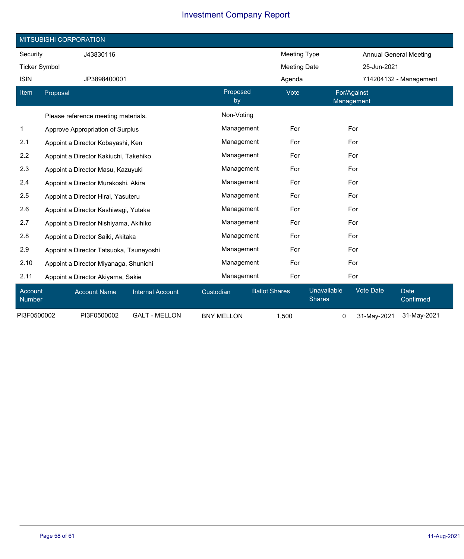|                      | MITSUBISHI CORPORATION                  |                         |                   |                      |                              |                               |                          |  |  |  |  |
|----------------------|-----------------------------------------|-------------------------|-------------------|----------------------|------------------------------|-------------------------------|--------------------------|--|--|--|--|
| Security             | J43830116                               |                         |                   | Meeting Type         |                              | <b>Annual General Meeting</b> |                          |  |  |  |  |
| <b>Ticker Symbol</b> |                                         |                         |                   | <b>Meeting Date</b>  |                              | 25-Jun-2021                   |                          |  |  |  |  |
| <b>ISIN</b>          | JP3898400001                            |                         |                   | Agenda               |                              |                               | 714204132 - Management   |  |  |  |  |
| Item                 | Proposal                                |                         | Proposed<br>by    | Vote                 | For/Against<br>Management    |                               |                          |  |  |  |  |
|                      | Please reference meeting materials.     |                         | Non-Voting        |                      |                              |                               |                          |  |  |  |  |
| $\mathbf{1}$         | Approve Appropriation of Surplus        |                         | Management        | For                  | For                          |                               |                          |  |  |  |  |
| 2.1                  | Appoint a Director Kobayashi, Ken       |                         | Management        | For                  | For                          |                               |                          |  |  |  |  |
| 2.2                  | Appoint a Director Kakiuchi, Takehiko   | Management              | For               | For                  |                              |                               |                          |  |  |  |  |
| 2.3                  | Appoint a Director Masu, Kazuyuki       |                         | Management        | For                  | For                          |                               |                          |  |  |  |  |
| 2.4                  | Appoint a Director Murakoshi, Akira     |                         | Management        | For                  | For                          |                               |                          |  |  |  |  |
| 2.5                  | Appoint a Director Hirai, Yasuteru      |                         | Management        | For                  | For                          |                               |                          |  |  |  |  |
| 2.6                  | Appoint a Director Kashiwagi, Yutaka    |                         | Management        | For                  | For                          |                               |                          |  |  |  |  |
| 2.7                  | Appoint a Director Nishiyama, Akihiko   |                         | Management        | For                  | For                          |                               |                          |  |  |  |  |
| 2.8                  | Appoint a Director Saiki, Akitaka       |                         | Management        | For                  | For                          |                               |                          |  |  |  |  |
| 2.9                  | Appoint a Director Tatsuoka, Tsuneyoshi |                         | Management        | For                  | For                          |                               |                          |  |  |  |  |
| 2.10                 | Appoint a Director Miyanaga, Shunichi   |                         | Management        | For                  | For                          |                               |                          |  |  |  |  |
| 2.11                 | Appoint a Director Akiyama, Sakie       |                         | Management        | For                  | For                          |                               |                          |  |  |  |  |
| Account<br>Number    | <b>Account Name</b>                     | <b>Internal Account</b> | Custodian         | <b>Ballot Shares</b> | Unavailable<br><b>Shares</b> | <b>Vote Date</b>              | <b>Date</b><br>Confirmed |  |  |  |  |
| PI3F0500002          | PI3F0500002                             | <b>GALT - MELLON</b>    | <b>BNY MELLON</b> | 1,500                | 0                            | 31-May-2021                   | 31-May-2021              |  |  |  |  |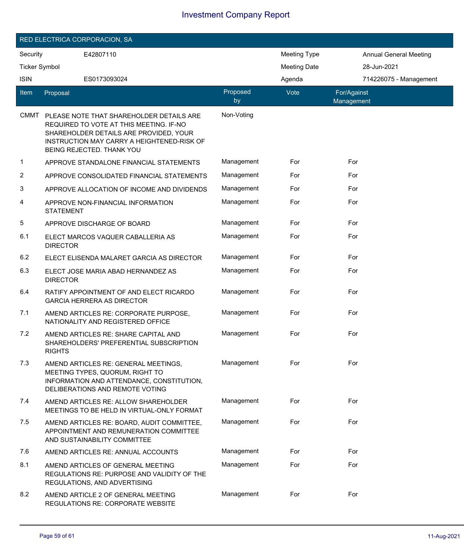| RED ELECTRICA CORPORACION, SA |                                                                                                                                                                                                          |                |                     |                               |  |  |  |  |
|-------------------------------|----------------------------------------------------------------------------------------------------------------------------------------------------------------------------------------------------------|----------------|---------------------|-------------------------------|--|--|--|--|
| Security                      | E42807110                                                                                                                                                                                                |                | <b>Meeting Type</b> | <b>Annual General Meeting</b> |  |  |  |  |
| <b>Ticker Symbol</b>          |                                                                                                                                                                                                          |                |                     | 28-Jun-2021                   |  |  |  |  |
| <b>ISIN</b>                   | ES0173093024                                                                                                                                                                                             |                | Agenda              | 714226075 - Management        |  |  |  |  |
| <b>Item</b>                   | Proposal                                                                                                                                                                                                 | Proposed<br>by | Vote                | For/Against<br>Management     |  |  |  |  |
| <b>CMMT</b>                   | PLEASE NOTE THAT SHAREHOLDER DETAILS ARE<br>REQUIRED TO VOTE AT THIS MEETING. IF-NO<br>SHAREHOLDER DETAILS ARE PROVIDED, YOUR<br>INSTRUCTION MAY CARRY A HEIGHTENED-RISK OF<br>BEING REJECTED. THANK YOU | Non-Voting     |                     |                               |  |  |  |  |
| 1                             | APPROVE STANDALONE FINANCIAL STATEMENTS                                                                                                                                                                  | Management     | For                 | For                           |  |  |  |  |
| 2                             | APPROVE CONSOLIDATED FINANCIAL STATEMENTS                                                                                                                                                                | Management     | For                 | For                           |  |  |  |  |
| 3                             | APPROVE ALLOCATION OF INCOME AND DIVIDENDS                                                                                                                                                               | Management     | For                 | For                           |  |  |  |  |
| 4                             | APPROVE NON-FINANCIAL INFORMATION<br><b>STATEMENT</b>                                                                                                                                                    | Management     | For                 | For                           |  |  |  |  |
| 5                             | APPROVE DISCHARGE OF BOARD                                                                                                                                                                               | Management     | For                 | For                           |  |  |  |  |
| 6.1                           | ELECT MARCOS VAQUER CABALLERIA AS<br><b>DIRECTOR</b>                                                                                                                                                     | Management     | For                 | For                           |  |  |  |  |
| 6.2                           | ELECT ELISENDA MALARET GARCIA AS DIRECTOR                                                                                                                                                                | Management     | For                 | For                           |  |  |  |  |
| 6.3                           | ELECT JOSE MARIA ABAD HERNANDEZ AS<br><b>DIRECTOR</b>                                                                                                                                                    | Management     | For                 | For                           |  |  |  |  |
| 6.4                           | RATIFY APPOINTMENT OF AND ELECT RICARDO<br><b>GARCIA HERRERA AS DIRECTOR</b>                                                                                                                             | Management     | For                 | For                           |  |  |  |  |
| 7.1                           | AMEND ARTICLES RE: CORPORATE PURPOSE,<br>NATIONALITY AND REGISTERED OFFICE                                                                                                                               | Management     | For                 | For                           |  |  |  |  |
| 7.2                           | AMEND ARTICLES RE: SHARE CAPITAL AND<br>SHAREHOLDERS' PREFERENTIAL SUBSCRIPTION<br><b>RIGHTS</b>                                                                                                         | Management     | For                 | For                           |  |  |  |  |
| 7.3                           | AMEND ARTICLES RE: GENERAL MEETINGS,<br>MEETING TYPES, QUORUM, RIGHT TO<br>INFORMATION AND ATTENDANCE, CONSTITUTION,<br>DELIBERATIONS AND REMOTE VOTING                                                  | Management     | For                 | For                           |  |  |  |  |
| 7.4                           | AMEND ARTICLES RE: ALLOW SHAREHOLDER<br>MEETINGS TO BE HELD IN VIRTUAL-ONLY FORMAT                                                                                                                       | Management     | For                 | For                           |  |  |  |  |
| 7.5                           | AMEND ARTICLES RE: BOARD, AUDIT COMMITTEE,<br>APPOINTMENT AND REMUNERATION COMMITTEE<br>AND SUSTAINABILITY COMMITTEE                                                                                     | Management     | For                 | For                           |  |  |  |  |
| 7.6                           | AMEND ARTICLES RE: ANNUAL ACCOUNTS                                                                                                                                                                       | Management     | For                 | For                           |  |  |  |  |
| 8.1                           | AMEND ARTICLES OF GENERAL MEETING<br>REGULATIONS RE: PURPOSE AND VALIDITY OF THE<br>REGULATIONS, AND ADVERTISING                                                                                         | Management     | For                 | For                           |  |  |  |  |
| 8.2                           | AMEND ARTICLE 2 OF GENERAL MEETING<br><b>REGULATIONS RE: CORPORATE WEBSITE</b>                                                                                                                           | Management     | For                 | For                           |  |  |  |  |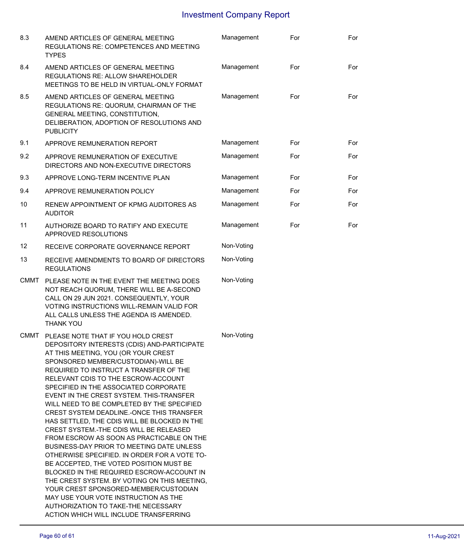| 8.3         | AMEND ARTICLES OF GENERAL MEETING<br>REGULATIONS RE: COMPETENCES AND MEETING<br><b>TYPES</b>                                                                                                                                                                                                                                                                                                                                                                                                                                                                                                                                                                                                                                                                                                                                                                                                                                                                                    | Management | For | For |
|-------------|---------------------------------------------------------------------------------------------------------------------------------------------------------------------------------------------------------------------------------------------------------------------------------------------------------------------------------------------------------------------------------------------------------------------------------------------------------------------------------------------------------------------------------------------------------------------------------------------------------------------------------------------------------------------------------------------------------------------------------------------------------------------------------------------------------------------------------------------------------------------------------------------------------------------------------------------------------------------------------|------------|-----|-----|
| 8.4         | AMEND ARTICLES OF GENERAL MEETING<br><b>REGULATIONS RE: ALLOW SHAREHOLDER</b><br>MEETINGS TO BE HELD IN VIRTUAL-ONLY FORMAT                                                                                                                                                                                                                                                                                                                                                                                                                                                                                                                                                                                                                                                                                                                                                                                                                                                     | Management | For | For |
| 8.5         | AMEND ARTICLES OF GENERAL MEETING<br>REGULATIONS RE: QUORUM, CHAIRMAN OF THE<br>GENERAL MEETING, CONSTITUTION,<br>DELIBERATION, ADOPTION OF RESOLUTIONS AND<br><b>PUBLICITY</b>                                                                                                                                                                                                                                                                                                                                                                                                                                                                                                                                                                                                                                                                                                                                                                                                 | Management | For | For |
| 9.1         | APPROVE REMUNERATION REPORT                                                                                                                                                                                                                                                                                                                                                                                                                                                                                                                                                                                                                                                                                                                                                                                                                                                                                                                                                     | Management | For | For |
| 9.2         | APPROVE REMUNERATION OF EXECUTIVE<br>DIRECTORS AND NON-EXECUTIVE DIRECTORS                                                                                                                                                                                                                                                                                                                                                                                                                                                                                                                                                                                                                                                                                                                                                                                                                                                                                                      | Management | For | For |
| 9.3         | APPROVE LONG-TERM INCENTIVE PLAN                                                                                                                                                                                                                                                                                                                                                                                                                                                                                                                                                                                                                                                                                                                                                                                                                                                                                                                                                | Management | For | For |
| 9.4         | APPROVE REMUNERATION POLICY                                                                                                                                                                                                                                                                                                                                                                                                                                                                                                                                                                                                                                                                                                                                                                                                                                                                                                                                                     | Management | For | For |
| 10          | RENEW APPOINTMENT OF KPMG AUDITORES AS<br><b>AUDITOR</b>                                                                                                                                                                                                                                                                                                                                                                                                                                                                                                                                                                                                                                                                                                                                                                                                                                                                                                                        | Management | For | For |
| 11          | AUTHORIZE BOARD TO RATIFY AND EXECUTE<br>APPROVED RESOLUTIONS                                                                                                                                                                                                                                                                                                                                                                                                                                                                                                                                                                                                                                                                                                                                                                                                                                                                                                                   | Management | For | For |
| 12          | RECEIVE CORPORATE GOVERNANCE REPORT                                                                                                                                                                                                                                                                                                                                                                                                                                                                                                                                                                                                                                                                                                                                                                                                                                                                                                                                             | Non-Voting |     |     |
| 13          | RECEIVE AMENDMENTS TO BOARD OF DIRECTORS<br><b>REGULATIONS</b>                                                                                                                                                                                                                                                                                                                                                                                                                                                                                                                                                                                                                                                                                                                                                                                                                                                                                                                  | Non-Voting |     |     |
| <b>CMMT</b> | PLEASE NOTE IN THE EVENT THE MEETING DOES<br>NOT REACH QUORUM, THERE WILL BE A-SECOND<br>CALL ON 29 JUN 2021. CONSEQUENTLY, YOUR<br>VOTING INSTRUCTIONS WILL-REMAIN VALID FOR<br>ALL CALLS UNLESS THE AGENDA IS AMENDED.<br><b>THANK YOU</b>                                                                                                                                                                                                                                                                                                                                                                                                                                                                                                                                                                                                                                                                                                                                    | Non-Voting |     |     |
| <b>CMMT</b> | PLEASE NOTE THAT IF YOU HOLD CREST<br>DEPOSITORY INTERESTS (CDIS) AND-PARTICIPATE<br>AT THIS MEETING, YOU (OR YOUR CREST<br>SPONSORED MEMBER/CUSTODIAN)-WILL BE<br>REQUIRED TO INSTRUCT A TRANSFER OF THE<br>RELEVANT CDIS TO THE ESCROW-ACCOUNT<br>SPECIFIED IN THE ASSOCIATED CORPORATE<br>EVENT IN THE CREST SYSTEM. THIS-TRANSFER<br>WILL NEED TO BE COMPLETED BY THE SPECIFIED<br>CREST SYSTEM DEADLINE.-ONCE THIS TRANSFER<br>HAS SETTLED, THE CDIS WILL BE BLOCKED IN THE<br>CREST SYSTEM.-THE CDIS WILL BE RELEASED<br>FROM ESCROW AS SOON AS PRACTICABLE ON THE<br>BUSINESS-DAY PRIOR TO MEETING DATE UNLESS<br>OTHERWISE SPECIFIED. IN ORDER FOR A VOTE TO-<br>BE ACCEPTED, THE VOTED POSITION MUST BE<br>BLOCKED IN THE REQUIRED ESCROW-ACCOUNT IN<br>THE CREST SYSTEM. BY VOTING ON THIS MEETING,<br>YOUR CREST SPONSORED-MEMBER/CUSTODIAN<br>MAY USE YOUR VOTE INSTRUCTION AS THE<br>AUTHORIZATION TO TAKE-THE NECESSARY<br>ACTION WHICH WILL INCLUDE TRANSFERRING | Non-Voting |     |     |